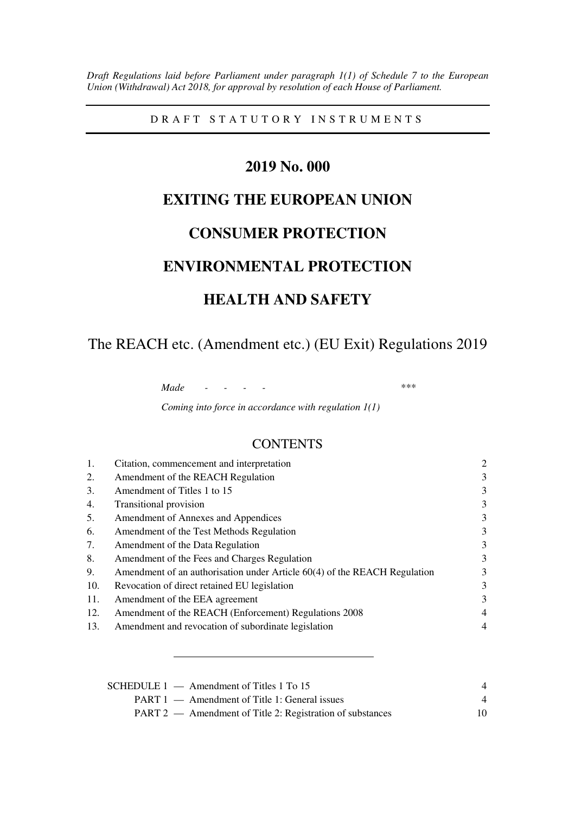*Draft Regulations laid before Parliament under paragraph 1(1) of Schedule 7 to the European Union (Withdrawal) Act 2018, for approval by resolution of each House of Parliament.* 

D R A F T S T A T U T O R Y I N S T R U M E N T S

# **2019 No. 000**

# **EXITING THE EUROPEAN UNION**

# **CONSUMER PROTECTION**

# **ENVIRONMENTAL PROTECTION**

# **HEALTH AND SAFETY**

# The REACH etc. (Amendment etc.) (EU Exit) Regulations 2019

*Made - - - - \*\*\** 

*Coming into force in accordance with regulation 1(1)* 

### **CONTENTS**

| 1.  | Citation, commencement and interpretation                                 | 2              |
|-----|---------------------------------------------------------------------------|----------------|
| 2.  | Amendment of the REACH Regulation                                         | 3              |
| 3.  | Amendment of Titles 1 to 15                                               | 3              |
| 4.  | <b>Transitional provision</b>                                             | 3              |
| 5.  | Amendment of Annexes and Appendices                                       | 3              |
| 6.  | Amendment of the Test Methods Regulation                                  | 3              |
| 7.  | Amendment of the Data Regulation                                          | 3              |
| 8.  | Amendment of the Fees and Charges Regulation                              | 3              |
| 9.  | Amendment of an authorisation under Article 60(4) of the REACH Regulation | 3              |
| 10. | Revocation of direct retained EU legislation                              | 3              |
| 11. | Amendment of the EEA agreement                                            | 3              |
| 12. | Amendment of the REACH (Enforcement) Regulations 2008                     | 4              |
| 13. | Amendment and revocation of subordinate legislation                       | $\overline{4}$ |
|     |                                                                           |                |

| $SCHEDULE 1$ — Amendment of Titles 1 To 15                |                |
|-----------------------------------------------------------|----------------|
| <b>PART 1</b> — Amendment of Title 1: General issues      | $\overline{4}$ |
| PART 2 — Amendment of Title 2: Registration of substances | 10             |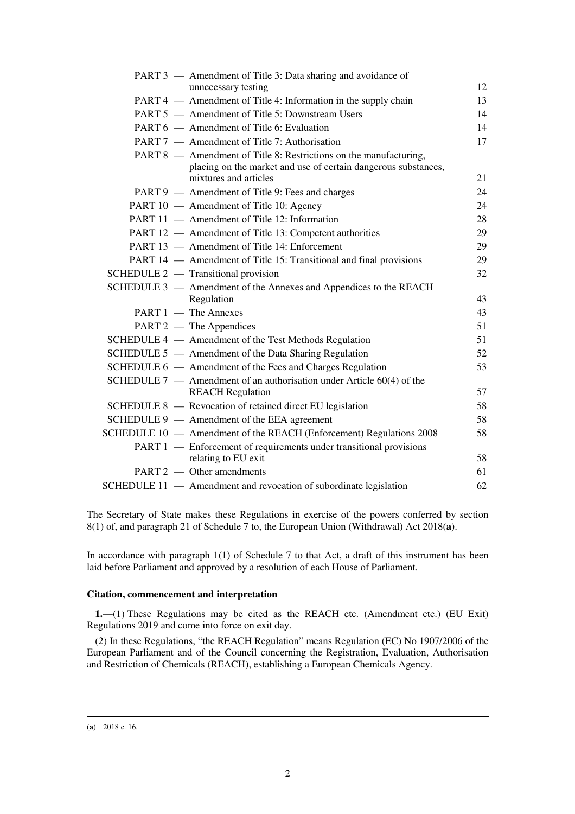|  | PART 3 — Amendment of Title 3: Data sharing and avoidance of            |    |
|--|-------------------------------------------------------------------------|----|
|  | unnecessary testing                                                     | 12 |
|  | PART 4 - Amendment of Title 4: Information in the supply chain          | 13 |
|  | PART 5 - Amendment of Title 5: Downstream Users                         | 14 |
|  | PART 6 - Amendment of Title 6: Evaluation                               | 14 |
|  | PART 7 — Amendment of Title 7: Authorisation                            | 17 |
|  | PART 8 — Amendment of Title 8: Restrictions on the manufacturing,       |    |
|  | placing on the market and use of certain dangerous substances,          |    |
|  | mixtures and articles                                                   | 21 |
|  | PART 9 — Amendment of Title 9: Fees and charges                         | 24 |
|  | PART 10 - Amendment of Title 10: Agency                                 | 24 |
|  | PART 11 - Amendment of Title 12: Information                            | 28 |
|  | PART 12 - Amendment of Title 13: Competent authorities                  | 29 |
|  | PART 13 - Amendment of Title 14: Enforcement                            | 29 |
|  | PART 14 - Amendment of Title 15: Transitional and final provisions      | 29 |
|  | SCHEDULE 2 - Transitional provision                                     | 32 |
|  | SCHEDULE 3 — Amendment of the Annexes and Appendices to the REACH       |    |
|  | Regulation                                                              | 43 |
|  | PART 1 — The Annexes                                                    | 43 |
|  | PART 2 — The Appendices                                                 | 51 |
|  | SCHEDULE 4 - Amendment of the Test Methods Regulation                   | 51 |
|  | SCHEDULE 5 — Amendment of the Data Sharing Regulation                   | 52 |
|  | SCHEDULE 6 — Amendment of the Fees and Charges Regulation               | 53 |
|  | SCHEDULE $7 -$ Amendment of an authorisation under Article 60(4) of the |    |
|  | <b>REACH Regulation</b>                                                 | 57 |
|  | SCHEDULE 8 - Revocation of retained direct EU legislation               | 58 |
|  | SCHEDULE 9 — Amendment of the EEA agreement                             | 58 |
|  | SCHEDULE 10 - Amendment of the REACH (Enforcement) Regulations 2008     | 58 |
|  | PART 1 — Enforcement of requirements under transitional provisions      |    |
|  | relating to EU exit                                                     | 58 |
|  | PART 2 — Other amendments                                               | 61 |
|  | SCHEDULE 11 - Amendment and revocation of subordinate legislation       | 62 |
|  |                                                                         |    |

The Secretary of State makes these Regulations in exercise of the powers conferred by section 8(1) of, and paragraph 21 of Schedule 7 to, the European Union (Withdrawal) Act 2018(**a**).

In accordance with paragraph 1(1) of Schedule 7 to that Act, a draft of this instrument has been laid before Parliament and approved by a resolution of each House of Parliament.

### **Citation, commencement and interpretation**

**1.**—(1) These Regulations may be cited as the REACH etc. (Amendment etc.) (EU Exit) Regulations 2019 and come into force on exit day.

(2) In these Regulations, "the REACH Regulation" means Regulation (EC) No 1907/2006 of the European Parliament and of the Council concerning the Registration, Evaluation, Authorisation and Restriction of Chemicals (REACH), establishing a European Chemicals Agency.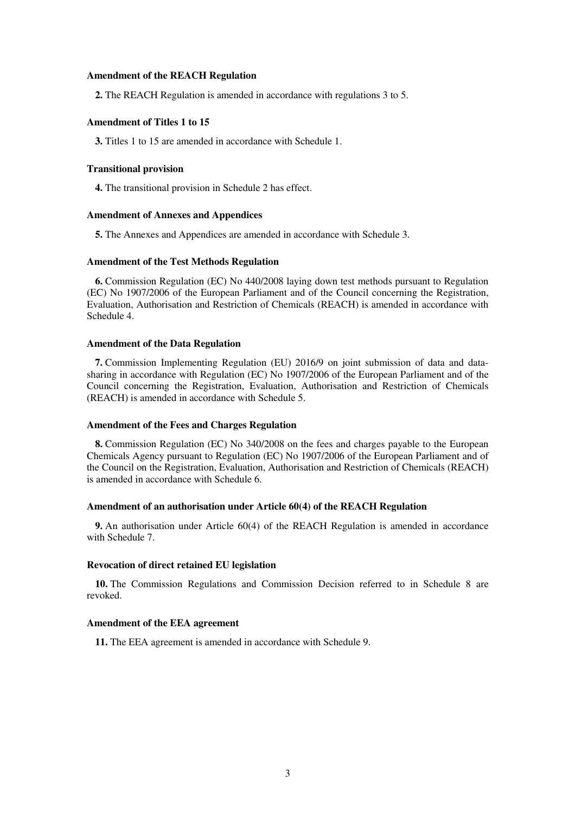#### **Amendment of the REACH Regulation**

**2.** The REACH Regulation is amended in accordance with regulations 3 to 5.

### **Amendment of Titles 1 to 15**

**3.** Titles 1 to 15 are amended in accordance with Schedule 1.

### **Transitional provision**

**4.** The transitional provision in Schedule 2 has effect.

### **Amendment of Annexes and Appendices**

**5.** The Annexes and Appendices are amended in accordance with Schedule 3.

### **Amendment of the Test Methods Regulation**

**6.** Commission Regulation (EC) No 440/2008 laying down test methods pursuant to Regulation (EC) No 1907/2006 of the European Parliament and of the Council concerning the Registration, Evaluation, Authorisation and Restriction of Chemicals (REACH) is amended in accordance with Schedule 4.

### **Amendment of the Data Regulation**

**7.** Commission Implementing Regulation (EU) 2016/9 on joint submission of data and datasharing in accordance with Regulation (EC) No 1907/2006 of the European Parliament and of the Council concerning the Registration, Evaluation, Authorisation and Restriction of Chemicals (REACH) is amended in accordance with Schedule 5.

#### **Amendment of the Fees and Charges Regulation**

**8.** Commission Regulation (EC) No 340/2008 on the fees and charges payable to the European Chemicals Agency pursuant to Regulation (EC) No 1907/2006 of the European Parliament and of the Council on the Registration, Evaluation, Authorisation and Restriction of Chemicals (REACH) is amended in accordance with Schedule 6.

#### **Amendment of an authorisation under Article 60(4) of the REACH Regulation**

**9.** An authorisation under Article 60(4) of the REACH Regulation is amended in accordance with Schedule 7.

#### **Revocation of direct retained EU legislation**

**10.** The Commission Regulations and Commission Decision referred to in Schedule 8 are revoked.

#### **Amendment of the EEA agreement**

**11.** The EEA agreement is amended in accordance with Schedule 9.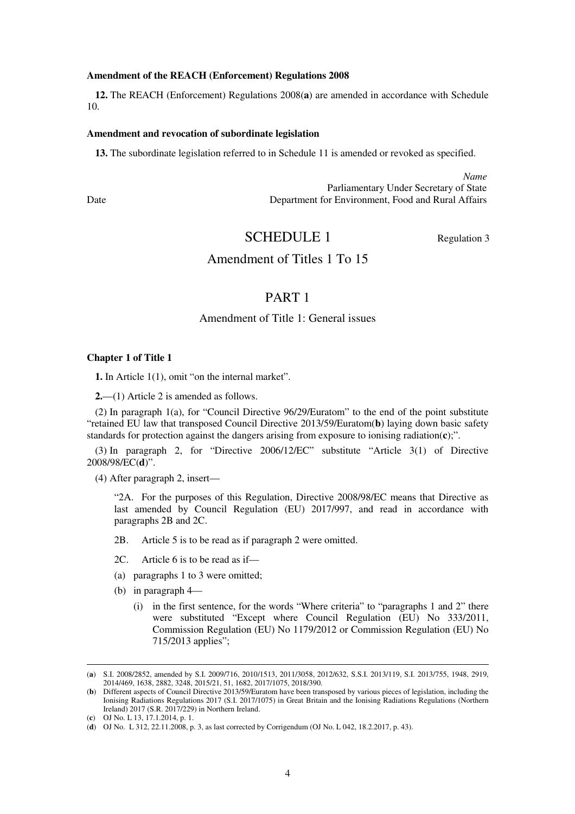#### **Amendment of the REACH (Enforcement) Regulations 2008**

**12.** The REACH (Enforcement) Regulations 2008(**a**) are amended in accordance with Schedule 10.

### **Amendment and revocation of subordinate legislation**

**13.** The subordinate legislation referred to in Schedule 11 is amended or revoked as specified.

*Name* Parliamentary Under Secretary of State Date Department for Environment, Food and Rural Affairs

SCHEDULE 1 Regulation 3

### Amendment of Titles 1 To 15

### PART 1

### Amendment of Title 1: General issues

#### **Chapter 1 of Title 1**

**1.** In Article 1(1), omit "on the internal market".

**2.**—(1) Article 2 is amended as follows.

(2) In paragraph 1(a), for "Council Directive 96/29/Euratom" to the end of the point substitute "retained EU law that transposed Council Directive 2013/59/Euratom(**b**) laying down basic safety standards for protection against the dangers arising from exposure to ionising radiation(**c**);".

(3) In paragraph 2, for "Directive 2006/12/EC" substitute "Article 3(1) of Directive 2008/98/EC(**d**)".

(4) After paragraph 2, insert—

"2A. For the purposes of this Regulation, Directive 2008/98/EC means that Directive as last amended by Council Regulation (EU) 2017/997, and read in accordance with paragraphs 2B and 2C.

- 2B. Article 5 is to be read as if paragraph 2 were omitted.
- 2C. Article 6 is to be read as if—
- (a) paragraphs 1 to 3 were omitted;
- (b) in paragraph 4—
	- (i) in the first sentence, for the words "Where criteria" to "paragraphs 1 and 2" there were substituted "Except where Council Regulation (EU) No 333/2011, Commission Regulation (EU) No 1179/2012 or Commission Regulation (EU) No 715/2013 applies";

<sup>(</sup>**a**) S.I. 2008/2852, amended by S.I. 2009/716, 2010/1513, 2011/3058, 2012/632, S.S.I. 2013/119, S.I. 2013/755, 1948, 2919, 2014/469, 1638, 2882, 3248, 2015/21, 51, 1682, 2017/1075, 2018/390.

<sup>(</sup>**b**) Different aspects of Council Directive 2013/59/Euratom have been transposed by various pieces of legislation, including the Ionising Radiations Regulations 2017 (S.I. 2017/1075) in Great Britain and the Ionising Radiations Regulations (Northern Ireland) 2017 (S.R. 2017/229) in Northern Ireland.

<sup>(</sup>**c**) OJ No. L 13, 17.1.2014, p. 1.

<sup>(</sup>**d**) OJ No. L 312, 22.11.2008, p. 3, as last corrected by Corrigendum (OJ No. L 042, 18.2.2017, p. 43).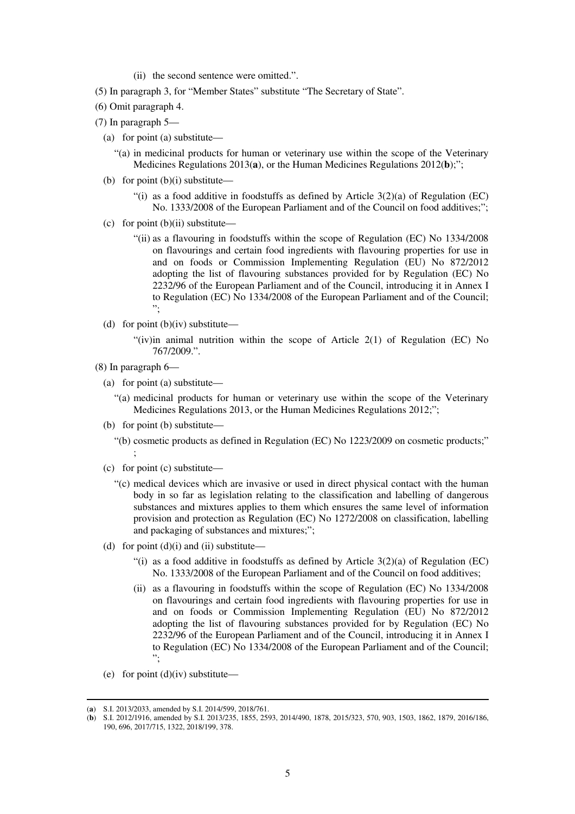- (ii) the second sentence were omitted.".
- (5) In paragraph 3, for "Member States" substitute "The Secretary of State".
- (6) Omit paragraph 4.
- (7) In paragraph 5—
	- (a) for point (a) substitute—
		- "(a) in medicinal products for human or veterinary use within the scope of the Veterinary Medicines Regulations 2013(**a**), or the Human Medicines Regulations 2012(**b**);";
	- (b) for point (b)(i) substitute—
		- "(i) as a food additive in foodstuffs as defined by Article  $3(2)(a)$  of Regulation (EC) No. 1333/2008 of the European Parliament and of the Council on food additives;";
	- (c) for point  $(b)(ii)$  substitute—
		- "(ii) as a flavouring in foodstuffs within the scope of Regulation (EC) No 1334/2008 on flavourings and certain food ingredients with flavouring properties for use in and on foods or Commission Implementing Regulation (EU) No 872/2012 adopting the list of flavouring substances provided for by Regulation (EC) No 2232/96 of the European Parliament and of the Council, introducing it in Annex I to Regulation (EC) No 1334/2008 of the European Parliament and of the Council; ";
	- (d) for point  $(b)(iv)$  substitute—
		- "(iv)in animal nutrition within the scope of Article  $2(1)$  of Regulation (EC) No 767/2009.".
- (8) In paragraph 6—

;

- (a) for point (a) substitute—
	- "(a) medicinal products for human or veterinary use within the scope of the Veterinary Medicines Regulations 2013, or the Human Medicines Regulations 2012;";
- (b) for point (b) substitute—
	- "(b) cosmetic products as defined in Regulation (EC) No 1223/2009 on cosmetic products;"
- (c) for point (c) substitute—
	- "(c) medical devices which are invasive or used in direct physical contact with the human body in so far as legislation relating to the classification and labelling of dangerous substances and mixtures applies to them which ensures the same level of information provision and protection as Regulation (EC) No 1272/2008 on classification, labelling and packaging of substances and mixtures;";
- (d) for point  $(d)(i)$  and  $(ii)$  substitute—
	- "(i) as a food additive in foodstuffs as defined by Article  $3(2)(a)$  of Regulation (EC) No. 1333/2008 of the European Parliament and of the Council on food additives;
	- (ii) as a flavouring in foodstuffs within the scope of Regulation (EC) No 1334/2008 on flavourings and certain food ingredients with flavouring properties for use in and on foods or Commission Implementing Regulation (EU) No 872/2012 adopting the list of flavouring substances provided for by Regulation (EC) No 2232/96 of the European Parliament and of the Council, introducing it in Annex I to Regulation (EC) No 1334/2008 of the European Parliament and of the Council; ";
- (e) for point (d)(iv) substitute—

<sup>(</sup>**a**) S.I. 2013/2033, amended by S.I. 2014/599, 2018/761.

<sup>(</sup>**b**) S.I. 2012/1916, amended by S.I. 2013/235, 1855, 2593, 2014/490, 1878, 2015/323, 570, 903, 1503, 1862, 1879, 2016/186, 190, 696, 2017/715, 1322, 2018/199, 378.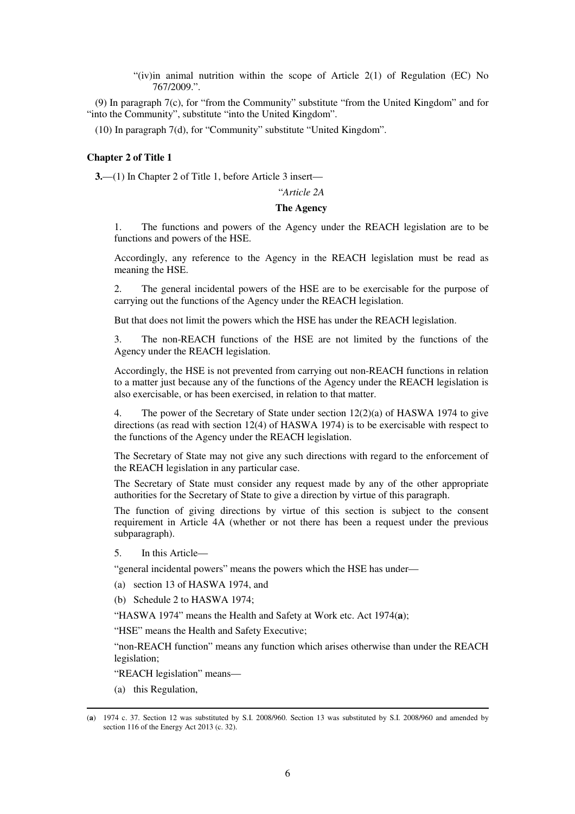"(iv)in animal nutrition within the scope of Article  $2(1)$  of Regulation (EC) No 767/2009.".

(9) In paragraph 7(c), for "from the Community" substitute "from the United Kingdom" and for "into the Community", substitute "into the United Kingdom".

(10) In paragraph 7(d), for "Community" substitute "United Kingdom".

### **Chapter 2 of Title 1**

**3.**—(1) In Chapter 2 of Title 1, before Article 3 insert—

### "*Article 2A*

### **The Agency**

1. The functions and powers of the Agency under the REACH legislation are to be functions and powers of the HSE.

Accordingly, any reference to the Agency in the REACH legislation must be read as meaning the HSE.

2. The general incidental powers of the HSE are to be exercisable for the purpose of carrying out the functions of the Agency under the REACH legislation.

But that does not limit the powers which the HSE has under the REACH legislation.

3. The non-REACH functions of the HSE are not limited by the functions of the Agency under the REACH legislation.

Accordingly, the HSE is not prevented from carrying out non-REACH functions in relation to a matter just because any of the functions of the Agency under the REACH legislation is also exercisable, or has been exercised, in relation to that matter.

4. The power of the Secretary of State under section 12(2)(a) of HASWA 1974 to give directions (as read with section 12(4) of HASWA 1974) is to be exercisable with respect to the functions of the Agency under the REACH legislation.

The Secretary of State may not give any such directions with regard to the enforcement of the REACH legislation in any particular case.

The Secretary of State must consider any request made by any of the other appropriate authorities for the Secretary of State to give a direction by virtue of this paragraph.

The function of giving directions by virtue of this section is subject to the consent requirement in Article 4A (whether or not there has been a request under the previous subparagraph).

5. In this Article—

"general incidental powers" means the powers which the HSE has under—

- (a) section 13 of HASWA 1974, and
- (b) Schedule 2 to HASWA 1974;

"HASWA 1974" means the Health and Safety at Work etc. Act 1974(**a**);

"HSE" means the Health and Safety Executive;

"non-REACH function" means any function which arises otherwise than under the REACH legislation;

"REACH legislation" means—

(a) this Regulation,

<sup>(</sup>**a**) 1974 c. 37. Section 12 was substituted by S.I. 2008/960. Section 13 was substituted by S.I. 2008/960 and amended by section 116 of the Energy Act 2013 (c. 32).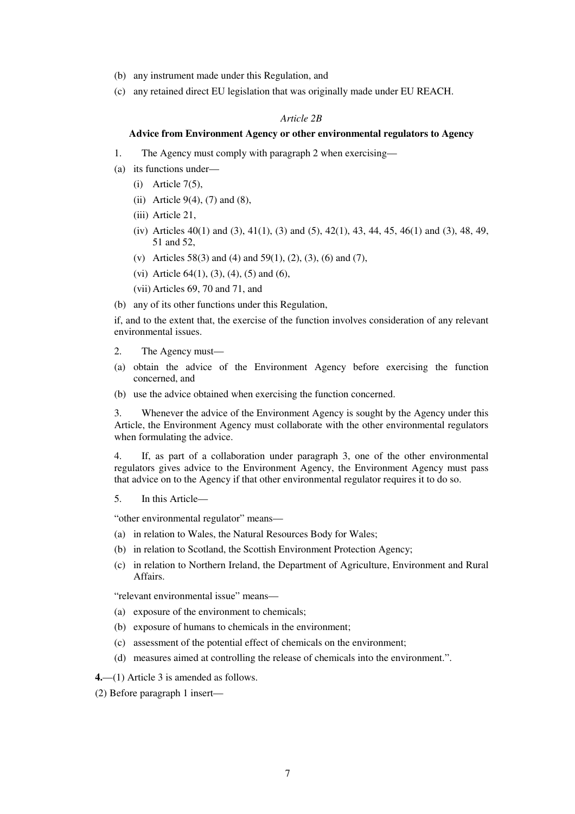- (b) any instrument made under this Regulation, and
- (c) any retained direct EU legislation that was originally made under EU REACH.

### *Article 2B*

### **Advice from Environment Agency or other environmental regulators to Agency**

- 1. The Agency must comply with paragraph 2 when exercising—
- (a) its functions under—
	- (i) Article 7(5),
	- (ii) Article  $9(4)$ , (7) and (8),
	- (iii) Article 21,
	- (iv) Articles 40(1) and (3), 41(1), (3) and (5), 42(1), 43, 44, 45, 46(1) and (3), 48, 49, 51 and 52,
	- (v) Articles 58(3) and (4) and 59(1), (2), (3), (6) and (7),
	- (vi) Article  $64(1)$ ,  $(3)$ ,  $(4)$ ,  $(5)$  and  $(6)$ ,
	- (vii) Articles 69, 70 and 71, and
- (b) any of its other functions under this Regulation,

if, and to the extent that, the exercise of the function involves consideration of any relevant environmental issues.

- 2. The Agency must—
- (a) obtain the advice of the Environment Agency before exercising the function concerned, and
- (b) use the advice obtained when exercising the function concerned.

3. Whenever the advice of the Environment Agency is sought by the Agency under this Article, the Environment Agency must collaborate with the other environmental regulators when formulating the advice.

4. If, as part of a collaboration under paragraph 3, one of the other environmental regulators gives advice to the Environment Agency, the Environment Agency must pass that advice on to the Agency if that other environmental regulator requires it to do so.

5. In this Article—

"other environmental regulator" means—

- (a) in relation to Wales, the Natural Resources Body for Wales;
- (b) in relation to Scotland, the Scottish Environment Protection Agency;
- (c) in relation to Northern Ireland, the Department of Agriculture, Environment and Rural Affairs.

"relevant environmental issue" means—

- (a) exposure of the environment to chemicals;
- (b) exposure of humans to chemicals in the environment;
- (c) assessment of the potential effect of chemicals on the environment;
- (d) measures aimed at controlling the release of chemicals into the environment.".

**4.**—(1) Article 3 is amended as follows.

(2) Before paragraph 1 insert—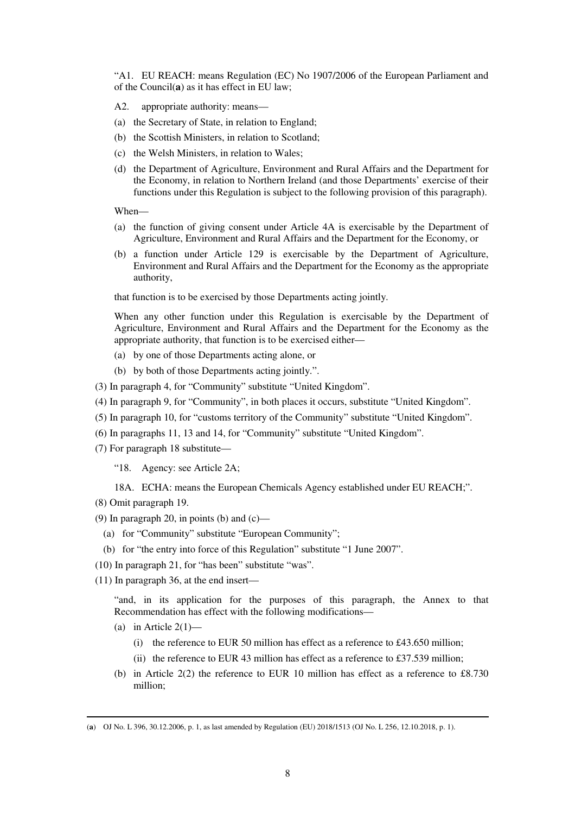"A1. EU REACH: means Regulation (EC) No 1907/2006 of the European Parliament and of the Council(**a**) as it has effect in EU law;

A2. appropriate authority: means—

- (a) the Secretary of State, in relation to England;
- (b) the Scottish Ministers, in relation to Scotland;
- (c) the Welsh Ministers, in relation to Wales;
- (d) the Department of Agriculture, Environment and Rural Affairs and the Department for the Economy, in relation to Northern Ireland (and those Departments' exercise of their functions under this Regulation is subject to the following provision of this paragraph).

When—

- (a) the function of giving consent under Article 4A is exercisable by the Department of Agriculture, Environment and Rural Affairs and the Department for the Economy, or
- (b) a function under Article 129 is exercisable by the Department of Agriculture, Environment and Rural Affairs and the Department for the Economy as the appropriate authority,

that function is to be exercised by those Departments acting jointly.

When any other function under this Regulation is exercisable by the Department of Agriculture, Environment and Rural Affairs and the Department for the Economy as the appropriate authority, that function is to be exercised either—

- (a) by one of those Departments acting alone, or
- (b) by both of those Departments acting jointly.".
- (3) In paragraph 4, for "Community" substitute "United Kingdom".
- (4) In paragraph 9, for "Community", in both places it occurs, substitute "United Kingdom".
- (5) In paragraph 10, for "customs territory of the Community" substitute "United Kingdom".
- (6) In paragraphs 11, 13 and 14, for "Community" substitute "United Kingdom".
- (7) For paragraph 18 substitute—

"18. Agency: see Article 2A;

- 18A. ECHA: means the European Chemicals Agency established under EU REACH;".
- (8) Omit paragraph 19.
- (9) In paragraph 20, in points (b) and  $(c)$ 
	- (a) for "Community" substitute "European Community";
	- (b) for "the entry into force of this Regulation" substitute "1 June 2007".
- (10) In paragraph 21, for "has been" substitute "was".
- (11) In paragraph 36, at the end insert—

"and, in its application for the purposes of this paragraph, the Annex to that Recommendation has effect with the following modifications—

(a) in Article  $2(1)$ —

- (i) the reference to EUR 50 million has effect as a reference to £43.650 million;
- (ii) the reference to EUR 43 million has effect as a reference to £37.539 million;
- (b) in Article  $2(2)$  the reference to EUR 10 million has effect as a reference to £8.730 million;

<sup>(</sup>**a**) OJ No. L 396, 30.12.2006, p. 1, as last amended by Regulation (EU) 2018/1513 (OJ No. L 256, 12.10.2018, p. 1).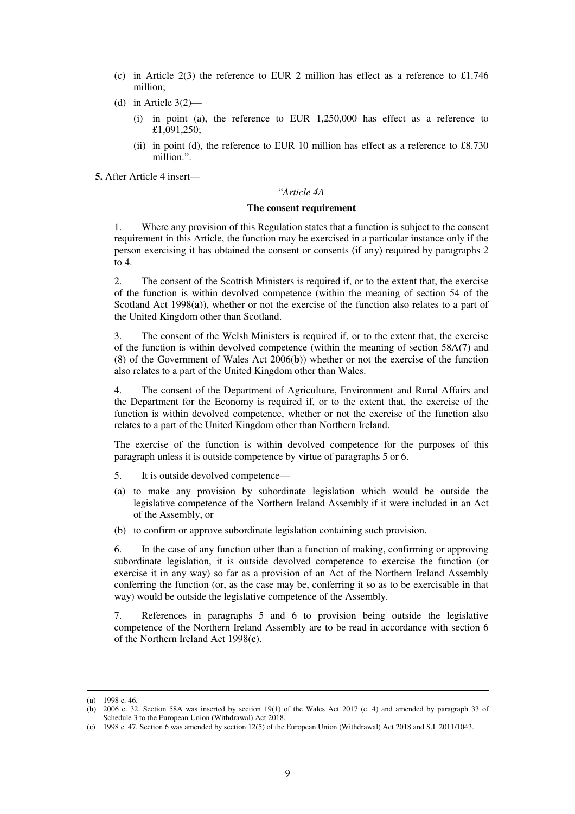- (c) in Article 2(3) the reference to EUR 2 million has effect as a reference to £1.746 million;
- (d) in Article  $3(2)$ 
	- (i) in point (a), the reference to EUR 1,250,000 has effect as a reference to £1,091,250;
	- (ii) in point (d), the reference to EUR 10 million has effect as a reference to  $\pounds 8.730$ million.".

**5.** After Article 4 insert—

### "*Article 4A*

### **The consent requirement**

1. Where any provision of this Regulation states that a function is subject to the consent requirement in this Article, the function may be exercised in a particular instance only if the person exercising it has obtained the consent or consents (if any) required by paragraphs 2 to 4.

2. The consent of the Scottish Ministers is required if, or to the extent that, the exercise of the function is within devolved competence (within the meaning of section 54 of the Scotland Act 1998(**a**)), whether or not the exercise of the function also relates to a part of the United Kingdom other than Scotland.

3. The consent of the Welsh Ministers is required if, or to the extent that, the exercise of the function is within devolved competence (within the meaning of section 58A(7) and (8) of the Government of Wales Act 2006(**b**)) whether or not the exercise of the function also relates to a part of the United Kingdom other than Wales.

4. The consent of the Department of Agriculture, Environment and Rural Affairs and the Department for the Economy is required if, or to the extent that, the exercise of the function is within devolved competence, whether or not the exercise of the function also relates to a part of the United Kingdom other than Northern Ireland.

The exercise of the function is within devolved competence for the purposes of this paragraph unless it is outside competence by virtue of paragraphs 5 or 6.

- 5. It is outside devolved competence—
- (a) to make any provision by subordinate legislation which would be outside the legislative competence of the Northern Ireland Assembly if it were included in an Act of the Assembly, or
- (b) to confirm or approve subordinate legislation containing such provision.

6. In the case of any function other than a function of making, confirming or approving subordinate legislation, it is outside devolved competence to exercise the function (or exercise it in any way) so far as a provision of an Act of the Northern Ireland Assembly conferring the function (or, as the case may be, conferring it so as to be exercisable in that way) would be outside the legislative competence of the Assembly.

7. References in paragraphs 5 and 6 to provision being outside the legislative competence of the Northern Ireland Assembly are to be read in accordance with section 6 of the Northern Ireland Act 1998(**c**).

<sup>(</sup>**a**) 1998 c. 46.

<sup>(</sup>**b**) 2006 c. 32. Section 58A was inserted by section 19(1) of the Wales Act 2017 (c. 4) and amended by paragraph 33 of Schedule 3 to the European Union (Withdrawal) Act 2018.

<sup>(</sup>**c**) 1998 c. 47. Section 6 was amended by section 12(5) of the European Union (Withdrawal) Act 2018 and S.I. 2011/1043.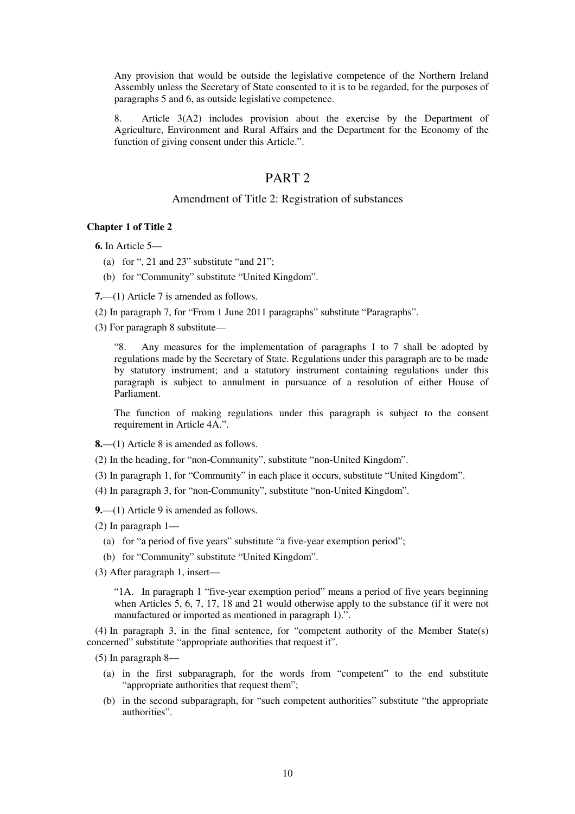Any provision that would be outside the legislative competence of the Northern Ireland Assembly unless the Secretary of State consented to it is to be regarded, for the purposes of paragraphs 5 and 6, as outside legislative competence.

8. Article 3(A2) includes provision about the exercise by the Department of Agriculture, Environment and Rural Affairs and the Department for the Economy of the function of giving consent under this Article.".

### PART 2

### Amendment of Title 2: Registration of substances

### **Chapter 1 of Title 2**

**6.** In Article 5—

- (a) for ", 21 and  $23$ " substitute "and  $21$ ";
- (b) for "Community" substitute "United Kingdom".

**7.**—(1) Article 7 is amended as follows.

(2) In paragraph 7, for "From 1 June 2011 paragraphs" substitute "Paragraphs".

(3) For paragraph 8 substitute—

"8. Any measures for the implementation of paragraphs 1 to 7 shall be adopted by regulations made by the Secretary of State. Regulations under this paragraph are to be made by statutory instrument; and a statutory instrument containing regulations under this paragraph is subject to annulment in pursuance of a resolution of either House of Parliament.

The function of making regulations under this paragraph is subject to the consent requirement in Article 4A.".

**8.**—(1) Article 8 is amended as follows.

(2) In the heading, for "non-Community", substitute "non-United Kingdom".

(3) In paragraph 1, for "Community" in each place it occurs, substitute "United Kingdom".

(4) In paragraph 3, for "non-Community", substitute "non-United Kingdom".

**9.**—(1) Article 9 is amended as follows.

(2) In paragraph 1—

- (a) for "a period of five years" substitute "a five-year exemption period";
- (b) for "Community" substitute "United Kingdom".

(3) After paragraph 1, insert—

"1A. In paragraph 1 "five-year exemption period" means a period of five years beginning when Articles 5, 6, 7, 17, 18 and 21 would otherwise apply to the substance (if it were not manufactured or imported as mentioned in paragraph 1).".

(4) In paragraph 3, in the final sentence, for "competent authority of the Member State(s) concerned" substitute "appropriate authorities that request it".

(5) In paragraph 8—

- (a) in the first subparagraph, for the words from "competent" to the end substitute "appropriate authorities that request them";
- (b) in the second subparagraph, for "such competent authorities" substitute "the appropriate authorities".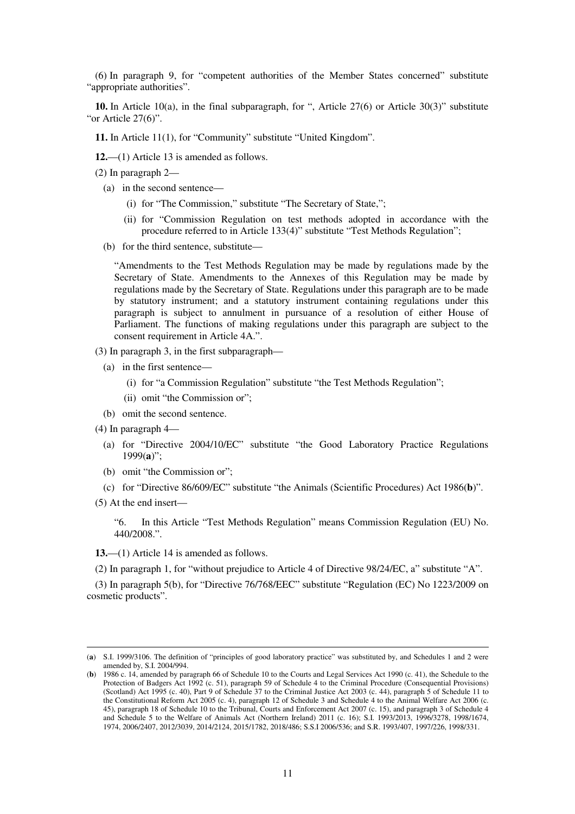(6) In paragraph 9, for "competent authorities of the Member States concerned" substitute "appropriate authorities".

**10.** In Article 10(a), in the final subparagraph, for ", Article 27(6) or Article 30(3)" substitute "or Article 27(6)".

**11.** In Article 11(1), for "Community" substitute "United Kingdom".

**12.**—(1) Article 13 is amended as follows.

(2) In paragraph 2—

- (a) in the second sentence—
	- (i) for "The Commission," substitute "The Secretary of State,";
	- (ii) for "Commission Regulation on test methods adopted in accordance with the procedure referred to in Article 133(4)" substitute "Test Methods Regulation";
- (b) for the third sentence, substitute—

"Amendments to the Test Methods Regulation may be made by regulations made by the Secretary of State. Amendments to the Annexes of this Regulation may be made by regulations made by the Secretary of State. Regulations under this paragraph are to be made by statutory instrument; and a statutory instrument containing regulations under this paragraph is subject to annulment in pursuance of a resolution of either House of Parliament. The functions of making regulations under this paragraph are subject to the consent requirement in Article 4A.".

- (3) In paragraph 3, in the first subparagraph—
	- (a) in the first sentence—
		- (i) for "a Commission Regulation" substitute "the Test Methods Regulation";
		- (ii) omit "the Commission or";
	- (b) omit the second sentence.
- (4) In paragraph 4—
	- (a) for "Directive 2004/10/EC" substitute "the Good Laboratory Practice Regulations 1999(**a**)";
	- (b) omit "the Commission or";
	- (c) for "Directive 86/609/EC" substitute "the Animals (Scientific Procedures) Act 1986(**b**)".
- (5) At the end insert—

-

"6. In this Article "Test Methods Regulation" means Commission Regulation (EU) No. 440/2008.".

**13.**—(1) Article 14 is amended as follows.

(2) In paragraph 1, for "without prejudice to Article 4 of Directive 98/24/EC, a" substitute "A".

(3) In paragraph 5(b), for "Directive 76/768/EEC" substitute "Regulation (EC) No 1223/2009 on cosmetic products".

<sup>(</sup>**a**) S.I. 1999/3106. The definition of "principles of good laboratory practice" was substituted by, and Schedules 1 and 2 were amended by, S.I. 2004/994.

<sup>(</sup>**b**) 1986 c. 14, amended by paragraph 66 of Schedule 10 to the Courts and Legal Services Act 1990 (c. 41), the Schedule to the Protection of Badgers Act 1992 (c. 51), paragraph 59 of Schedule 4 to the Criminal Procedure (Consequential Provisions) (Scotland) Act 1995 (c. 40), Part 9 of Schedule 37 to the Criminal Justice Act 2003 (c. 44), paragraph 5 of Schedule 11 to the Constitutional Reform Act 2005 (c. 4), paragraph 12 of Schedule 3 and Schedule 4 to the Animal Welfare Act 2006 (c. 45), paragraph 18 of Schedule 10 to the Tribunal, Courts and Enforcement Act 2007 (c. 15), and paragraph 3 of Schedule 4 and Schedule 5 to the Welfare of Animals Act (Northern Ireland) 2011 (c. 16); S.I. 1993/2013, 1996/3278, 1998/1674, 1974, 2006/2407, 2012/3039, 2014/2124, 2015/1782, 2018/486; S.S.I 2006/536; and S.R. 1993/407, 1997/226, 1998/331.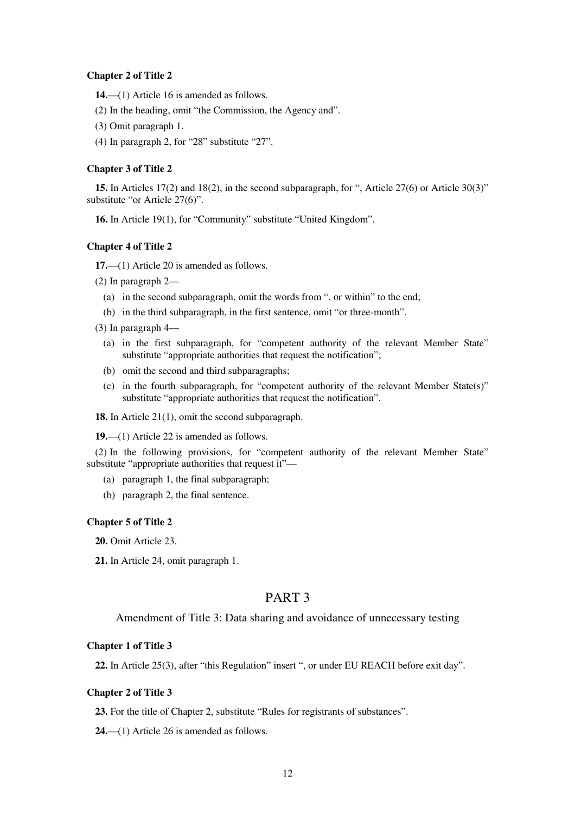### **Chapter 2 of Title 2**

- **14.**—(1) Article 16 is amended as follows.
- (2) In the heading, omit "the Commission, the Agency and".
- (3) Omit paragraph 1.
- (4) In paragraph 2, for "28" substitute "27".

### **Chapter 3 of Title 2**

**15.** In Articles 17(2) and 18(2), in the second subparagraph, for ", Article 27(6) or Article 30(3)" substitute "or Article 27(6)".

**16.** In Article 19(1), for "Community" substitute "United Kingdom".

#### **Chapter 4 of Title 2**

**17.**—(1) Article 20 is amended as follows.

- (2) In paragraph 2—
	- (a) in the second subparagraph, omit the words from ", or within" to the end;
	- (b) in the third subparagraph, in the first sentence, omit "or three-month".
- (3) In paragraph 4—
	- (a) in the first subparagraph, for "competent authority of the relevant Member State" substitute "appropriate authorities that request the notification";
	- (b) omit the second and third subparagraphs;
	- (c) in the fourth subparagraph, for "competent authority of the relevant Member State(s)" substitute "appropriate authorities that request the notification".

**18.** In Article 21(1), omit the second subparagraph.

**19.**—(1) Article 22 is amended as follows.

(2) In the following provisions, for "competent authority of the relevant Member State" substitute "appropriate authorities that request it"—

- (a) paragraph 1, the final subparagraph;
- (b) paragraph 2, the final sentence.

#### **Chapter 5 of Title 2**

**20.** Omit Article 23.

**21.** In Article 24, omit paragraph 1.

### PART 3

Amendment of Title 3: Data sharing and avoidance of unnecessary testing

### **Chapter 1 of Title 3**

**22.** In Article 25(3), after "this Regulation" insert ", or under EU REACH before exit day".

### **Chapter 2 of Title 3**

**23.** For the title of Chapter 2, substitute "Rules for registrants of substances".

**24.**—(1) Article 26 is amended as follows.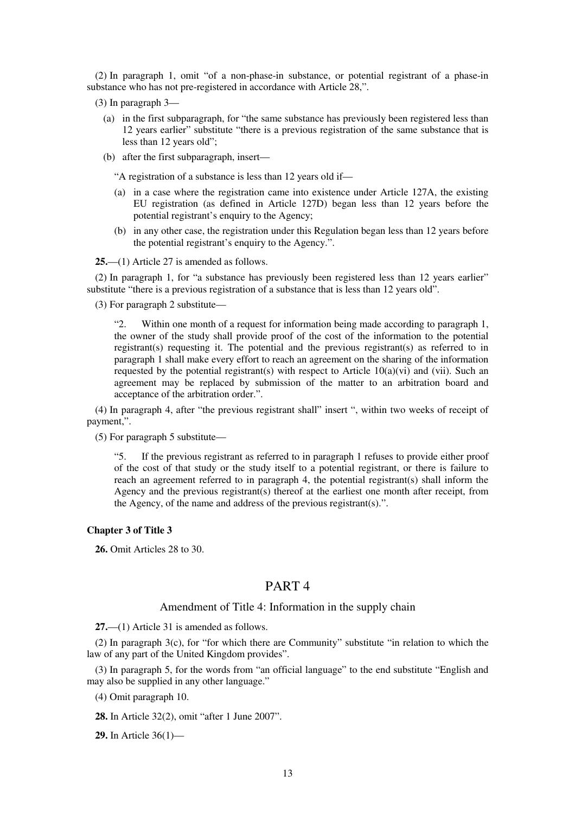(2) In paragraph 1, omit "of a non-phase-in substance, or potential registrant of a phase-in substance who has not pre-registered in accordance with Article 28,".

(3) In paragraph 3—

- (a) in the first subparagraph, for "the same substance has previously been registered less than 12 years earlier" substitute "there is a previous registration of the same substance that is less than 12 years old";
- (b) after the first subparagraph, insert—

"A registration of a substance is less than 12 years old if—

- (a) in a case where the registration came into existence under Article 127A, the existing EU registration (as defined in Article 127D) began less than 12 years before the potential registrant's enquiry to the Agency;
- (b) in any other case, the registration under this Regulation began less than 12 years before the potential registrant's enquiry to the Agency.".

**25.**—(1) Article 27 is amended as follows.

(2) In paragraph 1, for "a substance has previously been registered less than 12 years earlier" substitute "there is a previous registration of a substance that is less than 12 years old".

(3) For paragraph 2 substitute—

"2. Within one month of a request for information being made according to paragraph 1, the owner of the study shall provide proof of the cost of the information to the potential registrant(s) requesting it. The potential and the previous registrant(s) as referred to in paragraph 1 shall make every effort to reach an agreement on the sharing of the information requested by the potential registrant(s) with respect to Article  $10(a)(vi)$  and (vii). Such an agreement may be replaced by submission of the matter to an arbitration board and acceptance of the arbitration order.".

(4) In paragraph 4, after "the previous registrant shall" insert ", within two weeks of receipt of payment,".

(5) For paragraph 5 substitute—

"5. If the previous registrant as referred to in paragraph 1 refuses to provide either proof of the cost of that study or the study itself to a potential registrant, or there is failure to reach an agreement referred to in paragraph 4, the potential registrant(s) shall inform the Agency and the previous registrant(s) thereof at the earliest one month after receipt, from the Agency, of the name and address of the previous registrant(s).".

#### **Chapter 3 of Title 3**

**26.** Omit Articles 28 to 30.

### PART 4

#### Amendment of Title 4: Information in the supply chain

**27.**—(1) Article 31 is amended as follows.

(2) In paragraph 3(c), for "for which there are Community" substitute "in relation to which the law of any part of the United Kingdom provides".

(3) In paragraph 5, for the words from "an official language" to the end substitute "English and may also be supplied in any other language."

(4) Omit paragraph 10.

**28.** In Article 32(2), omit "after 1 June 2007".

**29.** In Article 36(1)—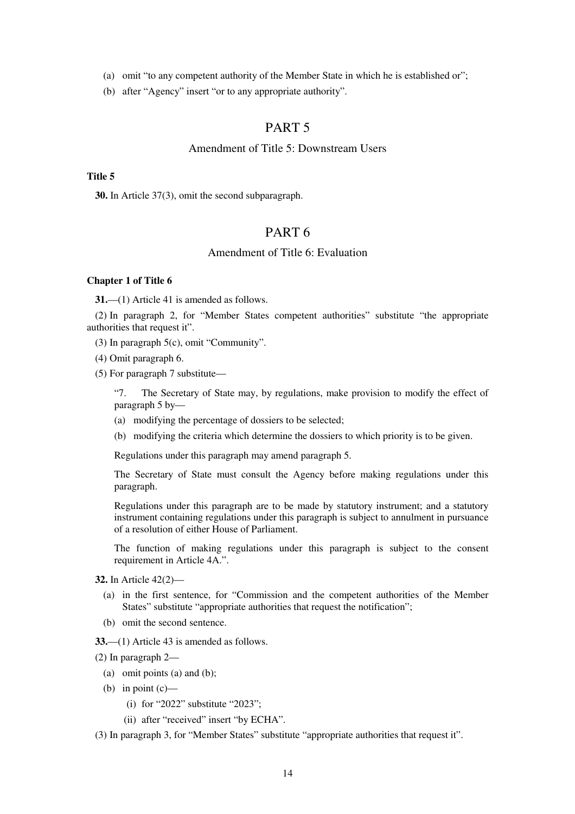(a) omit "to any competent authority of the Member State in which he is established or";

(b) after "Agency" insert "or to any appropriate authority".

### PART 5

### Amendment of Title 5: Downstream Users

### **Title 5**

**30.** In Article 37(3), omit the second subparagraph.

### PART 6

### Amendment of Title 6: Evaluation

### **Chapter 1 of Title 6**

**31.**—(1) Article 41 is amended as follows.

(2) In paragraph 2, for "Member States competent authorities" substitute "the appropriate authorities that request it".

(3) In paragraph 5(c), omit "Community".

(4) Omit paragraph 6.

(5) For paragraph 7 substitute—

"7. The Secretary of State may, by regulations, make provision to modify the effect of paragraph 5 by—

- (a) modifying the percentage of dossiers to be selected;
- (b) modifying the criteria which determine the dossiers to which priority is to be given.

Regulations under this paragraph may amend paragraph 5.

The Secretary of State must consult the Agency before making regulations under this paragraph.

Regulations under this paragraph are to be made by statutory instrument; and a statutory instrument containing regulations under this paragraph is subject to annulment in pursuance of a resolution of either House of Parliament.

The function of making regulations under this paragraph is subject to the consent requirement in Article 4A.".

**32.** In Article 42(2)—

- (a) in the first sentence, for "Commission and the competent authorities of the Member States" substitute "appropriate authorities that request the notification";
- (b) omit the second sentence.

**33.**—(1) Article 43 is amended as follows.

(2) In paragraph 2—

- (a) omit points (a) and (b);
- (b) in point  $(c)$ 
	- (i) for "2022" substitute "2023";
	- (ii) after "received" insert "by ECHA".

(3) In paragraph 3, for "Member States" substitute "appropriate authorities that request it".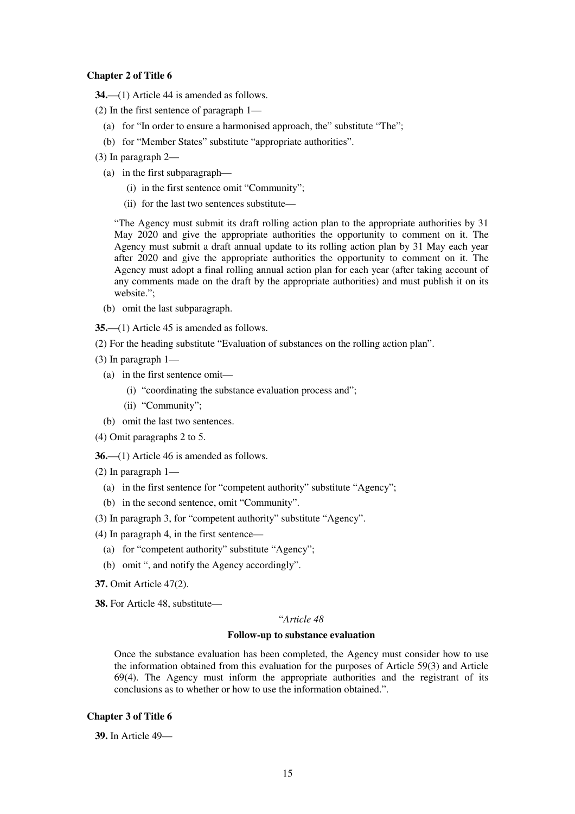### **Chapter 2 of Title 6**

- **34.**—(1) Article 44 is amended as follows.
- (2) In the first sentence of paragraph 1—
	- (a) for "In order to ensure a harmonised approach, the" substitute "The";
	- (b) for "Member States" substitute "appropriate authorities".
- (3) In paragraph 2—
	- (a) in the first subparagraph—
		- (i) in the first sentence omit "Community";
		- (ii) for the last two sentences substitute—

"The Agency must submit its draft rolling action plan to the appropriate authorities by 31 May 2020 and give the appropriate authorities the opportunity to comment on it. The Agency must submit a draft annual update to its rolling action plan by 31 May each year after 2020 and give the appropriate authorities the opportunity to comment on it. The Agency must adopt a final rolling annual action plan for each year (after taking account of any comments made on the draft by the appropriate authorities) and must publish it on its website.";

(b) omit the last subparagraph.

**35.**—(1) Article 45 is amended as follows.

- (2) For the heading substitute "Evaluation of substances on the rolling action plan".
- (3) In paragraph 1—
	- (a) in the first sentence omit—
		- (i) "coordinating the substance evaluation process and";
		- (ii) "Community";
	- (b) omit the last two sentences.
- (4) Omit paragraphs 2 to 5.

**36.**—(1) Article 46 is amended as follows.

- (2) In paragraph 1—
	- (a) in the first sentence for "competent authority" substitute "Agency";
	- (b) in the second sentence, omit "Community".
- (3) In paragraph 3, for "competent authority" substitute "Agency".
- (4) In paragraph 4, in the first sentence—
	- (a) for "competent authority" substitute "Agency";
	- (b) omit ", and notify the Agency accordingly".
- **37.** Omit Article 47(2).
- **38.** For Article 48, substitute—

### "*Article 48*

### **Follow-up to substance evaluation**

Once the substance evaluation has been completed, the Agency must consider how to use the information obtained from this evaluation for the purposes of Article 59(3) and Article 69(4). The Agency must inform the appropriate authorities and the registrant of its conclusions as to whether or how to use the information obtained.".

### **Chapter 3 of Title 6**

**39.** In Article 49—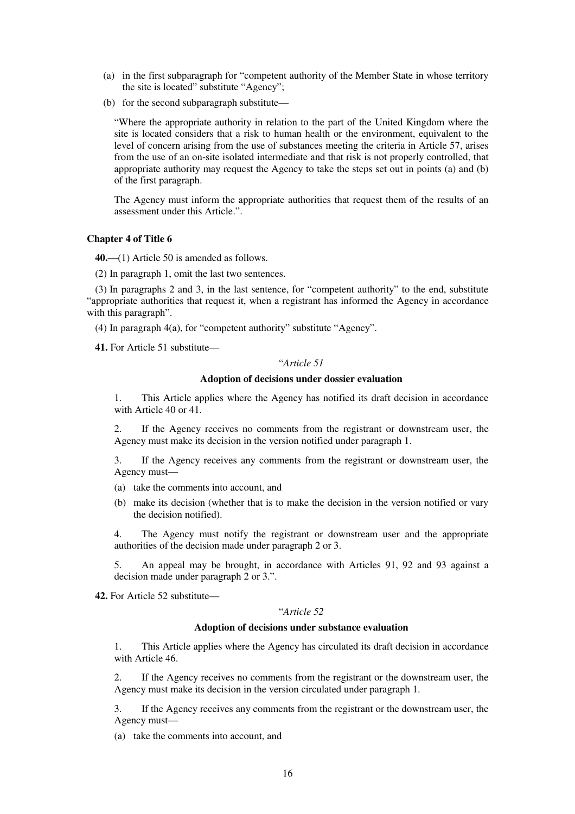- (a) in the first subparagraph for "competent authority of the Member State in whose territory the site is located" substitute "Agency";
- (b) for the second subparagraph substitute—

"Where the appropriate authority in relation to the part of the United Kingdom where the site is located considers that a risk to human health or the environment, equivalent to the level of concern arising from the use of substances meeting the criteria in Article 57, arises from the use of an on-site isolated intermediate and that risk is not properly controlled, that appropriate authority may request the Agency to take the steps set out in points (a) and (b) of the first paragraph.

The Agency must inform the appropriate authorities that request them of the results of an assessment under this Article.".

#### **Chapter 4 of Title 6**

**40.**—(1) Article 50 is amended as follows.

(2) In paragraph 1, omit the last two sentences.

(3) In paragraphs 2 and 3, in the last sentence, for "competent authority" to the end, substitute "appropriate authorities that request it, when a registrant has informed the Agency in accordance with this paragraph".

(4) In paragraph 4(a), for "competent authority" substitute "Agency".

**41.** For Article 51 substitute—

### "*Article 51*

### **Adoption of decisions under dossier evaluation**

1. This Article applies where the Agency has notified its draft decision in accordance with Article 40 or 41.

2. If the Agency receives no comments from the registrant or downstream user, the Agency must make its decision in the version notified under paragraph 1.

3. If the Agency receives any comments from the registrant or downstream user, the Agency must—

(a) take the comments into account, and

(b) make its decision (whether that is to make the decision in the version notified or vary the decision notified).

4. The Agency must notify the registrant or downstream user and the appropriate authorities of the decision made under paragraph 2 or 3.

5. An appeal may be brought, in accordance with Articles 91, 92 and 93 against a decision made under paragraph 2 or 3.".

**42.** For Article 52 substitute—

### "*Article 52*

### **Adoption of decisions under substance evaluation**

1. This Article applies where the Agency has circulated its draft decision in accordance with Article 46.

2. If the Agency receives no comments from the registrant or the downstream user, the Agency must make its decision in the version circulated under paragraph 1.

3. If the Agency receives any comments from the registrant or the downstream user, the Agency must—

(a) take the comments into account, and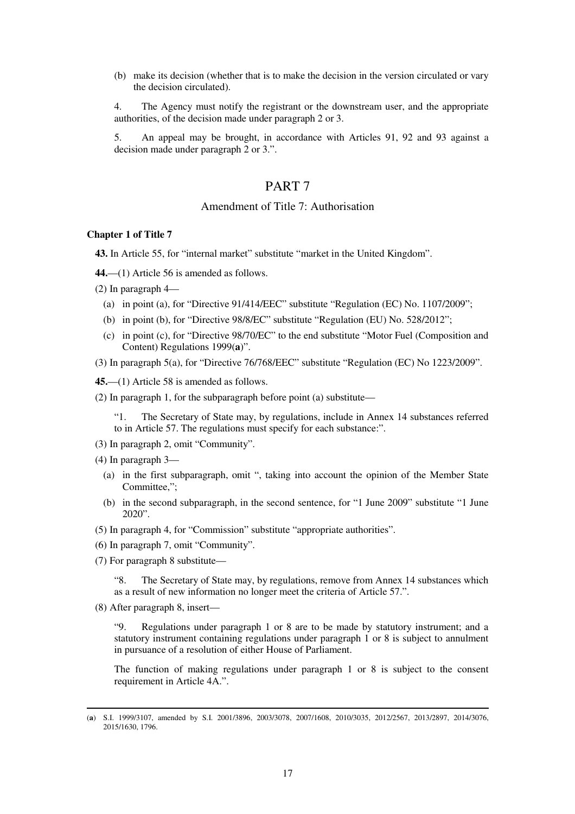(b) make its decision (whether that is to make the decision in the version circulated or vary the decision circulated).

4. The Agency must notify the registrant or the downstream user, and the appropriate authorities, of the decision made under paragraph 2 or 3.

5. An appeal may be brought, in accordance with Articles 91, 92 and 93 against a decision made under paragraph 2 or 3.".

### PART 7

### Amendment of Title 7: Authorisation

#### **Chapter 1 of Title 7**

**43.** In Article 55, for "internal market" substitute "market in the United Kingdom".

**44.**—(1) Article 56 is amended as follows.

(2) In paragraph 4—

- (a) in point (a), for "Directive  $91/414/EEC$ " substitute "Regulation (EC) No. 1107/2009";
- (b) in point (b), for "Directive 98/8/EC" substitute "Regulation (EU) No. 528/2012";
- (c) in point (c), for "Directive 98/70/EC" to the end substitute "Motor Fuel (Composition and Content) Regulations 1999(**a**)".
- (3) In paragraph 5(a), for "Directive 76/768/EEC" substitute "Regulation (EC) No 1223/2009".

**45.**—(1) Article 58 is amended as follows.

(2) In paragraph 1, for the subparagraph before point (a) substitute—

"1. The Secretary of State may, by regulations, include in Annex 14 substances referred to in Article 57. The regulations must specify for each substance:".

- (3) In paragraph 2, omit "Community".
- (4) In paragraph 3—
	- (a) in the first subparagraph, omit ", taking into account the opinion of the Member State Committee.":
	- (b) in the second subparagraph, in the second sentence, for "1 June 2009" substitute "1 June 2020".
- (5) In paragraph 4, for "Commission" substitute "appropriate authorities".
- (6) In paragraph 7, omit "Community".
- (7) For paragraph 8 substitute—

"8. The Secretary of State may, by regulations, remove from Annex 14 substances which as a result of new information no longer meet the criteria of Article 57.".

(8) After paragraph 8, insert—

-

"9. Regulations under paragraph 1 or 8 are to be made by statutory instrument; and a statutory instrument containing regulations under paragraph 1 or 8 is subject to annulment in pursuance of a resolution of either House of Parliament.

The function of making regulations under paragraph 1 or 8 is subject to the consent requirement in Article 4A.".

<sup>(</sup>**a**) S.I. 1999/3107, amended by S.I. 2001/3896, 2003/3078, 2007/1608, 2010/3035, 2012/2567, 2013/2897, 2014/3076, 2015/1630, 1796.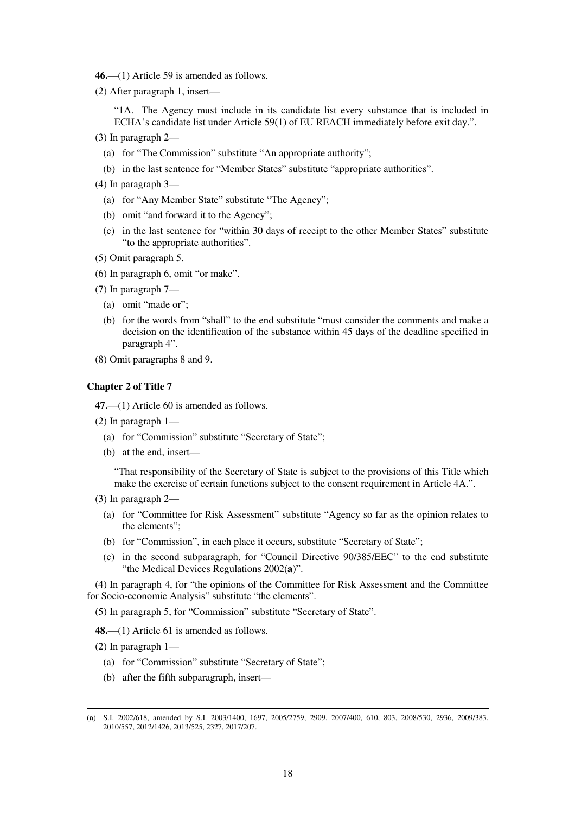- **46.**—(1) Article 59 is amended as follows.
- (2) After paragraph 1, insert—

"1A. The Agency must include in its candidate list every substance that is included in ECHA's candidate list under Article 59(1) of EU REACH immediately before exit day.".

- (3) In paragraph 2—
	- (a) for "The Commission" substitute "An appropriate authority";
	- (b) in the last sentence for "Member States" substitute "appropriate authorities".
- (4) In paragraph 3—
	- (a) for "Any Member State" substitute "The Agency";
	- (b) omit "and forward it to the Agency";
	- (c) in the last sentence for "within 30 days of receipt to the other Member States" substitute "to the appropriate authorities".
- (5) Omit paragraph 5.
- (6) In paragraph 6, omit "or make".
- (7) In paragraph 7—
	- (a) omit "made or";
	- (b) for the words from "shall" to the end substitute "must consider the comments and make a decision on the identification of the substance within 45 days of the deadline specified in paragraph 4".
- (8) Omit paragraphs 8 and 9.

### **Chapter 2 of Title 7**

**47.**—(1) Article 60 is amended as follows.

- (2) In paragraph 1—
	- (a) for "Commission" substitute "Secretary of State";
	- (b) at the end, insert—

"That responsibility of the Secretary of State is subject to the provisions of this Title which make the exercise of certain functions subject to the consent requirement in Article 4A.".

- (3) In paragraph 2—
	- (a) for "Committee for Risk Assessment" substitute "Agency so far as the opinion relates to the elements";
	- (b) for "Commission", in each place it occurs, substitute "Secretary of State";
	- (c) in the second subparagraph, for "Council Directive 90/385/EEC" to the end substitute "the Medical Devices Regulations 2002(**a**)".

(4) In paragraph 4, for "the opinions of the Committee for Risk Assessment and the Committee for Socio-economic Analysis" substitute "the elements".

(5) In paragraph 5, for "Commission" substitute "Secretary of State".

**48.**—(1) Article 61 is amended as follows.

(2) In paragraph 1—

- (a) for "Commission" substitute "Secretary of State";
- (b) after the fifth subparagraph, insert—

<sup>(</sup>**a**) S.I. 2002/618, amended by S.I. 2003/1400, 1697, 2005/2759, 2909, 2007/400, 610, 803, 2008/530, 2936, 2009/383, 2010/557, 2012/1426, 2013/525, 2327, 2017/207.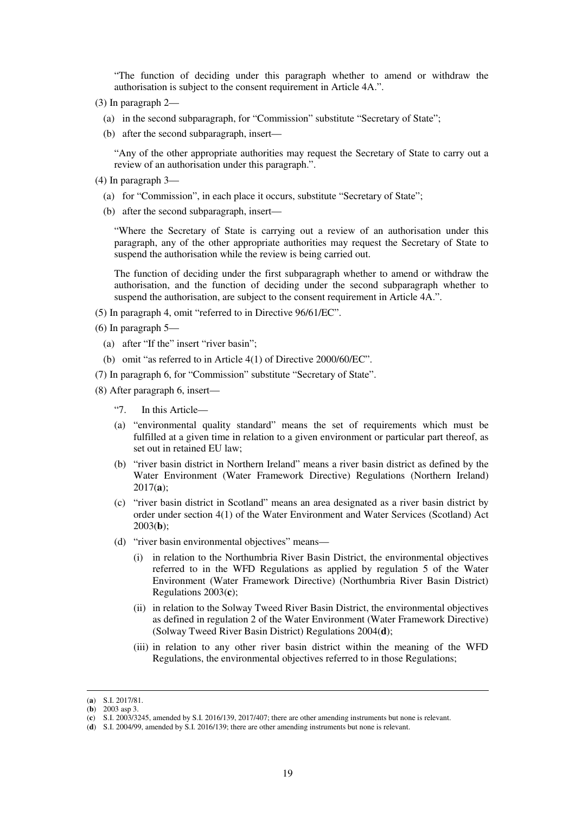"The function of deciding under this paragraph whether to amend or withdraw the authorisation is subject to the consent requirement in Article 4A.".

- (3) In paragraph 2—
	- (a) in the second subparagraph, for "Commission" substitute "Secretary of State";
	- (b) after the second subparagraph, insert—

"Any of the other appropriate authorities may request the Secretary of State to carry out a review of an authorisation under this paragraph.".

- (4) In paragraph 3—
	- (a) for "Commission", in each place it occurs, substitute "Secretary of State";
	- (b) after the second subparagraph, insert—

"Where the Secretary of State is carrying out a review of an authorisation under this paragraph, any of the other appropriate authorities may request the Secretary of State to suspend the authorisation while the review is being carried out.

The function of deciding under the first subparagraph whether to amend or withdraw the authorisation, and the function of deciding under the second subparagraph whether to suspend the authorisation, are subject to the consent requirement in Article 4A.".

(5) In paragraph 4, omit "referred to in Directive 96/61/EC".

- (6) In paragraph 5—
	- (a) after "If the" insert "river basin";
	- (b) omit "as referred to in Article 4(1) of Directive 2000/60/EC".
- (7) In paragraph 6, for "Commission" substitute "Secretary of State".
- (8) After paragraph 6, insert—
	- "7. In this Article—
	- (a) "environmental quality standard" means the set of requirements which must be fulfilled at a given time in relation to a given environment or particular part thereof, as set out in retained EU law;
	- (b) "river basin district in Northern Ireland" means a river basin district as defined by the Water Environment (Water Framework Directive) Regulations (Northern Ireland) 2017(**a**);
	- (c) "river basin district in Scotland" means an area designated as a river basin district by order under section 4(1) of the Water Environment and Water Services (Scotland) Act 2003(**b**);
	- (d) "river basin environmental objectives" means—
		- (i) in relation to the Northumbria River Basin District, the environmental objectives referred to in the WFD Regulations as applied by regulation 5 of the Water Environment (Water Framework Directive) (Northumbria River Basin District) Regulations 2003(**c**);
		- (ii) in relation to the Solway Tweed River Basin District, the environmental objectives as defined in regulation 2 of the Water Environment (Water Framework Directive) (Solway Tweed River Basin District) Regulations 2004(**d**);
		- (iii) in relation to any other river basin district within the meaning of the WFD Regulations, the environmental objectives referred to in those Regulations;

<sup>(</sup>**a**) S.I. 2017/81.

<sup>(</sup>**b**) 2003 asp 3.

<sup>(</sup>**c**) S.I. 2003/3245, amended by S.I. 2016/139, 2017/407; there are other amending instruments but none is relevant.

<sup>(</sup>**d**) S.I. 2004/99, amended by S.I. 2016/139; there are other amending instruments but none is relevant.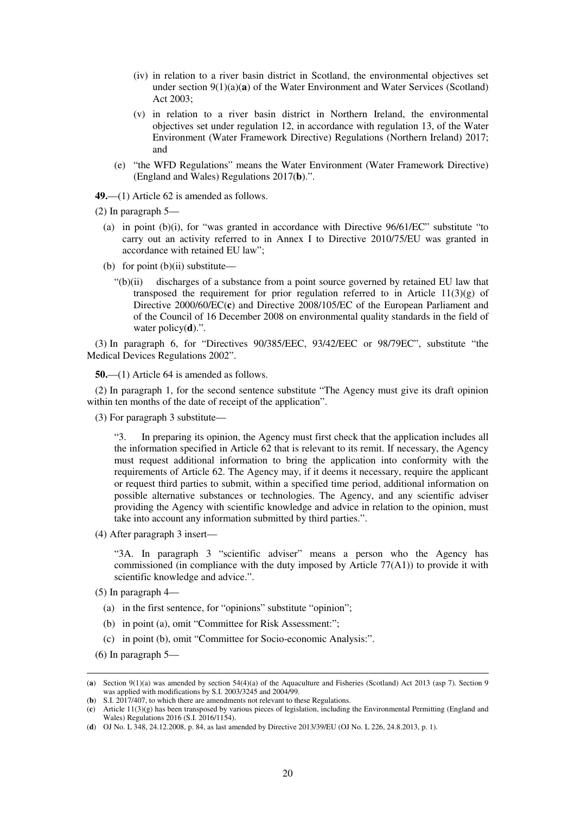- (iv) in relation to a river basin district in Scotland, the environmental objectives set under section  $9(1)(a)(a)$  of the Water Environment and Water Services (Scotland) Act 2003;
- (v) in relation to a river basin district in Northern Ireland, the environmental objectives set under regulation 12, in accordance with regulation 13, of the Water Environment (Water Framework Directive) Regulations (Northern Ireland) 2017; and
- (e) "the WFD Regulations" means the Water Environment (Water Framework Directive) (England and Wales) Regulations 2017(**b**).".

**49.**—(1) Article 62 is amended as follows.

(2) In paragraph 5—

- (a) in point (b)(i), for "was granted in accordance with Directive 96/61/EC" substitute "to carry out an activity referred to in Annex I to Directive 2010/75/EU was granted in accordance with retained EU law";
- (b) for point (b)(ii) substitute—
	- "(b)(ii) discharges of a substance from a point source governed by retained EU law that transposed the requirement for prior regulation referred to in Article  $11(3)(g)$  of Directive 2000/60/EC(**c**) and Directive 2008/105/EC of the European Parliament and of the Council of 16 December 2008 on environmental quality standards in the field of water policy(**d**).".

(3) In paragraph 6, for "Directives 90/385/EEC, 93/42/EEC or 98/79EC", substitute "the Medical Devices Regulations 2002".

**50.**—(1) Article 64 is amended as follows.

(2) In paragraph 1, for the second sentence substitute "The Agency must give its draft opinion within ten months of the date of receipt of the application".

(3) For paragraph 3 substitute—

"3. In preparing its opinion, the Agency must first check that the application includes all the information specified in Article 62 that is relevant to its remit. If necessary, the Agency must request additional information to bring the application into conformity with the requirements of Article 62. The Agency may, if it deems it necessary, require the applicant or request third parties to submit, within a specified time period, additional information on possible alternative substances or technologies. The Agency, and any scientific adviser providing the Agency with scientific knowledge and advice in relation to the opinion, must take into account any information submitted by third parties.".

(4) After paragraph 3 insert—

"3A. In paragraph 3 "scientific adviser" means a person who the Agency has commissioned (in compliance with the duty imposed by Article 77(A1)) to provide it with scientific knowledge and advice.".

- (5) In paragraph 4—
	- (a) in the first sentence, for "opinions" substitute "opinion";
	- (b) in point (a), omit "Committee for Risk Assessment:";
	- (c) in point (b), omit "Committee for Socio-economic Analysis:".
- (6) In paragraph 5—

<sup>(</sup>**a**) Section 9(1)(a) was amended by section 54(4)(a) of the Aquaculture and Fisheries (Scotland) Act 2013 (asp 7). Section 9 was applied with modifications by S.I. 2003/3245 and 2004/99.

<sup>(</sup>**b**) S.I. 2017/407, to which there are amendments not relevant to these Regulations.

<sup>(</sup>**c**) Article 11(3)(g) has been transposed by various pieces of legislation, including the Environmental Permitting (England and Wales) Regulations 2016 (S.I. 2016/1154).

<sup>(</sup>**d**) OJ No. L 348, 24.12.2008, p. 84, as last amended by Directive 2013/39/EU (OJ No. L 226, 24.8.2013, p. 1).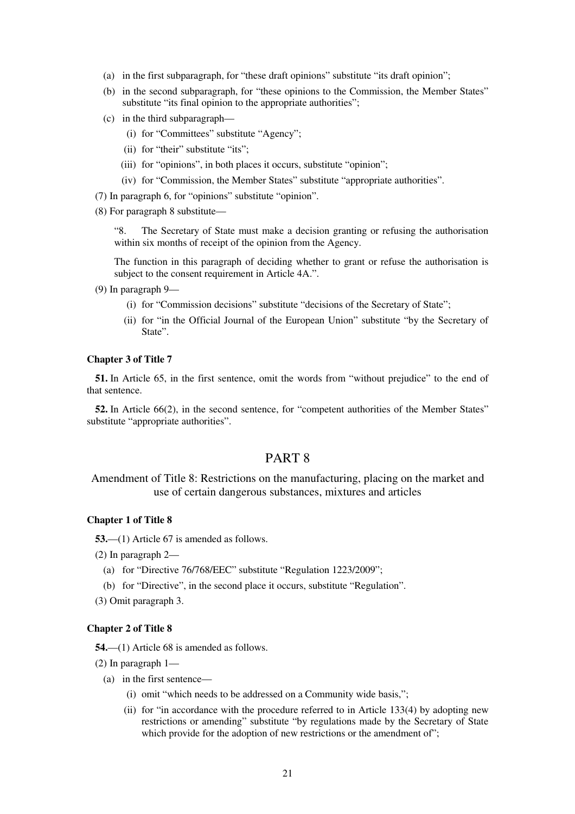- (a) in the first subparagraph, for "these draft opinions" substitute "its draft opinion";
- (b) in the second subparagraph, for "these opinions to the Commission, the Member States" substitute "its final opinion to the appropriate authorities":
- (c) in the third subparagraph—
	- (i) for "Committees" substitute "Agency";
	- (ii) for "their" substitute "its";
	- (iii) for "opinions", in both places it occurs, substitute "opinion";
	- (iv) for "Commission, the Member States" substitute "appropriate authorities".
- (7) In paragraph 6, for "opinions" substitute "opinion".
- (8) For paragraph 8 substitute—

"8. The Secretary of State must make a decision granting or refusing the authorisation within six months of receipt of the opinion from the Agency.

The function in this paragraph of deciding whether to grant or refuse the authorisation is subject to the consent requirement in Article 4A.".

- (9) In paragraph 9—
	- (i) for "Commission decisions" substitute "decisions of the Secretary of State";
	- (ii) for "in the Official Journal of the European Union" substitute "by the Secretary of State".

### **Chapter 3 of Title 7**

**51.** In Article 65, in the first sentence, omit the words from "without prejudice" to the end of that sentence.

**52.** In Article 66(2), in the second sentence, for "competent authorities of the Member States" substitute "appropriate authorities".

### PART 8

Amendment of Title 8: Restrictions on the manufacturing, placing on the market and use of certain dangerous substances, mixtures and articles

#### **Chapter 1 of Title 8**

**53.**—(1) Article 67 is amended as follows.

- (2) In paragraph 2—
	- (a) for "Directive 76/768/EEC" substitute "Regulation 1223/2009";
	- (b) for "Directive", in the second place it occurs, substitute "Regulation".
- (3) Omit paragraph 3.

#### **Chapter 2 of Title 8**

**54.**—(1) Article 68 is amended as follows.

(2) In paragraph 1—

- (a) in the first sentence—
	- (i) omit "which needs to be addressed on a Community wide basis,";
	- (ii) for "in accordance with the procedure referred to in Article 133(4) by adopting new restrictions or amending" substitute "by regulations made by the Secretary of State which provide for the adoption of new restrictions or the amendment of";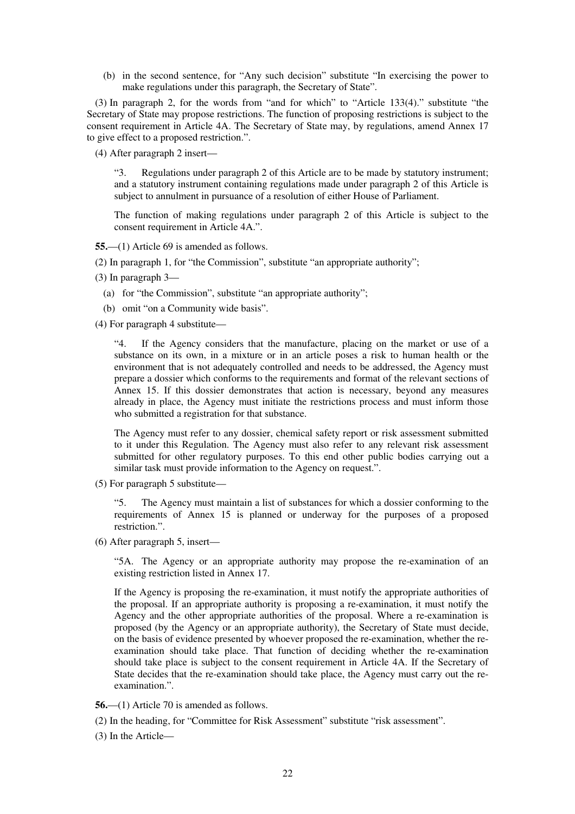(b) in the second sentence, for "Any such decision" substitute "In exercising the power to make regulations under this paragraph, the Secretary of State".

(3) In paragraph 2, for the words from "and for which" to "Article 133(4)." substitute "the Secretary of State may propose restrictions. The function of proposing restrictions is subject to the consent requirement in Article 4A. The Secretary of State may, by regulations, amend Annex 17 to give effect to a proposed restriction.".

(4) After paragraph 2 insert—

"3. Regulations under paragraph 2 of this Article are to be made by statutory instrument; and a statutory instrument containing regulations made under paragraph 2 of this Article is subject to annulment in pursuance of a resolution of either House of Parliament.

The function of making regulations under paragraph 2 of this Article is subject to the consent requirement in Article 4A.".

**55.**—(1) Article 69 is amended as follows.

(2) In paragraph 1, for "the Commission", substitute "an appropriate authority";

(3) In paragraph 3—

- (a) for "the Commission", substitute "an appropriate authority";
- (b) omit "on a Community wide basis".

(4) For paragraph 4 substitute—

"4. If the Agency considers that the manufacture, placing on the market or use of a substance on its own, in a mixture or in an article poses a risk to human health or the environment that is not adequately controlled and needs to be addressed, the Agency must prepare a dossier which conforms to the requirements and format of the relevant sections of Annex 15. If this dossier demonstrates that action is necessary, beyond any measures already in place, the Agency must initiate the restrictions process and must inform those who submitted a registration for that substance.

The Agency must refer to any dossier, chemical safety report or risk assessment submitted to it under this Regulation. The Agency must also refer to any relevant risk assessment submitted for other regulatory purposes. To this end other public bodies carrying out a similar task must provide information to the Agency on request.".

(5) For paragraph 5 substitute—

The Agency must maintain a list of substances for which a dossier conforming to the requirements of Annex 15 is planned or underway for the purposes of a proposed restriction.".

(6) After paragraph 5, insert—

"5A. The Agency or an appropriate authority may propose the re-examination of an existing restriction listed in Annex 17.

If the Agency is proposing the re-examination, it must notify the appropriate authorities of the proposal. If an appropriate authority is proposing a re-examination, it must notify the Agency and the other appropriate authorities of the proposal. Where a re-examination is proposed (by the Agency or an appropriate authority), the Secretary of State must decide, on the basis of evidence presented by whoever proposed the re-examination, whether the reexamination should take place. That function of deciding whether the re-examination should take place is subject to the consent requirement in Article 4A. If the Secretary of State decides that the re-examination should take place, the Agency must carry out the reexamination.".

- **56.**—(1) Article 70 is amended as follows.
- (2) In the heading, for "Committee for Risk Assessment" substitute "risk assessment".
- (3) In the Article—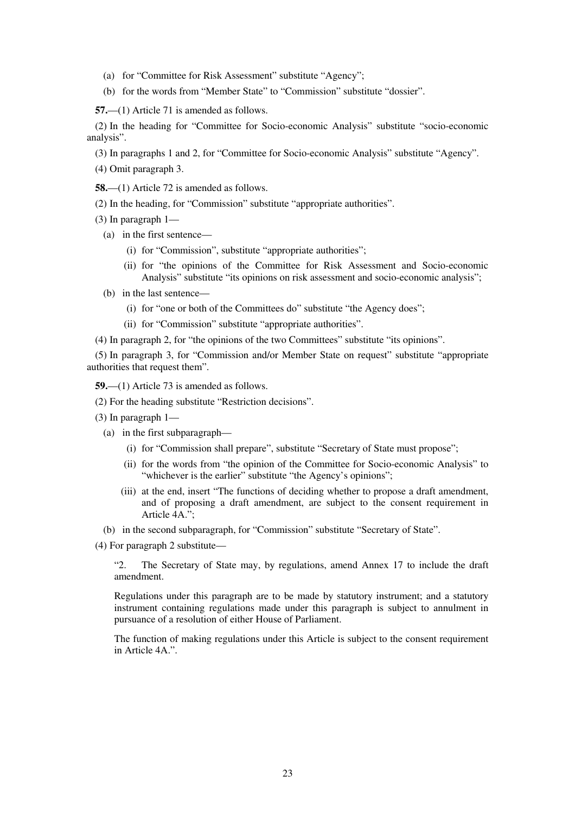- (a) for "Committee for Risk Assessment" substitute "Agency";
- (b) for the words from "Member State" to "Commission" substitute "dossier".

**57.**—(1) Article 71 is amended as follows.

(2) In the heading for "Committee for Socio-economic Analysis" substitute "socio-economic analysis".

(3) In paragraphs 1 and 2, for "Committee for Socio-economic Analysis" substitute "Agency".

(4) Omit paragraph 3.

**58.**—(1) Article 72 is amended as follows.

(2) In the heading, for "Commission" substitute "appropriate authorities".

- (3) In paragraph 1—
	- (a) in the first sentence—
		- (i) for "Commission", substitute "appropriate authorities";
		- (ii) for "the opinions of the Committee for Risk Assessment and Socio-economic Analysis" substitute "its opinions on risk assessment and socio-economic analysis";
	- (b) in the last sentence—
		- (i) for "one or both of the Committees do" substitute "the Agency does";
		- (ii) for "Commission" substitute "appropriate authorities".

(4) In paragraph 2, for "the opinions of the two Committees" substitute "its opinions".

(5) In paragraph 3, for "Commission and/or Member State on request" substitute "appropriate authorities that request them".

**59.**—(1) Article 73 is amended as follows.

- (2) For the heading substitute "Restriction decisions".
- (3) In paragraph 1—
	- (a) in the first subparagraph—
		- (i) for "Commission shall prepare", substitute "Secretary of State must propose";
		- (ii) for the words from "the opinion of the Committee for Socio-economic Analysis" to "whichever is the earlier" substitute "the Agency's opinions";
		- (iii) at the end, insert "The functions of deciding whether to propose a draft amendment, and of proposing a draft amendment, are subject to the consent requirement in Article 4A.";
	- (b) in the second subparagraph, for "Commission" substitute "Secretary of State".
- (4) For paragraph 2 substitute—

"2. The Secretary of State may, by regulations, amend Annex 17 to include the draft amendment.

Regulations under this paragraph are to be made by statutory instrument; and a statutory instrument containing regulations made under this paragraph is subject to annulment in pursuance of a resolution of either House of Parliament.

The function of making regulations under this Article is subject to the consent requirement in Article 4A.".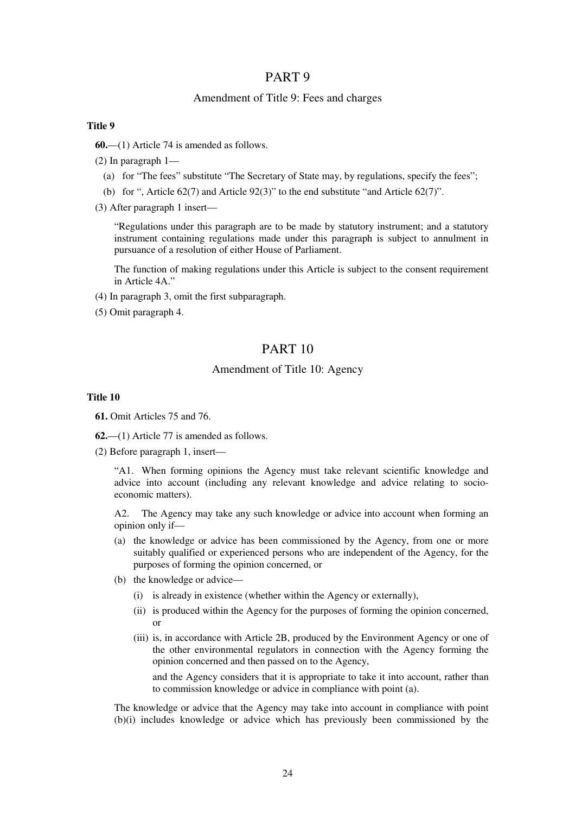### PART 9

### Amendment of Title 9: Fees and charges

### **Title 9**

**60.**—(1) Article 74 is amended as follows.

(2) In paragraph 1—

- (a) for "The fees" substitute "The Secretary of State may, by regulations, specify the fees";
- (b) for ", Article 62(7) and Article 92(3)" to the end substitute "and Article 62(7)".
- (3) After paragraph 1 insert—

"Regulations under this paragraph are to be made by statutory instrument; and a statutory instrument containing regulations made under this paragraph is subject to annulment in pursuance of a resolution of either House of Parliament.

The function of making regulations under this Article is subject to the consent requirement in Article 4A."

- (4) In paragraph 3, omit the first subparagraph.
- (5) Omit paragraph 4.

### PART 10

### Amendment of Title 10: Agency

### **Title 10**

**61.** Omit Articles 75 and 76.

- **62.**—(1) Article 77 is amended as follows.
- (2) Before paragraph 1, insert—

"A1. When forming opinions the Agency must take relevant scientific knowledge and advice into account (including any relevant knowledge and advice relating to socioeconomic matters).

A2. The Agency may take any such knowledge or advice into account when forming an opinion only if—

- (a) the knowledge or advice has been commissioned by the Agency, from one or more suitably qualified or experienced persons who are independent of the Agency, for the purposes of forming the opinion concerned, or
- (b) the knowledge or advice—
	- (i) is already in existence (whether within the Agency or externally),
	- (ii) is produced within the Agency for the purposes of forming the opinion concerned, or
	- (iii) is, in accordance with Article 2B, produced by the Environment Agency or one of the other environmental regulators in connection with the Agency forming the opinion concerned and then passed on to the Agency,

and the Agency considers that it is appropriate to take it into account, rather than to commission knowledge or advice in compliance with point (a).

The knowledge or advice that the Agency may take into account in compliance with point (b)(i) includes knowledge or advice which has previously been commissioned by the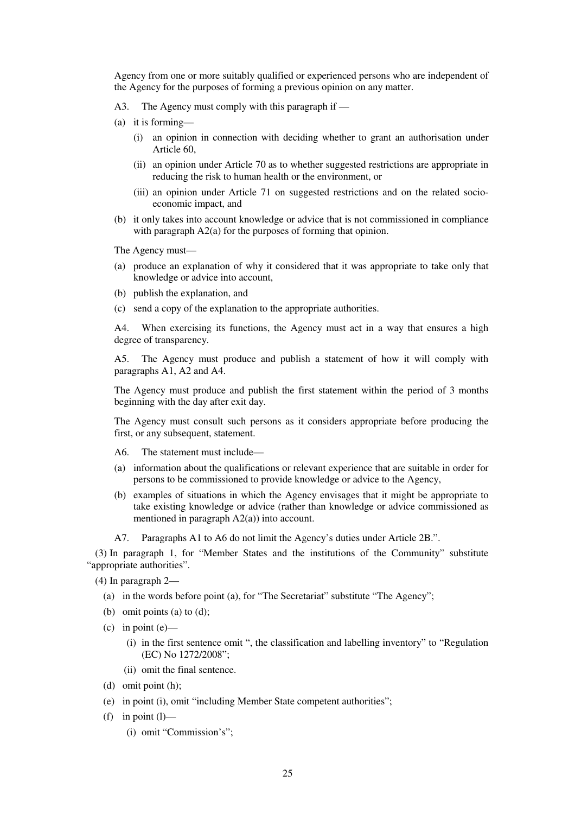Agency from one or more suitably qualified or experienced persons who are independent of the Agency for the purposes of forming a previous opinion on any matter.

- A3. The Agency must comply with this paragraph if —
- (a) it is forming—
	- (i) an opinion in connection with deciding whether to grant an authorisation under Article 60,
	- (ii) an opinion under Article 70 as to whether suggested restrictions are appropriate in reducing the risk to human health or the environment, or
	- (iii) an opinion under Article 71 on suggested restrictions and on the related socioeconomic impact, and
- (b) it only takes into account knowledge or advice that is not commissioned in compliance with paragraph  $A2(a)$  for the purposes of forming that opinion.

The Agency must—

- (a) produce an explanation of why it considered that it was appropriate to take only that knowledge or advice into account,
- (b) publish the explanation, and
- (c) send a copy of the explanation to the appropriate authorities.

A4. When exercising its functions, the Agency must act in a way that ensures a high degree of transparency.

A5. The Agency must produce and publish a statement of how it will comply with paragraphs A1, A2 and A4.

The Agency must produce and publish the first statement within the period of 3 months beginning with the day after exit day.

The Agency must consult such persons as it considers appropriate before producing the first, or any subsequent, statement.

A6. The statement must include—

- (a) information about the qualifications or relevant experience that are suitable in order for persons to be commissioned to provide knowledge or advice to the Agency,
- (b) examples of situations in which the Agency envisages that it might be appropriate to take existing knowledge or advice (rather than knowledge or advice commissioned as mentioned in paragraph A2(a)) into account.

A7. Paragraphs A1 to A6 do not limit the Agency's duties under Article 2B.".

(3) In paragraph 1, for "Member States and the institutions of the Community" substitute "appropriate authorities".

(4) In paragraph 2—

- (a) in the words before point (a), for "The Secretariat" substitute "The Agency";
- (b) omit points (a) to (d);
- $(c)$  in point  $(e)$ 
	- (i) in the first sentence omit ", the classification and labelling inventory" to "Regulation (EC) No 1272/2008";
	- (ii) omit the final sentence.
- (d) omit point (h);
- (e) in point (i), omit "including Member State competent authorities";
- (f) in point  $(l)$ 
	- (i) omit "Commission's";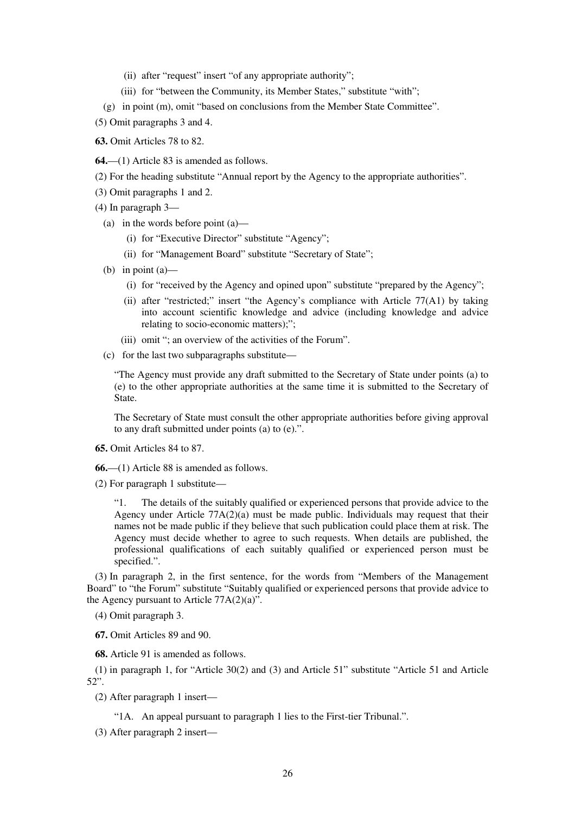- (ii) after "request" insert "of any appropriate authority";
- (iii) for "between the Community, its Member States," substitute "with";
- (g) in point (m), omit "based on conclusions from the Member State Committee".
- (5) Omit paragraphs 3 and 4.
- **63.** Omit Articles 78 to 82.
- **64.**—(1) Article 83 is amended as follows.
- (2) For the heading substitute "Annual report by the Agency to the appropriate authorities".
- (3) Omit paragraphs 1 and 2.
- (4) In paragraph 3—
	- (a) in the words before point (a)—
		- (i) for "Executive Director" substitute "Agency";
		- (ii) for "Management Board" substitute "Secretary of State";
	- (b) in point  $(a)$ 
		- (i) for "received by the Agency and opined upon" substitute "prepared by the Agency";
		- (ii) after "restricted;" insert "the Agency's compliance with Article 77(A1) by taking into account scientific knowledge and advice (including knowledge and advice relating to socio-economic matters);";
		- (iii) omit "; an overview of the activities of the Forum".
	- (c) for the last two subparagraphs substitute—

"The Agency must provide any draft submitted to the Secretary of State under points (a) to (e) to the other appropriate authorities at the same time it is submitted to the Secretary of State.

The Secretary of State must consult the other appropriate authorities before giving approval to any draft submitted under points (a) to (e).".

- **65.** Omit Articles 84 to 87.
- **66.**—(1) Article 88 is amended as follows.
- (2) For paragraph 1 substitute—

"1. The details of the suitably qualified or experienced persons that provide advice to the Agency under Article 77A(2)(a) must be made public. Individuals may request that their names not be made public if they believe that such publication could place them at risk. The Agency must decide whether to agree to such requests. When details are published, the professional qualifications of each suitably qualified or experienced person must be specified.".

(3) In paragraph 2, in the first sentence, for the words from "Members of the Management Board" to "the Forum" substitute "Suitably qualified or experienced persons that provide advice to the Agency pursuant to Article  $77A(2)(a)$ ".

(4) Omit paragraph 3.

**67.** Omit Articles 89 and 90.

**68.** Article 91 is amended as follows.

(1) in paragraph 1, for "Article 30(2) and (3) and Article 51" substitute "Article 51 and Article 52".

- (2) After paragraph 1 insert—
	- "1A. An appeal pursuant to paragraph 1 lies to the First-tier Tribunal.".
- (3) After paragraph 2 insert—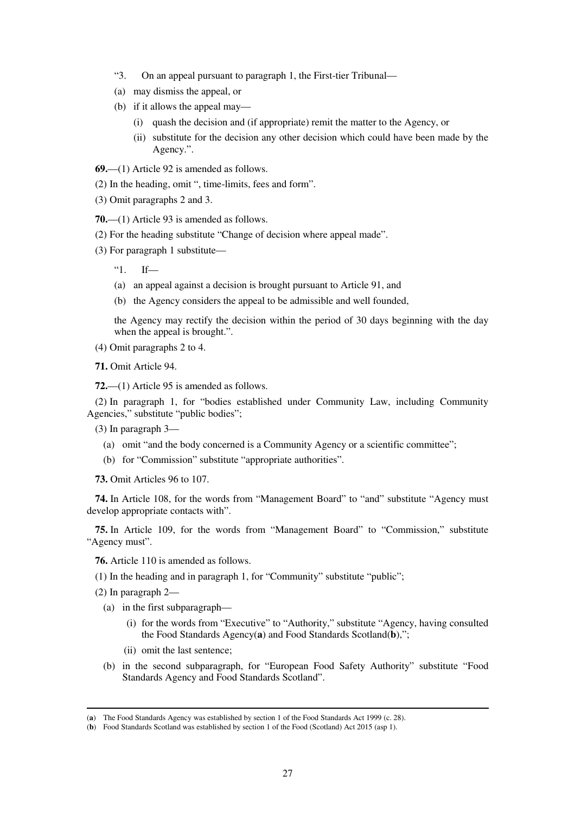- "3. On an appeal pursuant to paragraph 1, the First-tier Tribunal—
- (a) may dismiss the appeal, or
- (b) if it allows the appeal may—
	- (i) quash the decision and (if appropriate) remit the matter to the Agency, or
	- (ii) substitute for the decision any other decision which could have been made by the Agency.".

**69.**—(1) Article 92 is amended as follows.

- (2) In the heading, omit ", time-limits, fees and form".
- (3) Omit paragraphs 2 and 3.
- **70.**—(1) Article 93 is amended as follows.
- (2) For the heading substitute "Change of decision where appeal made".
- (3) For paragraph 1 substitute—
	- "1. If—
	- (a) an appeal against a decision is brought pursuant to Article 91, and
	- (b) the Agency considers the appeal to be admissible and well founded,

the Agency may rectify the decision within the period of 30 days beginning with the day when the appeal is brought.".

(4) Omit paragraphs 2 to 4.

**71.** Omit Article 94.

**72.**—(1) Article 95 is amended as follows.

(2) In paragraph 1, for "bodies established under Community Law, including Community Agencies," substitute "public bodies";

(3) In paragraph 3—

- (a) omit "and the body concerned is a Community Agency or a scientific committee";
- (b) for "Commission" substitute "appropriate authorities".

**73.** Omit Articles 96 to 107.

**74.** In Article 108, for the words from "Management Board" to "and" substitute "Agency must develop appropriate contacts with".

**75.** In Article 109, for the words from "Management Board" to "Commission," substitute "Agency must".

**76.** Article 110 is amended as follows.

- (1) In the heading and in paragraph 1, for "Community" substitute "public";
- (2) In paragraph 2—

- (a) in the first subparagraph—
	- (i) for the words from "Executive" to "Authority," substitute "Agency, having consulted the Food Standards Agency(**a**) and Food Standards Scotland(**b**),";
	- (ii) omit the last sentence;
- (b) in the second subparagraph, for "European Food Safety Authority" substitute "Food Standards Agency and Food Standards Scotland".

<sup>(</sup>**a**) The Food Standards Agency was established by section 1 of the Food Standards Act 1999 (c. 28).

<sup>(</sup>**b**) Food Standards Scotland was established by section 1 of the Food (Scotland) Act 2015 (asp 1).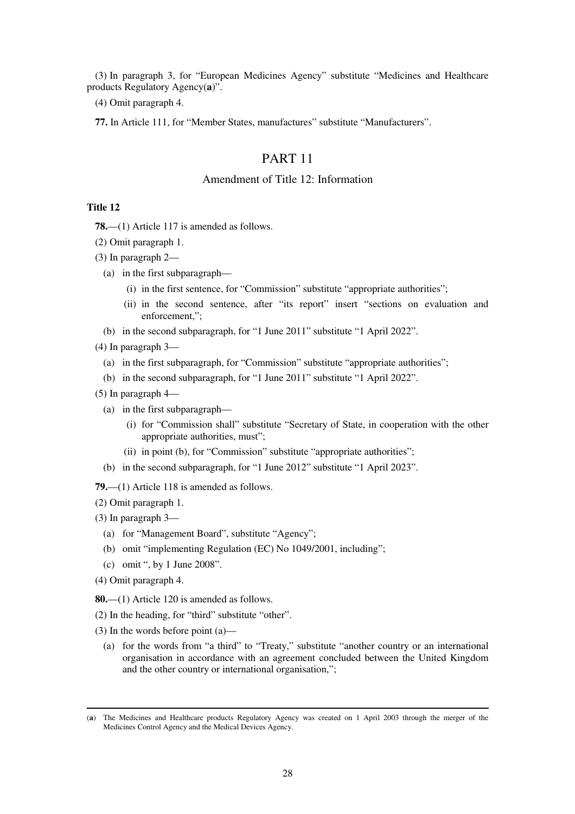(3) In paragraph 3, for "European Medicines Agency" substitute "Medicines and Healthcare products Regulatory Agency(**a**)".

(4) Omit paragraph 4.

**77.** In Article 111, for "Member States, manufactures" substitute "Manufacturers".

### PART 11

### Amendment of Title 12: Information

### **Title 12**

**78.**—(1) Article 117 is amended as follows.

- (2) Omit paragraph 1.
- (3) In paragraph 2—
	- (a) in the first subparagraph—
		- (i) in the first sentence, for "Commission" substitute "appropriate authorities";
		- (ii) in the second sentence, after "its report" insert "sections on evaluation and enforcement,";
	- (b) in the second subparagraph, for "1 June 2011" substitute "1 April 2022".
- (4) In paragraph 3—
	- (a) in the first subparagraph, for "Commission" substitute "appropriate authorities";
	- (b) in the second subparagraph, for "1 June 2011" substitute "1 April 2022".
- (5) In paragraph 4—
	- (a) in the first subparagraph—
		- (i) for "Commission shall" substitute "Secretary of State, in cooperation with the other appropriate authorities, must";
		- (ii) in point (b), for "Commission" substitute "appropriate authorities";
	- (b) in the second subparagraph, for "1 June 2012" substitute "1 April 2023".
- **79.**—(1) Article 118 is amended as follows.
- (2) Omit paragraph 1.
- (3) In paragraph 3—
	- (a) for "Management Board", substitute "Agency";
	- (b) omit "implementing Regulation (EC) No 1049/2001, including";
	- (c) omit ", by 1 June 2008".
- (4) Omit paragraph 4.

- **80.**—(1) Article 120 is amended as follows.
- (2) In the heading, for "third" substitute "other".
- (3) In the words before point (a)—
	- (a) for the words from "a third" to "Treaty," substitute "another country or an international organisation in accordance with an agreement concluded between the United Kingdom and the other country or international organisation,";

<sup>(</sup>**a**) The Medicines and Healthcare products Regulatory Agency was created on 1 April 2003 through the merger of the Medicines Control Agency and the Medical Devices Agency.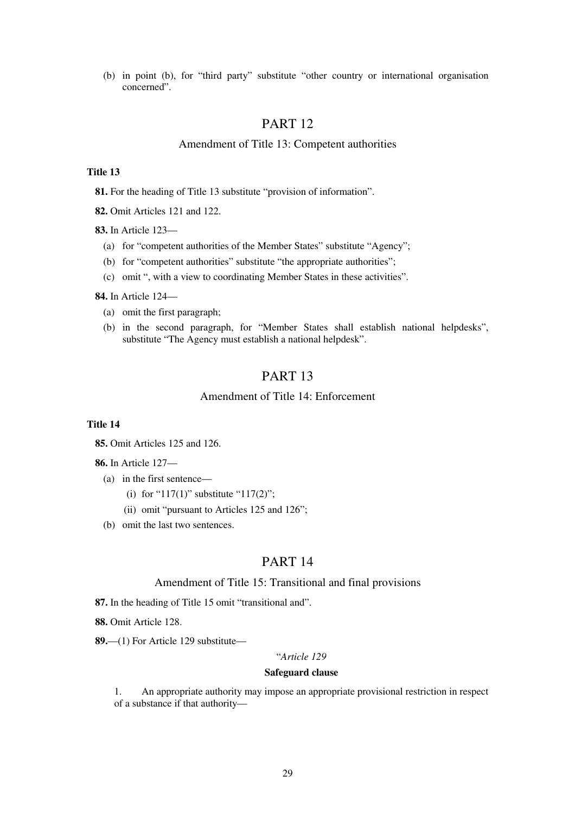(b) in point (b), for "third party" substitute "other country or international organisation concerned".

### PART 12

### Amendment of Title 13: Competent authorities

### **Title 13**

**81.** For the heading of Title 13 substitute "provision of information".

**82.** Omit Articles 121 and 122.

**83.** In Article 123—

- (a) for "competent authorities of the Member States" substitute "Agency";
- (b) for "competent authorities" substitute "the appropriate authorities";
- (c) omit ", with a view to coordinating Member States in these activities".

**84.** In Article 124—

- (a) omit the first paragraph;
- (b) in the second paragraph, for "Member States shall establish national helpdesks", substitute "The Agency must establish a national helpdesk".

### PART 13

### Amendment of Title 14: Enforcement

### **Title 14**

**85.** Omit Articles 125 and 126.

**86.** In Article 127—

- (a) in the first sentence—
	- (i) for "117(1)" substitute "117(2)";
	- (ii) omit "pursuant to Articles 125 and 126";
- (b) omit the last two sentences.

### PART 14

### Amendment of Title 15: Transitional and final provisions

**87.** In the heading of Title 15 omit "transitional and".

**88.** Omit Article 128.

**89.**—(1) For Article 129 substitute—

### "*Article 129*

### **Safeguard clause**

1. An appropriate authority may impose an appropriate provisional restriction in respect of a substance if that authority—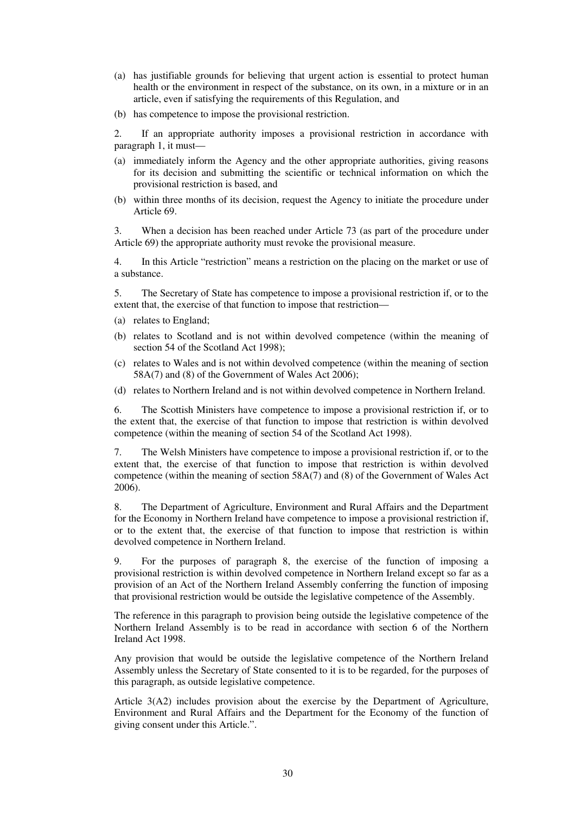- (a) has justifiable grounds for believing that urgent action is essential to protect human health or the environment in respect of the substance, on its own, in a mixture or in an article, even if satisfying the requirements of this Regulation, and
- (b) has competence to impose the provisional restriction.

2. If an appropriate authority imposes a provisional restriction in accordance with paragraph 1, it must—

- (a) immediately inform the Agency and the other appropriate authorities, giving reasons for its decision and submitting the scientific or technical information on which the provisional restriction is based, and
- (b) within three months of its decision, request the Agency to initiate the procedure under Article 69.

3. When a decision has been reached under Article 73 (as part of the procedure under Article 69) the appropriate authority must revoke the provisional measure.

4. In this Article "restriction" means a restriction on the placing on the market or use of a substance.

5. The Secretary of State has competence to impose a provisional restriction if, or to the extent that, the exercise of that function to impose that restriction—

- (a) relates to England;
- (b) relates to Scotland and is not within devolved competence (within the meaning of section 54 of the Scotland Act 1998);
- (c) relates to Wales and is not within devolved competence (within the meaning of section 58A(7) and (8) of the Government of Wales Act 2006);
- (d) relates to Northern Ireland and is not within devolved competence in Northern Ireland.

6. The Scottish Ministers have competence to impose a provisional restriction if, or to the extent that, the exercise of that function to impose that restriction is within devolved competence (within the meaning of section 54 of the Scotland Act 1998).

7. The Welsh Ministers have competence to impose a provisional restriction if, or to the extent that, the exercise of that function to impose that restriction is within devolved competence (within the meaning of section 58A(7) and (8) of the Government of Wales Act 2006).

8. The Department of Agriculture, Environment and Rural Affairs and the Department for the Economy in Northern Ireland have competence to impose a provisional restriction if, or to the extent that, the exercise of that function to impose that restriction is within devolved competence in Northern Ireland.

9. For the purposes of paragraph 8, the exercise of the function of imposing a provisional restriction is within devolved competence in Northern Ireland except so far as a provision of an Act of the Northern Ireland Assembly conferring the function of imposing that provisional restriction would be outside the legislative competence of the Assembly.

The reference in this paragraph to provision being outside the legislative competence of the Northern Ireland Assembly is to be read in accordance with section 6 of the Northern Ireland Act 1998.

Any provision that would be outside the legislative competence of the Northern Ireland Assembly unless the Secretary of State consented to it is to be regarded, for the purposes of this paragraph, as outside legislative competence.

Article 3(A2) includes provision about the exercise by the Department of Agriculture, Environment and Rural Affairs and the Department for the Economy of the function of giving consent under this Article.".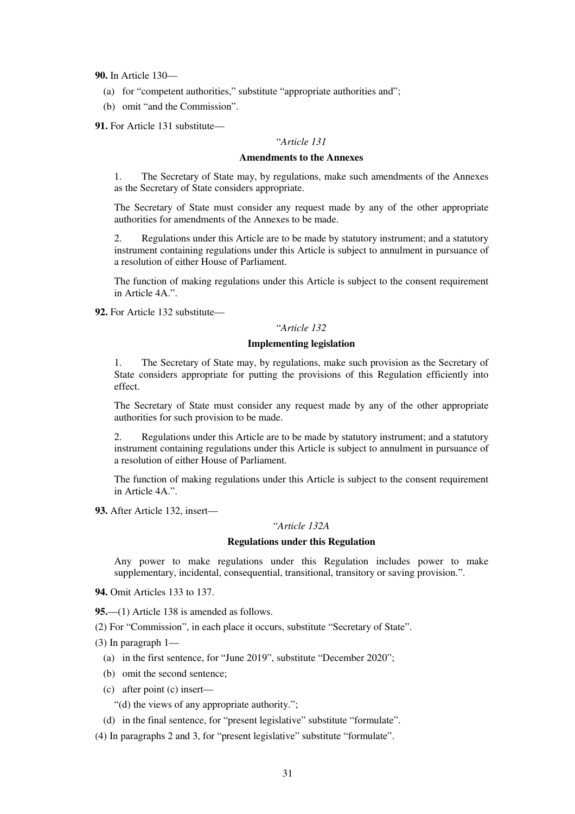**90.** In Article 130—

- (a) for "competent authorities," substitute "appropriate authorities and";
- (b) omit "and the Commission".

**91.** For Article 131 substitute—

#### "*Article 131*

### **Amendments to the Annexes**

1. The Secretary of State may, by regulations, make such amendments of the Annexes as the Secretary of State considers appropriate.

The Secretary of State must consider any request made by any of the other appropriate authorities for amendments of the Annexes to be made.

Regulations under this Article are to be made by statutory instrument; and a statutory instrument containing regulations under this Article is subject to annulment in pursuance of a resolution of either House of Parliament.

The function of making regulations under this Article is subject to the consent requirement in Article 4A.".

**92.** For Article 132 substitute—

### "*Article 132*

### **Implementing legislation**

1. The Secretary of State may, by regulations, make such provision as the Secretary of State considers appropriate for putting the provisions of this Regulation efficiently into effect.

The Secretary of State must consider any request made by any of the other appropriate authorities for such provision to be made.

2. Regulations under this Article are to be made by statutory instrument; and a statutory instrument containing regulations under this Article is subject to annulment in pursuance of a resolution of either House of Parliament.

The function of making regulations under this Article is subject to the consent requirement in Article 4A.".

**93.** After Article 132, insert—

### "*Article 132A*

#### **Regulations under this Regulation**

Any power to make regulations under this Regulation includes power to make supplementary, incidental, consequential, transitional, transitory or saving provision.".

**94.** Omit Articles 133 to 137.

**95.**—(1) Article 138 is amended as follows.

(2) For "Commission", in each place it occurs, substitute "Secretary of State".

(3) In paragraph 1—

- (a) in the first sentence, for "June 2019", substitute "December 2020";
- (b) omit the second sentence;
- (c) after point (c) insert—

"(d) the views of any appropriate authority.";

(d) in the final sentence, for "present legislative" substitute "formulate".

(4) In paragraphs 2 and 3, for "present legislative" substitute "formulate".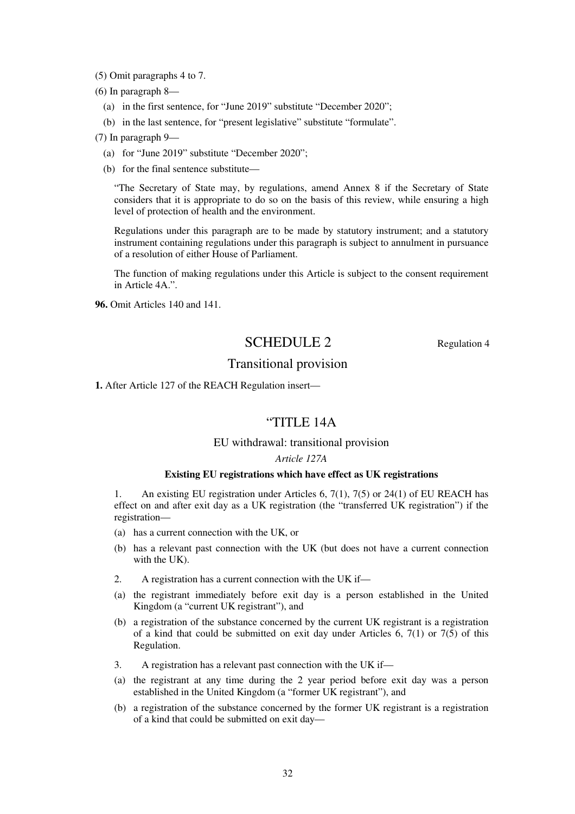(5) Omit paragraphs 4 to 7.

(6) In paragraph 8—

- (a) in the first sentence, for "June 2019" substitute "December 2020";
- (b) in the last sentence, for "present legislative" substitute "formulate".

(7) In paragraph 9—

- (a) for "June 2019" substitute "December 2020";
- (b) for the final sentence substitute—

"The Secretary of State may, by regulations, amend Annex 8 if the Secretary of State considers that it is appropriate to do so on the basis of this review, while ensuring a high level of protection of health and the environment.

Regulations under this paragraph are to be made by statutory instrument; and a statutory instrument containing regulations under this paragraph is subject to annulment in pursuance of a resolution of either House of Parliament.

The function of making regulations under this Article is subject to the consent requirement in Article 4A.".

**96.** Omit Articles 140 and 141.

# SCHEDULE 2 Regulation 4

### Transitional provision

**1.** After Article 127 of the REACH Regulation insert—

### "TITLE 14A

### EU withdrawal: transitional provision

#### *Article 127A*

### **Existing EU registrations which have effect as UK registrations**

1. An existing EU registration under Articles 6, 7(1), 7(5) or 24(1) of EU REACH has effect on and after exit day as a UK registration (the "transferred UK registration") if the registration—

- (a) has a current connection with the UK, or
- (b) has a relevant past connection with the UK (but does not have a current connection with the UK).
- 2. A registration has a current connection with the UK if—
- (a) the registrant immediately before exit day is a person established in the United Kingdom (a "current UK registrant"), and
- (b) a registration of the substance concerned by the current UK registrant is a registration of a kind that could be submitted on exit day under Articles  $6, 7(1)$  or  $7(5)$  of this Regulation.
- 3. A registration has a relevant past connection with the UK if—
- (a) the registrant at any time during the 2 year period before exit day was a person established in the United Kingdom (a "former UK registrant"), and
- (b) a registration of the substance concerned by the former UK registrant is a registration of a kind that could be submitted on exit day—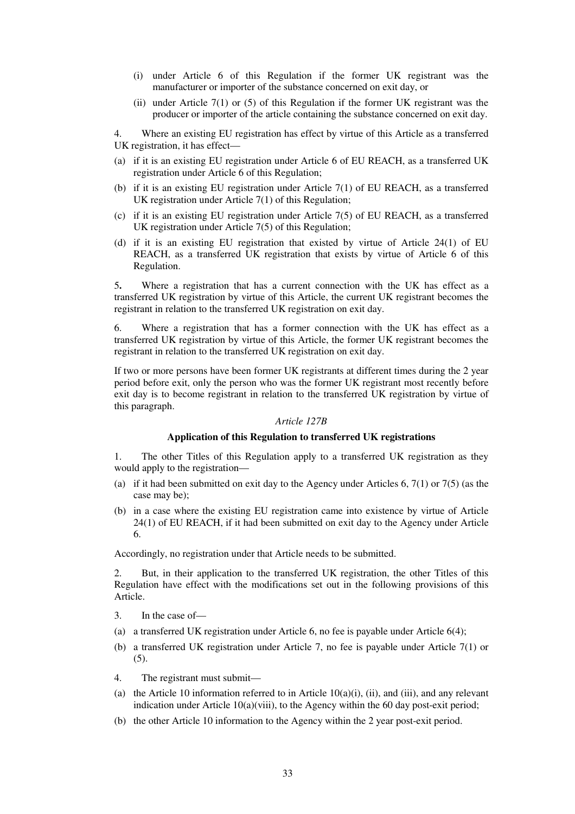- (i) under Article 6 of this Regulation if the former UK registrant was the manufacturer or importer of the substance concerned on exit day, or
- (ii) under Article 7(1) or (5) of this Regulation if the former UK registrant was the producer or importer of the article containing the substance concerned on exit day.

4. Where an existing EU registration has effect by virtue of this Article as a transferred UK registration, it has effect—

- (a) if it is an existing EU registration under Article 6 of EU REACH, as a transferred UK registration under Article 6 of this Regulation;
- (b) if it is an existing EU registration under Article 7(1) of EU REACH, as a transferred UK registration under Article 7(1) of this Regulation;
- (c) if it is an existing EU registration under Article 7(5) of EU REACH, as a transferred UK registration under Article 7(5) of this Regulation;
- (d) if it is an existing EU registration that existed by virtue of Article 24(1) of EU REACH, as a transferred UK registration that exists by virtue of Article 6 of this Regulation.

5**.** Where a registration that has a current connection with the UK has effect as a transferred UK registration by virtue of this Article, the current UK registrant becomes the registrant in relation to the transferred UK registration on exit day.

6. Where a registration that has a former connection with the UK has effect as a transferred UK registration by virtue of this Article, the former UK registrant becomes the registrant in relation to the transferred UK registration on exit day.

If two or more persons have been former UK registrants at different times during the 2 year period before exit, only the person who was the former UK registrant most recently before exit day is to become registrant in relation to the transferred UK registration by virtue of this paragraph.

### *Article 127B*

### **Application of this Regulation to transferred UK registrations**

1. The other Titles of this Regulation apply to a transferred UK registration as they would apply to the registration—

- (a) if it had been submitted on exit day to the Agency under Articles 6, 7(1) or 7(5) (as the case may be);
- (b) in a case where the existing EU registration came into existence by virtue of Article 24(1) of EU REACH, if it had been submitted on exit day to the Agency under Article 6.

Accordingly, no registration under that Article needs to be submitted.

2. But, in their application to the transferred UK registration, the other Titles of this Regulation have effect with the modifications set out in the following provisions of this Article.

- 3. In the case of—
- (a) a transferred UK registration under Article 6, no fee is payable under Article 6(4);
- (b) a transferred UK registration under Article 7, no fee is payable under Article 7(1) or (5).
- 4. The registrant must submit—
- (a) the Article 10 information referred to in Article  $10(a)(i)$ , (ii), and (iii), and any relevant indication under Article  $10(a)(viii)$ , to the Agency within the 60 day post-exit period;
- (b) the other Article 10 information to the Agency within the 2 year post-exit period.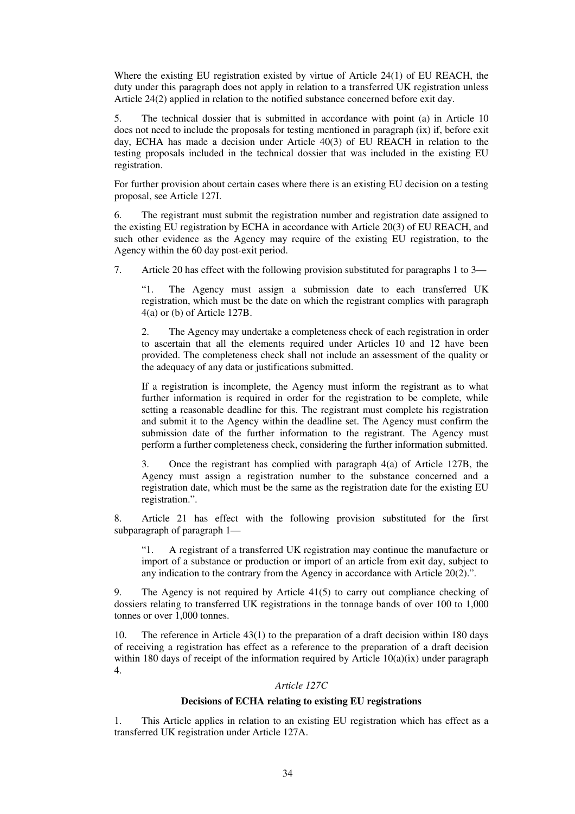Where the existing EU registration existed by virtue of Article 24(1) of EU REACH, the duty under this paragraph does not apply in relation to a transferred UK registration unless Article 24(2) applied in relation to the notified substance concerned before exit day.

5. The technical dossier that is submitted in accordance with point (a) in Article 10 does not need to include the proposals for testing mentioned in paragraph (ix) if, before exit day, ECHA has made a decision under Article 40(3) of EU REACH in relation to the testing proposals included in the technical dossier that was included in the existing EU registration.

For further provision about certain cases where there is an existing EU decision on a testing proposal, see Article 127I.

6. The registrant must submit the registration number and registration date assigned to the existing EU registration by ECHA in accordance with Article 20(3) of EU REACH, and such other evidence as the Agency may require of the existing EU registration, to the Agency within the 60 day post-exit period.

7. Article 20 has effect with the following provision substituted for paragraphs 1 to 3—

"1. The Agency must assign a submission date to each transferred UK registration, which must be the date on which the registrant complies with paragraph 4(a) or (b) of Article 127B.

2. The Agency may undertake a completeness check of each registration in order to ascertain that all the elements required under Articles 10 and 12 have been provided. The completeness check shall not include an assessment of the quality or the adequacy of any data or justifications submitted.

If a registration is incomplete, the Agency must inform the registrant as to what further information is required in order for the registration to be complete, while setting a reasonable deadline for this. The registrant must complete his registration and submit it to the Agency within the deadline set. The Agency must confirm the submission date of the further information to the registrant. The Agency must perform a further completeness check, considering the further information submitted.

3. Once the registrant has complied with paragraph 4(a) of Article 127B, the Agency must assign a registration number to the substance concerned and a registration date, which must be the same as the registration date for the existing EU registration.".

8. Article 21 has effect with the following provision substituted for the first subparagraph of paragraph 1—

"1. A registrant of a transferred UK registration may continue the manufacture or import of a substance or production or import of an article from exit day, subject to any indication to the contrary from the Agency in accordance with Article 20(2).".

9. The Agency is not required by Article 41(5) to carry out compliance checking of dossiers relating to transferred UK registrations in the tonnage bands of over 100 to 1,000 tonnes or over 1,000 tonnes.

10. The reference in Article 43(1) to the preparation of a draft decision within 180 days of receiving a registration has effect as a reference to the preparation of a draft decision within 180 days of receipt of the information required by Article  $10(a)(ix)$  under paragraph 4.

#### *Article 127C*

### **Decisions of ECHA relating to existing EU registrations**

1. This Article applies in relation to an existing EU registration which has effect as a transferred UK registration under Article 127A.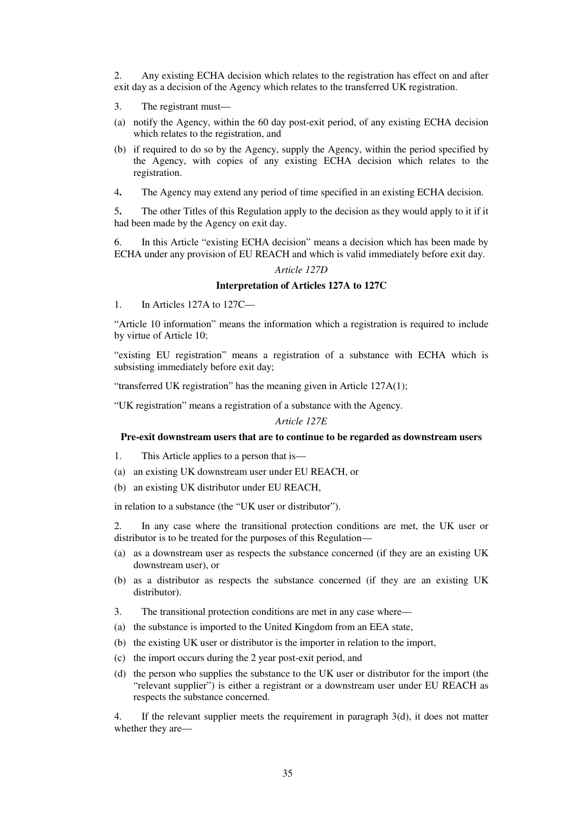2. Any existing ECHA decision which relates to the registration has effect on and after exit day as a decision of the Agency which relates to the transferred UK registration.

- 3. The registrant must—
- (a) notify the Agency, within the 60 day post-exit period, of any existing ECHA decision which relates to the registration, and
- (b) if required to do so by the Agency, supply the Agency, within the period specified by the Agency, with copies of any existing ECHA decision which relates to the registration.
- 4**.** The Agency may extend any period of time specified in an existing ECHA decision.

5**.** The other Titles of this Regulation apply to the decision as they would apply to it if it had been made by the Agency on exit day.

6. In this Article "existing ECHA decision" means a decision which has been made by ECHA under any provision of EU REACH and which is valid immediately before exit day.

### *Article 127D*

### **Interpretation of Articles 127A to 127C**

1. In Articles 127A to 127C—

"Article 10 information" means the information which a registration is required to include by virtue of Article 10;

"existing EU registration" means a registration of a substance with ECHA which is subsisting immediately before exit day;

"transferred UK registration" has the meaning given in Article 127A(1);

"UK registration" means a registration of a substance with the Agency.

### *Article 127E*

### **Pre-exit downstream users that are to continue to be regarded as downstream users**

- 1. This Article applies to a person that is—
- (a) an existing UK downstream user under EU REACH, or
- (b) an existing UK distributor under EU REACH,

in relation to a substance (the "UK user or distributor").

2. In any case where the transitional protection conditions are met, the UK user or distributor is to be treated for the purposes of this Regulation—

- (a) as a downstream user as respects the substance concerned (if they are an existing UK downstream user), or
- (b) as a distributor as respects the substance concerned (if they are an existing UK distributor).
- 3. The transitional protection conditions are met in any case where—
- (a) the substance is imported to the United Kingdom from an EEA state,
- (b) the existing UK user or distributor is the importer in relation to the import,
- (c) the import occurs during the 2 year post-exit period, and
- (d) the person who supplies the substance to the UK user or distributor for the import (the "relevant supplier") is either a registrant or a downstream user under EU REACH as respects the substance concerned.

4. If the relevant supplier meets the requirement in paragraph 3(d), it does not matter whether they are—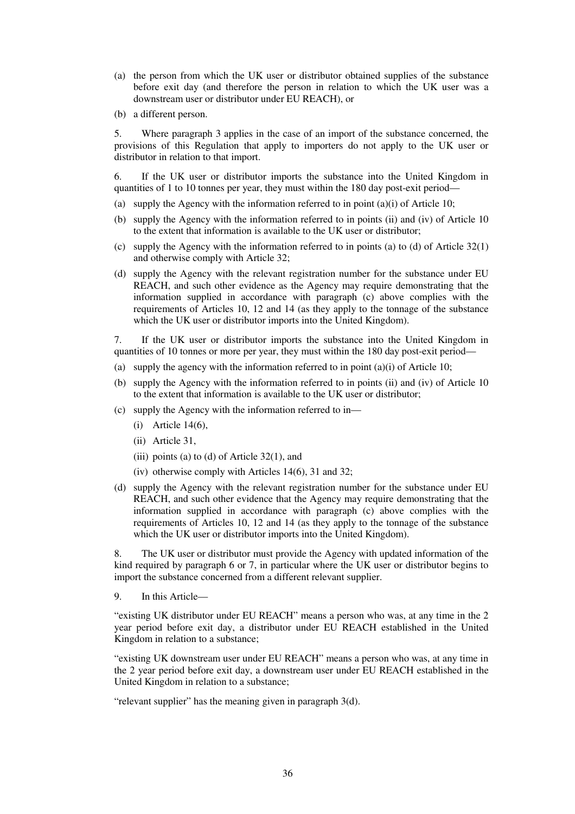- (a) the person from which the UK user or distributor obtained supplies of the substance before exit day (and therefore the person in relation to which the UK user was a downstream user or distributor under EU REACH), or
- (b) a different person.

5. Where paragraph 3 applies in the case of an import of the substance concerned, the provisions of this Regulation that apply to importers do not apply to the UK user or distributor in relation to that import.

6. If the UK user or distributor imports the substance into the United Kingdom in quantities of 1 to 10 tonnes per year, they must within the 180 day post-exit period—

- (a) supply the Agency with the information referred to in point (a)(i) of Article 10;
- (b) supply the Agency with the information referred to in points (ii) and (iv) of Article 10 to the extent that information is available to the UK user or distributor;
- (c) supply the Agency with the information referred to in points (a) to (d) of Article  $32(1)$ and otherwise comply with Article 32;
- (d) supply the Agency with the relevant registration number for the substance under EU REACH, and such other evidence as the Agency may require demonstrating that the information supplied in accordance with paragraph (c) above complies with the requirements of Articles 10, 12 and 14 (as they apply to the tonnage of the substance which the UK user or distributor imports into the United Kingdom).

7. If the UK user or distributor imports the substance into the United Kingdom in quantities of 10 tonnes or more per year, they must within the 180 day post-exit period—

- (a) supply the agency with the information referred to in point  $(a)(i)$  of Article 10;
- (b) supply the Agency with the information referred to in points (ii) and (iv) of Article 10 to the extent that information is available to the UK user or distributor;
- (c) supply the Agency with the information referred to in—
	- (i) Article 14(6),
	- (ii) Article 31,
	- (iii) points (a) to (d) of Article  $32(1)$ , and
	- (iv) otherwise comply with Articles 14(6), 31 and 32;
- (d) supply the Agency with the relevant registration number for the substance under EU REACH, and such other evidence that the Agency may require demonstrating that the information supplied in accordance with paragraph (c) above complies with the requirements of Articles 10, 12 and 14 (as they apply to the tonnage of the substance which the UK user or distributor imports into the United Kingdom).

8. The UK user or distributor must provide the Agency with updated information of the kind required by paragraph 6 or 7, in particular where the UK user or distributor begins to import the substance concerned from a different relevant supplier.

9. In this Article—

"existing UK distributor under EU REACH" means a person who was, at any time in the 2 year period before exit day, a distributor under EU REACH established in the United Kingdom in relation to a substance;

"existing UK downstream user under EU REACH" means a person who was, at any time in the 2 year period before exit day, a downstream user under EU REACH established in the United Kingdom in relation to a substance;

"relevant supplier" has the meaning given in paragraph 3(d).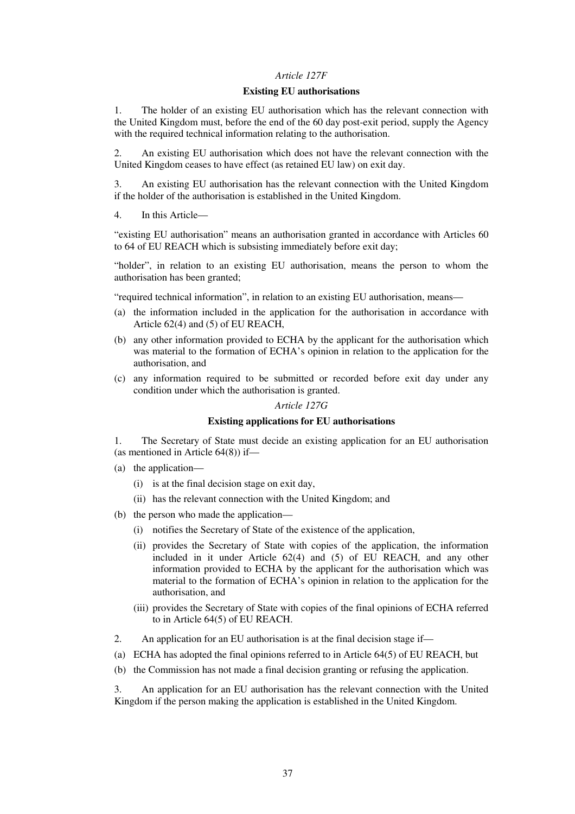### *Article 127F*

### **Existing EU authorisations**

1. The holder of an existing EU authorisation which has the relevant connection with the United Kingdom must, before the end of the 60 day post-exit period, supply the Agency with the required technical information relating to the authorisation.

2. An existing EU authorisation which does not have the relevant connection with the United Kingdom ceases to have effect (as retained EU law) on exit day.

3. An existing EU authorisation has the relevant connection with the United Kingdom if the holder of the authorisation is established in the United Kingdom.

4. In this Article—

"existing EU authorisation" means an authorisation granted in accordance with Articles 60 to 64 of EU REACH which is subsisting immediately before exit day;

"holder", in relation to an existing EU authorisation, means the person to whom the authorisation has been granted;

"required technical information", in relation to an existing EU authorisation, means—

- (a) the information included in the application for the authorisation in accordance with Article 62(4) and (5) of EU REACH,
- (b) any other information provided to ECHA by the applicant for the authorisation which was material to the formation of ECHA's opinion in relation to the application for the authorisation, and
- (c) any information required to be submitted or recorded before exit day under any condition under which the authorisation is granted.

#### *Article 127G*

#### **Existing applications for EU authorisations**

1. The Secretary of State must decide an existing application for an EU authorisation (as mentioned in Article 64(8)) if—

- (a) the application—
	- (i) is at the final decision stage on exit day,
	- (ii) has the relevant connection with the United Kingdom; and
- (b) the person who made the application—
	- (i) notifies the Secretary of State of the existence of the application,
	- (ii) provides the Secretary of State with copies of the application, the information included in it under Article 62(4) and (5) of EU REACH, and any other information provided to ECHA by the applicant for the authorisation which was material to the formation of ECHA's opinion in relation to the application for the authorisation, and
	- (iii) provides the Secretary of State with copies of the final opinions of ECHA referred to in Article 64(5) of EU REACH.
- 2. An application for an EU authorisation is at the final decision stage if—
- (a) ECHA has adopted the final opinions referred to in Article 64(5) of EU REACH, but
- (b) the Commission has not made a final decision granting or refusing the application.

3. An application for an EU authorisation has the relevant connection with the United Kingdom if the person making the application is established in the United Kingdom.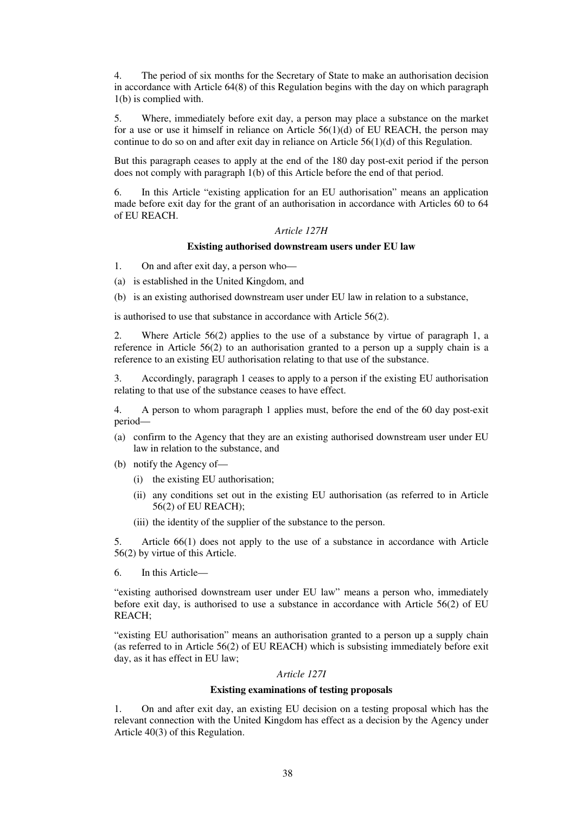4. The period of six months for the Secretary of State to make an authorisation decision in accordance with Article 64(8) of this Regulation begins with the day on which paragraph 1(b) is complied with.

5. Where, immediately before exit day, a person may place a substance on the market for a use or use it himself in reliance on Article 56(1)(d) of EU REACH, the person may continue to do so on and after exit day in reliance on Article 56(1)(d) of this Regulation.

But this paragraph ceases to apply at the end of the 180 day post-exit period if the person does not comply with paragraph 1(b) of this Article before the end of that period.

6. In this Article "existing application for an EU authorisation" means an application made before exit day for the grant of an authorisation in accordance with Articles 60 to 64 of EU REACH.

### *Article 127H*

#### **Existing authorised downstream users under EU law**

- 1. On and after exit day, a person who—
- (a) is established in the United Kingdom, and
- (b) is an existing authorised downstream user under EU law in relation to a substance,

is authorised to use that substance in accordance with Article 56(2).

2. Where Article 56(2) applies to the use of a substance by virtue of paragraph 1, a reference in Article 56(2) to an authorisation granted to a person up a supply chain is a reference to an existing EU authorisation relating to that use of the substance.

3. Accordingly, paragraph 1 ceases to apply to a person if the existing EU authorisation relating to that use of the substance ceases to have effect.

4. A person to whom paragraph 1 applies must, before the end of the 60 day post-exit period—

- (a) confirm to the Agency that they are an existing authorised downstream user under EU law in relation to the substance, and
- (b) notify the Agency of—
	- (i) the existing EU authorisation;
	- (ii) any conditions set out in the existing EU authorisation (as referred to in Article 56(2) of EU REACH);
	- (iii) the identity of the supplier of the substance to the person.

5. Article 66(1) does not apply to the use of a substance in accordance with Article 56(2) by virtue of this Article.

6. In this Article—

"existing authorised downstream user under EU law" means a person who, immediately before exit day, is authorised to use a substance in accordance with Article 56(2) of EU REACH;

"existing EU authorisation" means an authorisation granted to a person up a supply chain (as referred to in Article 56(2) of EU REACH) which is subsisting immediately before exit day, as it has effect in EU law;

### *Article 127I*

### **Existing examinations of testing proposals**

1. On and after exit day, an existing EU decision on a testing proposal which has the relevant connection with the United Kingdom has effect as a decision by the Agency under Article 40(3) of this Regulation.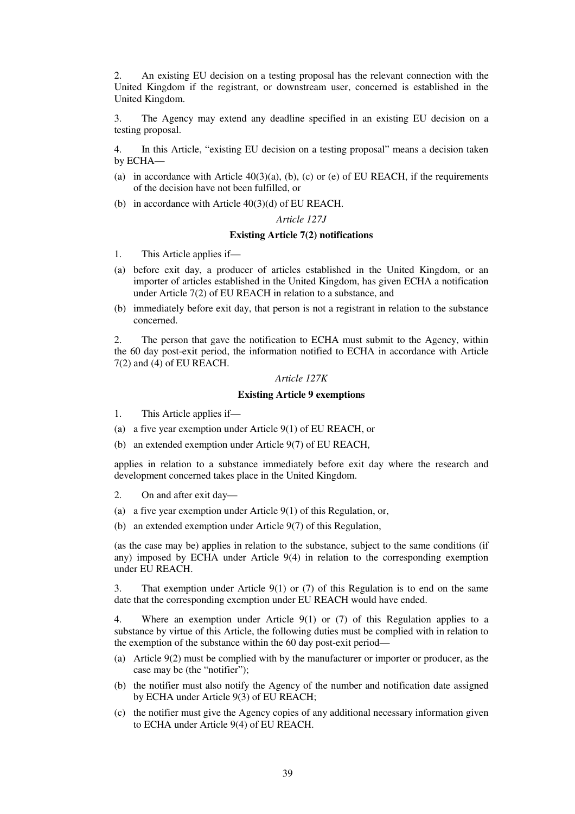2. An existing EU decision on a testing proposal has the relevant connection with the United Kingdom if the registrant, or downstream user, concerned is established in the United Kingdom.

3. The Agency may extend any deadline specified in an existing EU decision on a testing proposal.

4. In this Article, "existing EU decision on a testing proposal" means a decision taken by ECHA—

- (a) in accordance with Article  $40(3)(a)$ , (b), (c) or (e) of EU REACH, if the requirements of the decision have not been fulfilled, or
- (b) in accordance with Article 40(3)(d) of EU REACH.

*Article 127J* 

### **Existing Article 7(2) notifications**

- 1. This Article applies if—
- (a) before exit day, a producer of articles established in the United Kingdom, or an importer of articles established in the United Kingdom, has given ECHA a notification under Article 7(2) of EU REACH in relation to a substance, and
- (b) immediately before exit day, that person is not a registrant in relation to the substance concerned.

2. The person that gave the notification to ECHA must submit to the Agency, within the 60 day post-exit period, the information notified to ECHA in accordance with Article 7(2) and (4) of EU REACH.

### *Article 127K*

### **Existing Article 9 exemptions**

- 1. This Article applies if—
- (a) a five year exemption under Article 9(1) of EU REACH, or
- (b) an extended exemption under Article 9(7) of EU REACH,

applies in relation to a substance immediately before exit day where the research and development concerned takes place in the United Kingdom.

- 2. On and after exit day—
- (a) a five year exemption under Article 9(1) of this Regulation, or,
- (b) an extended exemption under Article 9(7) of this Regulation,

(as the case may be) applies in relation to the substance, subject to the same conditions (if any) imposed by ECHA under Article 9(4) in relation to the corresponding exemption under EU REACH.

3. That exemption under Article 9(1) or (7) of this Regulation is to end on the same date that the corresponding exemption under EU REACH would have ended.

4. Where an exemption under Article 9(1) or (7) of this Regulation applies to a substance by virtue of this Article, the following duties must be complied with in relation to the exemption of the substance within the 60 day post-exit period—

- (a) Article 9(2) must be complied with by the manufacturer or importer or producer, as the case may be (the "notifier");
- (b) the notifier must also notify the Agency of the number and notification date assigned by ECHA under Article 9(3) of EU REACH;
- (c) the notifier must give the Agency copies of any additional necessary information given to ECHA under Article 9(4) of EU REACH.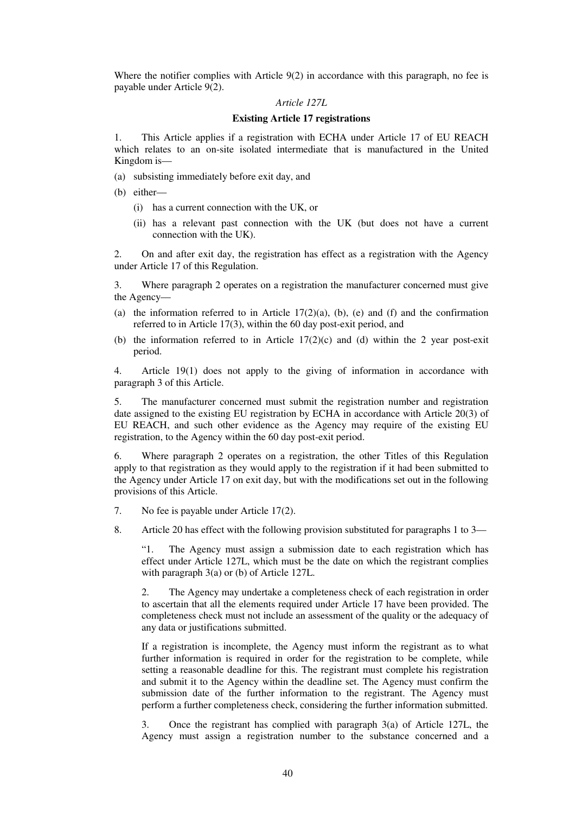Where the notifier complies with Article 9(2) in accordance with this paragraph, no fee is payable under Article 9(2).

### *Article 127L*

#### **Existing Article 17 registrations**

1. This Article applies if a registration with ECHA under Article 17 of EU REACH which relates to an on-site isolated intermediate that is manufactured in the United Kingdom is—

- (a) subsisting immediately before exit day, and
- (b) either—
	- (i) has a current connection with the UK, or
	- (ii) has a relevant past connection with the UK (but does not have a current connection with the UK).

2. On and after exit day, the registration has effect as a registration with the Agency under Article 17 of this Regulation.

3. Where paragraph 2 operates on a registration the manufacturer concerned must give the Agency—

- (a) the information referred to in Article  $17(2)(a)$ , (b), (e) and (f) and the confirmation referred to in Article 17(3), within the 60 day post-exit period, and
- (b) the information referred to in Article  $17(2)(c)$  and (d) within the 2 year post-exit period.

4. Article 19(1) does not apply to the giving of information in accordance with paragraph 3 of this Article.

5. The manufacturer concerned must submit the registration number and registration date assigned to the existing EU registration by ECHA in accordance with Article 20(3) of EU REACH, and such other evidence as the Agency may require of the existing EU registration, to the Agency within the 60 day post-exit period.

6. Where paragraph 2 operates on a registration, the other Titles of this Regulation apply to that registration as they would apply to the registration if it had been submitted to the Agency under Article 17 on exit day, but with the modifications set out in the following provisions of this Article.

- 7. No fee is payable under Article 17(2).
- 8. Article 20 has effect with the following provision substituted for paragraphs 1 to 3—

"1. The Agency must assign a submission date to each registration which has effect under Article 127L, which must be the date on which the registrant complies with paragraph 3(a) or (b) of Article 127L.

2. The Agency may undertake a completeness check of each registration in order to ascertain that all the elements required under Article 17 have been provided. The completeness check must not include an assessment of the quality or the adequacy of any data or justifications submitted.

If a registration is incomplete, the Agency must inform the registrant as to what further information is required in order for the registration to be complete, while setting a reasonable deadline for this. The registrant must complete his registration and submit it to the Agency within the deadline set. The Agency must confirm the submission date of the further information to the registrant. The Agency must perform a further completeness check, considering the further information submitted.

3. Once the registrant has complied with paragraph 3(a) of Article 127L, the Agency must assign a registration number to the substance concerned and a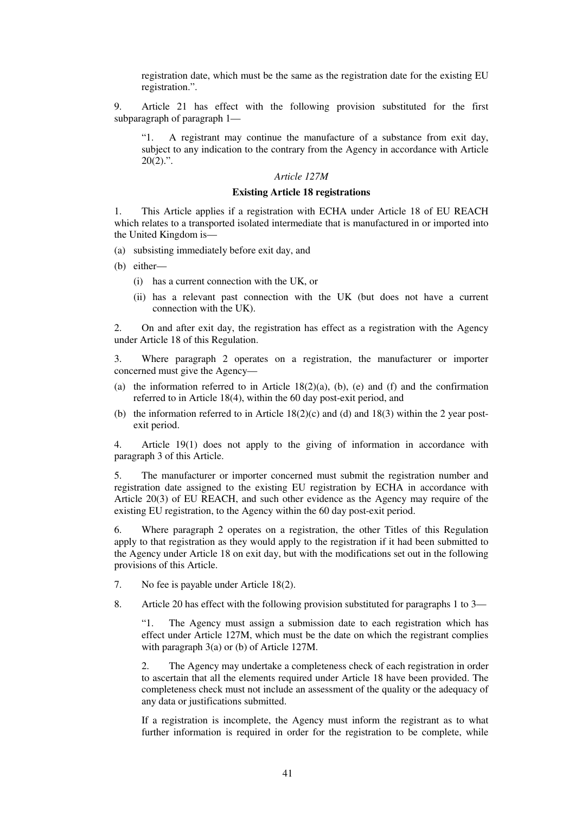registration date, which must be the same as the registration date for the existing EU registration.".

9. Article 21 has effect with the following provision substituted for the first subparagraph of paragraph 1—

"1. A registrant may continue the manufacture of a substance from exit day, subject to any indication to the contrary from the Agency in accordance with Article  $20(2)$ .".

### *Article 127M*

### **Existing Article 18 registrations**

1. This Article applies if a registration with ECHA under Article 18 of EU REACH which relates to a transported isolated intermediate that is manufactured in or imported into the United Kingdom is—

- (a) subsisting immediately before exit day, and
- (b) either—
	- (i) has a current connection with the UK, or
	- (ii) has a relevant past connection with the UK (but does not have a current connection with the UK).

2. On and after exit day, the registration has effect as a registration with the Agency under Article 18 of this Regulation.

3. Where paragraph 2 operates on a registration, the manufacturer or importer concerned must give the Agency—

- (a) the information referred to in Article  $18(2)(a)$ , (b), (e) and (f) and the confirmation referred to in Article 18(4), within the 60 day post-exit period, and
- (b) the information referred to in Article  $18(2)(c)$  and (d) and  $18(3)$  within the 2 year postexit period.

4. Article 19(1) does not apply to the giving of information in accordance with paragraph 3 of this Article.

5. The manufacturer or importer concerned must submit the registration number and registration date assigned to the existing EU registration by ECHA in accordance with Article 20(3) of EU REACH, and such other evidence as the Agency may require of the existing EU registration, to the Agency within the 60 day post-exit period.

6. Where paragraph 2 operates on a registration, the other Titles of this Regulation apply to that registration as they would apply to the registration if it had been submitted to the Agency under Article 18 on exit day, but with the modifications set out in the following provisions of this Article.

- 7. No fee is payable under Article 18(2).
- 8. Article 20 has effect with the following provision substituted for paragraphs 1 to 3—

"1. The Agency must assign a submission date to each registration which has effect under Article 127M, which must be the date on which the registrant complies with paragraph 3(a) or (b) of Article 127M.

2. The Agency may undertake a completeness check of each registration in order to ascertain that all the elements required under Article 18 have been provided. The completeness check must not include an assessment of the quality or the adequacy of any data or justifications submitted.

If a registration is incomplete, the Agency must inform the registrant as to what further information is required in order for the registration to be complete, while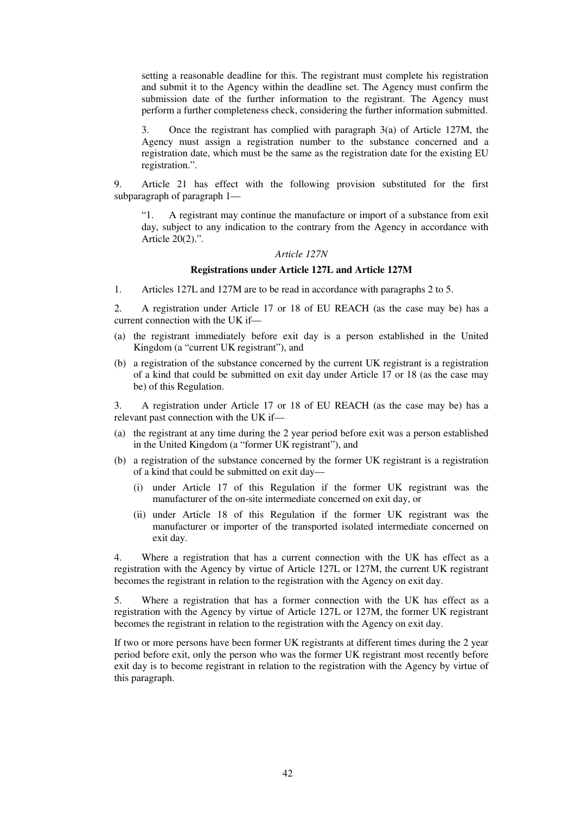setting a reasonable deadline for this. The registrant must complete his registration and submit it to the Agency within the deadline set. The Agency must confirm the submission date of the further information to the registrant. The Agency must perform a further completeness check, considering the further information submitted.

3. Once the registrant has complied with paragraph 3(a) of Article 127M, the Agency must assign a registration number to the substance concerned and a registration date, which must be the same as the registration date for the existing EU registration.".

9. Article 21 has effect with the following provision substituted for the first subparagraph of paragraph 1—

"1. A registrant may continue the manufacture or import of a substance from exit day, subject to any indication to the contrary from the Agency in accordance with Article 20(2).".

#### *Article 127N*

### **Registrations under Article 127L and Article 127M**

1. Articles 127L and 127M are to be read in accordance with paragraphs 2 to 5.

2. A registration under Article 17 or 18 of EU REACH (as the case may be) has a current connection with the UK if—

- (a) the registrant immediately before exit day is a person established in the United Kingdom (a "current UK registrant"), and
- (b) a registration of the substance concerned by the current UK registrant is a registration of a kind that could be submitted on exit day under Article 17 or 18 (as the case may be) of this Regulation.

3. A registration under Article 17 or 18 of EU REACH (as the case may be) has a relevant past connection with the UK if—

- (a) the registrant at any time during the 2 year period before exit was a person established in the United Kingdom (a "former UK registrant"), and
- (b) a registration of the substance concerned by the former UK registrant is a registration of a kind that could be submitted on exit day—
	- (i) under Article 17 of this Regulation if the former UK registrant was the manufacturer of the on-site intermediate concerned on exit day, or
	- (ii) under Article 18 of this Regulation if the former UK registrant was the manufacturer or importer of the transported isolated intermediate concerned on exit day.

4. Where a registration that has a current connection with the UK has effect as a registration with the Agency by virtue of Article 127L or 127M, the current UK registrant becomes the registrant in relation to the registration with the Agency on exit day.

5. Where a registration that has a former connection with the UK has effect as a registration with the Agency by virtue of Article 127L or 127M, the former UK registrant becomes the registrant in relation to the registration with the Agency on exit day.

If two or more persons have been former UK registrants at different times during the 2 year period before exit, only the person who was the former UK registrant most recently before exit day is to become registrant in relation to the registration with the Agency by virtue of this paragraph.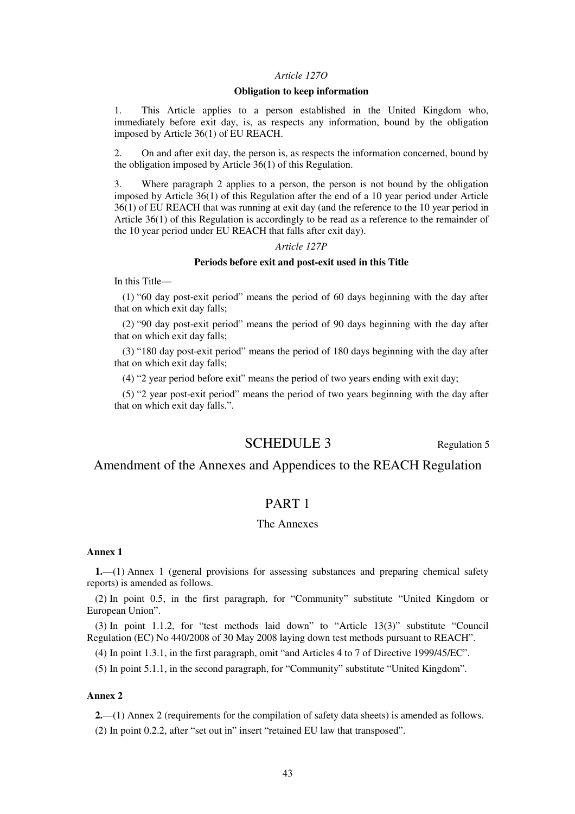#### *Article 127O*

### **Obligation to keep information**

1. This Article applies to a person established in the United Kingdom who, immediately before exit day, is, as respects any information, bound by the obligation imposed by Article 36(1) of EU REACH.

2. On and after exit day, the person is, as respects the information concerned, bound by the obligation imposed by Article 36(1) of this Regulation.

3. Where paragraph 2 applies to a person, the person is not bound by the obligation imposed by Article 36(1) of this Regulation after the end of a 10 year period under Article 36(1) of EU REACH that was running at exit day (and the reference to the 10 year period in Article 36(1) of this Regulation is accordingly to be read as a reference to the remainder of the 10 year period under EU REACH that falls after exit day).

#### *Article 127P*

#### **Periods before exit and post-exit used in this Title**

In this Title—

(1) "60 day post-exit period" means the period of 60 days beginning with the day after that on which exit day falls;

(2) "90 day post-exit period" means the period of 90 days beginning with the day after that on which exit day falls;

(3) "180 day post-exit period" means the period of 180 days beginning with the day after that on which exit day falls;

(4) "2 year period before exit" means the period of two years ending with exit day;

(5) "2 year post-exit period" means the period of two years beginning with the day after that on which exit day falls.".

### SCHEDULE 3 Regulation 5

### Amendment of the Annexes and Appendices to the REACH Regulation

### PART 1

### The Annexes

#### **Annex 1**

**1.**—(1) Annex 1 (general provisions for assessing substances and preparing chemical safety reports) is amended as follows.

(2) In point 0.5, in the first paragraph, for "Community" substitute "United Kingdom or European Union".

(3) In point 1.1.2, for "test methods laid down" to "Article 13(3)" substitute "Council Regulation (EC) No 440/2008 of 30 May 2008 laying down test methods pursuant to REACH".

(4) In point 1.3.1, in the first paragraph, omit "and Articles 4 to 7 of Directive 1999/45/EC".

(5) In point 5.1.1, in the second paragraph, for "Community" substitute "United Kingdom".

### **Annex 2**

**2.**—(1) Annex 2 (requirements for the compilation of safety data sheets) is amended as follows. (2) In point 0.2.2, after "set out in" insert "retained EU law that transposed".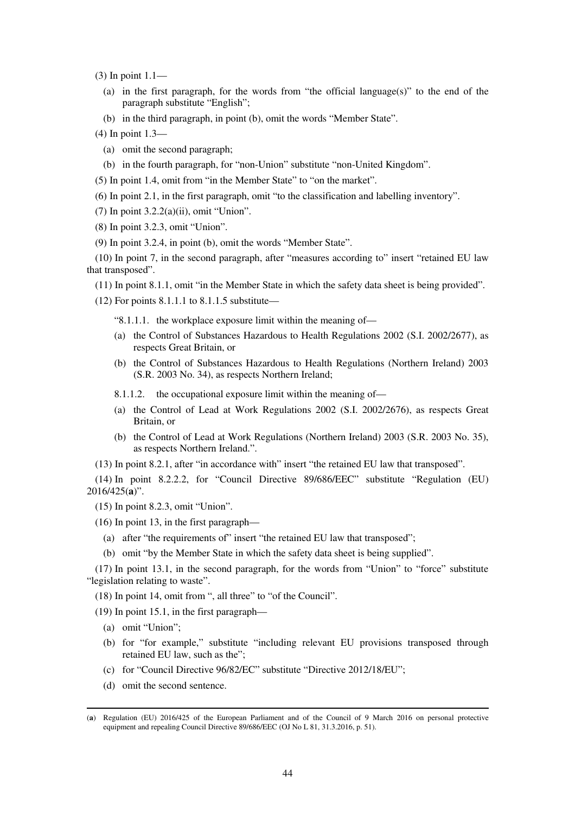(3) In point 1.1—

- (a) in the first paragraph, for the words from "the official language(s)" to the end of the paragraph substitute "English";
- (b) in the third paragraph, in point (b), omit the words "Member State".
- (4) In point 1.3—
	- (a) omit the second paragraph;
	- (b) in the fourth paragraph, for "non-Union" substitute "non-United Kingdom".
- (5) In point 1.4, omit from "in the Member State" to "on the market".
- (6) In point 2.1, in the first paragraph, omit "to the classification and labelling inventory".
- (7) In point 3.2.2(a)(ii), omit "Union".
- (8) In point 3.2.3, omit "Union".
- (9) In point 3.2.4, in point (b), omit the words "Member State".

(10) In point 7, in the second paragraph, after "measures according to" insert "retained EU law that transposed".

(11) In point 8.1.1, omit "in the Member State in which the safety data sheet is being provided".

- (12) For points 8.1.1.1 to 8.1.1.5 substitute—
	- "8.1.1.1. the workplace exposure limit within the meaning of—
	- (a) the Control of Substances Hazardous to Health Regulations 2002 (S.I. 2002/2677), as respects Great Britain, or
	- (b) the Control of Substances Hazardous to Health Regulations (Northern Ireland) 2003 (S.R. 2003 No. 34), as respects Northern Ireland;
	- 8.1.1.2. the occupational exposure limit within the meaning of—
	- (a) the Control of Lead at Work Regulations 2002 (S.I. 2002/2676), as respects Great Britain, or
	- (b) the Control of Lead at Work Regulations (Northern Ireland) 2003 (S.R. 2003 No. 35), as respects Northern Ireland.".

(13) In point 8.2.1, after "in accordance with" insert "the retained EU law that transposed".

(14) In point 8.2.2.2, for "Council Directive 89/686/EEC" substitute "Regulation (EU) 2016/425(**a**)".

(15) In point 8.2.3, omit "Union".

- (16) In point 13, in the first paragraph—
	- (a) after "the requirements of" insert "the retained EU law that transposed";
	- (b) omit "by the Member State in which the safety data sheet is being supplied".

(17) In point 13.1, in the second paragraph, for the words from "Union" to "force" substitute "legislation relating to waste".

(18) In point 14, omit from ", all three" to "of the Council".

(19) In point 15.1, in the first paragraph—

(a) omit "Union";

- (b) for "for example," substitute "including relevant EU provisions transposed through retained EU law, such as the";
- (c) for "Council Directive 96/82/EC" substitute "Directive 2012/18/EU";
- (d) omit the second sentence.

<sup>(</sup>**a**) Regulation (EU) 2016/425 of the European Parliament and of the Council of 9 March 2016 on personal protective equipment and repealing Council Directive 89/686/EEC (OJ No L 81, 31.3.2016, p. 51).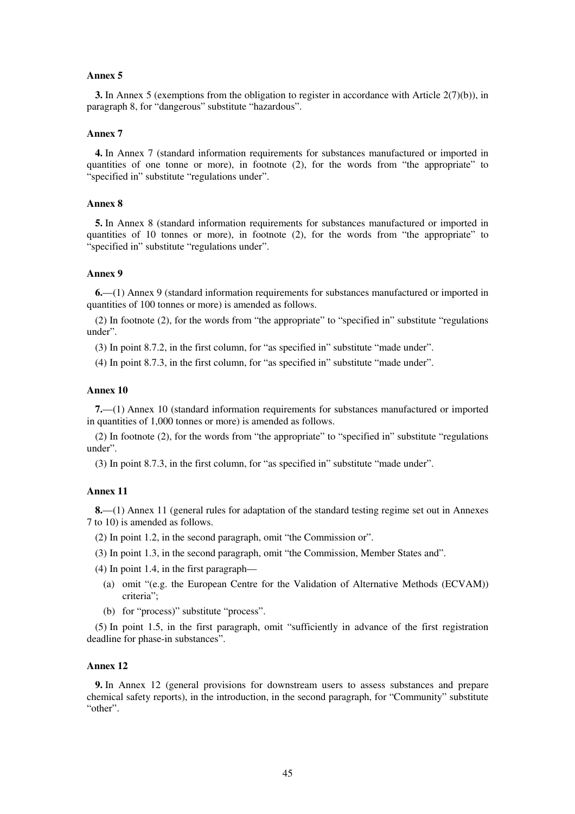#### **Annex 5**

**3.** In Annex 5 (exemptions from the obligation to register in accordance with Article 2(7)(b)), in paragraph 8, for "dangerous" substitute "hazardous".

### **Annex 7**

**4.** In Annex 7 (standard information requirements for substances manufactured or imported in quantities of one tonne or more), in footnote (2), for the words from "the appropriate" to "specified in" substitute "regulations under".

### **Annex 8**

**5.** In Annex 8 (standard information requirements for substances manufactured or imported in quantities of 10 tonnes or more), in footnote (2), for the words from "the appropriate" to "specified in" substitute "regulations under".

#### **Annex 9**

**6.**—(1) Annex 9 (standard information requirements for substances manufactured or imported in quantities of 100 tonnes or more) is amended as follows.

(2) In footnote (2), for the words from "the appropriate" to "specified in" substitute "regulations under".

(3) In point 8.7.2, in the first column, for "as specified in" substitute "made under".

(4) In point 8.7.3, in the first column, for "as specified in" substitute "made under".

#### **Annex 10**

**7.**—(1) Annex 10 (standard information requirements for substances manufactured or imported in quantities of 1,000 tonnes or more) is amended as follows.

(2) In footnote (2), for the words from "the appropriate" to "specified in" substitute "regulations under".

(3) In point 8.7.3, in the first column, for "as specified in" substitute "made under".

### **Annex 11**

**8.**—(1) Annex 11 (general rules for adaptation of the standard testing regime set out in Annexes 7 to 10) is amended as follows.

- (2) In point 1.2, in the second paragraph, omit "the Commission or".
- (3) In point 1.3, in the second paragraph, omit "the Commission, Member States and".

(4) In point 1.4, in the first paragraph—

- (a) omit "(e.g. the European Centre for the Validation of Alternative Methods (ECVAM)) criteria";
- (b) for "process)" substitute "process".

(5) In point 1.5, in the first paragraph, omit "sufficiently in advance of the first registration deadline for phase-in substances".

#### **Annex 12**

**9.** In Annex 12 (general provisions for downstream users to assess substances and prepare chemical safety reports), in the introduction, in the second paragraph, for "Community" substitute "other".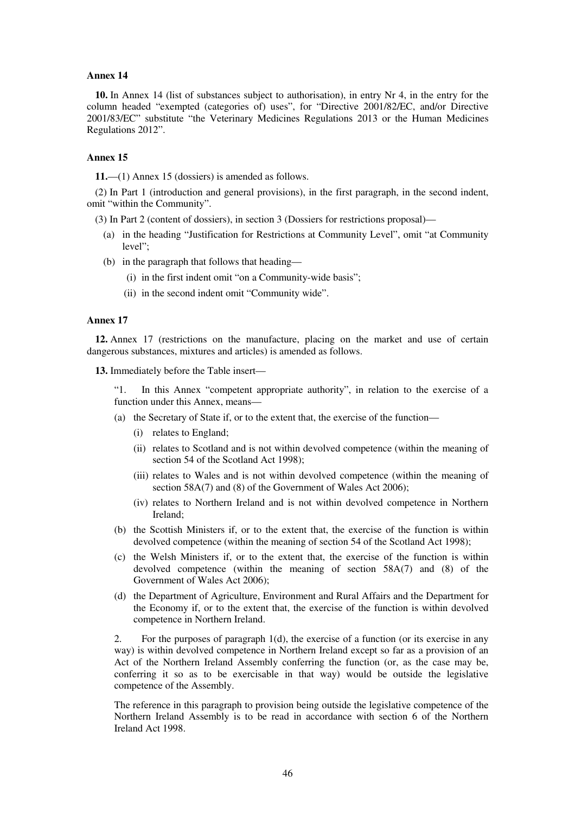### **Annex 14**

**10.** In Annex 14 (list of substances subject to authorisation), in entry Nr 4, in the entry for the column headed "exempted (categories of) uses", for "Directive 2001/82/EC, and/or Directive 2001/83/EC" substitute "the Veterinary Medicines Regulations 2013 or the Human Medicines Regulations 2012".

### **Annex 15**

**11.**—(1) Annex 15 (dossiers) is amended as follows.

(2) In Part 1 (introduction and general provisions), in the first paragraph, in the second indent, omit "within the Community".

- (3) In Part 2 (content of dossiers), in section 3 (Dossiers for restrictions proposal)—
	- (a) in the heading "Justification for Restrictions at Community Level", omit "at Community level";
	- (b) in the paragraph that follows that heading—
		- (i) in the first indent omit "on a Community-wide basis";
		- (ii) in the second indent omit "Community wide".

### **Annex 17**

**12.** Annex 17 (restrictions on the manufacture, placing on the market and use of certain dangerous substances, mixtures and articles) is amended as follows.

**13.** Immediately before the Table insert—

"1. In this Annex "competent appropriate authority", in relation to the exercise of a function under this Annex, means—

- (a) the Secretary of State if, or to the extent that, the exercise of the function—
	- (i) relates to England;
	- (ii) relates to Scotland and is not within devolved competence (within the meaning of section 54 of the Scotland Act 1998);
	- (iii) relates to Wales and is not within devolved competence (within the meaning of section 58A(7) and (8) of the Government of Wales Act 2006);
	- (iv) relates to Northern Ireland and is not within devolved competence in Northern Ireland;
- (b) the Scottish Ministers if, or to the extent that, the exercise of the function is within devolved competence (within the meaning of section 54 of the Scotland Act 1998);
- (c) the Welsh Ministers if, or to the extent that, the exercise of the function is within devolved competence (within the meaning of section 58A(7) and (8) of the Government of Wales Act 2006);
- (d) the Department of Agriculture, Environment and Rural Affairs and the Department for the Economy if, or to the extent that, the exercise of the function is within devolved competence in Northern Ireland.

2. For the purposes of paragraph 1(d), the exercise of a function (or its exercise in any way) is within devolved competence in Northern Ireland except so far as a provision of an Act of the Northern Ireland Assembly conferring the function (or, as the case may be, conferring it so as to be exercisable in that way) would be outside the legislative competence of the Assembly.

The reference in this paragraph to provision being outside the legislative competence of the Northern Ireland Assembly is to be read in accordance with section 6 of the Northern Ireland Act 1998.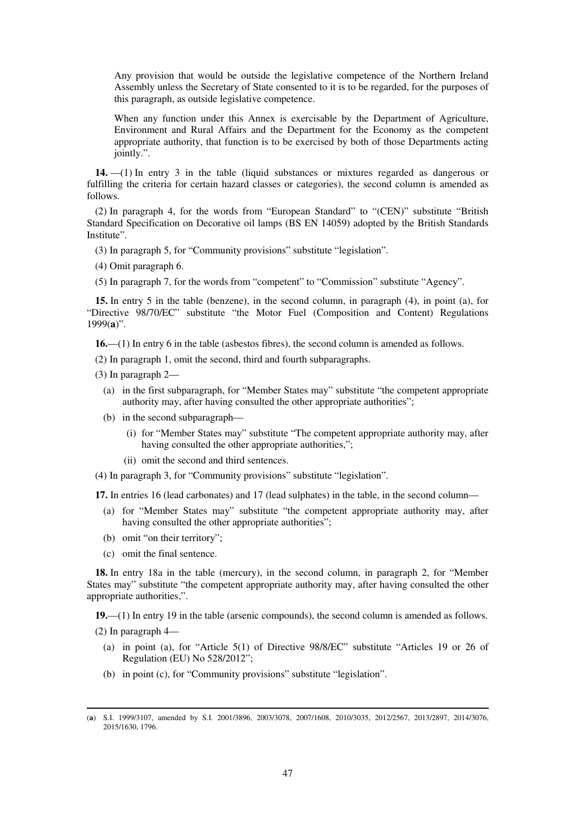Any provision that would be outside the legislative competence of the Northern Ireland Assembly unless the Secretary of State consented to it is to be regarded, for the purposes of this paragraph, as outside legislative competence.

When any function under this Annex is exercisable by the Department of Agriculture, Environment and Rural Affairs and the Department for the Economy as the competent appropriate authority, that function is to be exercised by both of those Departments acting jointly.".

**14.** —(1) In entry 3 in the table (liquid substances or mixtures regarded as dangerous or fulfilling the criteria for certain hazard classes or categories), the second column is amended as follows.

(2) In paragraph 4, for the words from "European Standard" to "(CEN)" substitute "British Standard Specification on Decorative oil lamps (BS EN 14059) adopted by the British Standards Institute".

(3) In paragraph 5, for "Community provisions" substitute "legislation".

(4) Omit paragraph 6.

(5) In paragraph 7, for the words from "competent" to "Commission" substitute "Agency".

**15.** In entry 5 in the table (benzene), in the second column, in paragraph (4), in point (a), for "Directive 98/70/EC" substitute "the Motor Fuel (Composition and Content) Regulations 1999(**a**)".

**16.**—(1) In entry 6 in the table (asbestos fibres), the second column is amended as follows.

(2) In paragraph 1, omit the second, third and fourth subparagraphs.

- (3) In paragraph 2—
	- (a) in the first subparagraph, for "Member States may" substitute "the competent appropriate authority may, after having consulted the other appropriate authorities";
	- (b) in the second subparagraph—
		- (i) for "Member States may" substitute "The competent appropriate authority may, after having consulted the other appropriate authorities,";
		- (ii) omit the second and third sentences.
- (4) In paragraph 3, for "Community provisions" substitute "legislation".

**17.** In entries 16 (lead carbonates) and 17 (lead sulphates) in the table, in the second column—

- (a) for "Member States may" substitute "the competent appropriate authority may, after having consulted the other appropriate authorities";
- (b) omit "on their territory";
- (c) omit the final sentence.

**18.** In entry 18a in the table (mercury), in the second column, in paragraph 2, for "Member States may" substitute "the competent appropriate authority may, after having consulted the other appropriate authorities,".

**19.**—(1) In entry 19 in the table (arsenic compounds), the second column is amended as follows.

(2) In paragraph 4—

- (a) in point (a), for "Article 5(1) of Directive 98/8/EC" substitute "Articles 19 or 26 of Regulation (EU) No 528/2012";
- (b) in point (c), for "Community provisions" substitute "legislation".

<sup>(</sup>**a**) S.I. 1999/3107, amended by S.I. 2001/3896, 2003/3078, 2007/1608, 2010/3035, 2012/2567, 2013/2897, 2014/3076, 2015/1630, 1796.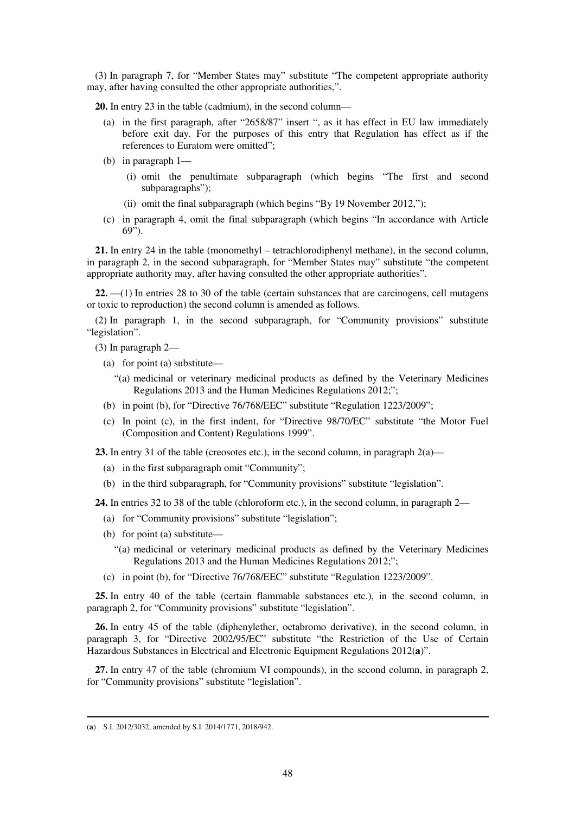(3) In paragraph 7, for "Member States may" substitute "The competent appropriate authority may, after having consulted the other appropriate authorities,".

**20.** In entry 23 in the table (cadmium), in the second column—

- (a) in the first paragraph, after "2658/87" insert ", as it has effect in EU law immediately before exit day. For the purposes of this entry that Regulation has effect as if the references to Euratom were omitted";
- (b) in paragraph 1—
	- (i) omit the penultimate subparagraph (which begins "The first and second subparagraphs");
	- (ii) omit the final subparagraph (which begins "By 19 November 2012,");
- (c) in paragraph 4, omit the final subparagraph (which begins "In accordance with Article  $69"$

**21.** In entry 24 in the table (monomethyl – tetrachlorodiphenyl methane), in the second column, in paragraph 2, in the second subparagraph, for "Member States may" substitute "the competent appropriate authority may, after having consulted the other appropriate authorities".

**22.** —(1) In entries 28 to 30 of the table (certain substances that are carcinogens, cell mutagens or toxic to reproduction) the second column is amended as follows.

(2) In paragraph 1, in the second subparagraph, for "Community provisions" substitute "legislation".

(3) In paragraph 2—

- (a) for point (a) substitute—
	- "(a) medicinal or veterinary medicinal products as defined by the Veterinary Medicines Regulations 2013 and the Human Medicines Regulations 2012;";
- (b) in point (b), for "Directive 76/768/EEC" substitute "Regulation 1223/2009";
- (c) In point (c), in the first indent, for "Directive 98/70/EC" substitute "the Motor Fuel (Composition and Content) Regulations 1999".

**23.** In entry 31 of the table (creosotes etc.), in the second column, in paragraph 2(a)—

- (a) in the first subparagraph omit "Community";
- (b) in the third subparagraph, for "Community provisions" substitute "legislation".

**24.** In entries 32 to 38 of the table (chloroform etc.), in the second column, in paragraph 2—

- (a) for "Community provisions" substitute "legislation";
- (b) for point (a) substitute—
	- "(a) medicinal or veterinary medicinal products as defined by the Veterinary Medicines Regulations 2013 and the Human Medicines Regulations 2012;";
- (c) in point (b), for "Directive 76/768/EEC" substitute "Regulation 1223/2009".

**25.** In entry 40 of the table (certain flammable substances etc.), in the second column, in paragraph 2, for "Community provisions" substitute "legislation".

**26.** In entry 45 of the table (diphenylether, octabromo derivative), in the second column, in paragraph 3, for "Directive 2002/95/EC" substitute "the Restriction of the Use of Certain Hazardous Substances in Electrical and Electronic Equipment Regulations 2012(**a**)".

**27.** In entry 47 of the table (chromium VI compounds), in the second column, in paragraph 2, for "Community provisions" substitute "legislation".

<sup>(</sup>**a**) S.I. 2012/3032, amended by S.I. 2014/1771, 2018/942.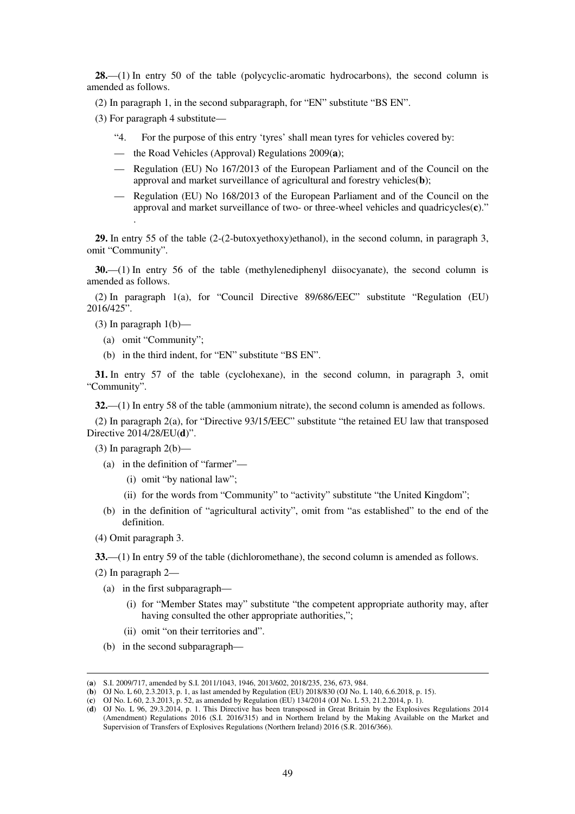**28.**—(1) In entry 50 of the table (polycyclic-aromatic hydrocarbons), the second column is amended as follows.

(2) In paragraph 1, in the second subparagraph, for "EN" substitute "BS EN".

(3) For paragraph 4 substitute—

- "4. For the purpose of this entry 'tyres' shall mean tyres for vehicles covered by:
- the Road Vehicles (Approval) Regulations 2009(**a**);
- Regulation (EU) No 167/2013 of the European Parliament and of the Council on the approval and market surveillance of agricultural and forestry vehicles(**b**);
- Regulation (EU) No 168/2013 of the European Parliament and of the Council on the approval and market surveillance of two- or three-wheel vehicles and quadricycles(**c**)." .

**29.** In entry 55 of the table (2-(2-butoxyethoxy)ethanol), in the second column, in paragraph 3, omit "Community".

**30.**—(1) In entry 56 of the table (methylenediphenyl diisocyanate), the second column is amended as follows.

(2) In paragraph 1(a), for "Council Directive 89/686/EEC" substitute "Regulation (EU) 2016/425".

(3) In paragraph  $1(b)$ —

- (a) omit "Community";
- (b) in the third indent, for "EN" substitute "BS EN".

**31.** In entry 57 of the table (cyclohexane), in the second column, in paragraph 3, omit "Community".

**32.**—(1) In entry 58 of the table (ammonium nitrate), the second column is amended as follows.

(2) In paragraph 2(a), for "Directive 93/15/EEC" substitute "the retained EU law that transposed Directive 2014/28/EU(**d**)".

(3) In paragraph  $2(b)$ —

- (a) in the definition of "farmer"—
	- (i) omit "by national law";
	- (ii) for the words from "Community" to "activity" substitute "the United Kingdom";
- (b) in the definition of "agricultural activity", omit from "as established" to the end of the definition.

(4) Omit paragraph 3.

**33.**—(1) In entry 59 of the table (dichloromethane), the second column is amended as follows.

(2) In paragraph 2—

- (a) in the first subparagraph—
	- (i) for "Member States may" substitute "the competent appropriate authority may, after having consulted the other appropriate authorities,";
	- (ii) omit "on their territories and".
- (b) in the second subparagraph—

<sup>(</sup>**a**) S.I. 2009/717, amended by S.I. 2011/1043, 1946, 2013/602, 2018/235, 236, 673, 984.

<sup>(</sup>**b**) OJ No. L 60, 2.3.2013, p. 1, as last amended by Regulation (EU) 2018/830 (OJ No. L 140, 6.6.2018, p. 15).

<sup>(</sup>**c**) OJ No. L 60, 2.3.2013, p. 52, as amended by Regulation (EU) 134/2014 (OJ No. L 53, 21.2.2014, p. 1).

<sup>(</sup>**d**) OJ No. L 96, 29.3.2014, p. 1. This Directive has been transposed in Great Britain by the Explosives Regulations 2014 (Amendment) Regulations 2016 (S.I. 2016/315) and in Northern Ireland by the Making Available on the Market and Supervision of Transfers of Explosives Regulations (Northern Ireland) 2016 (S.R. 2016/366).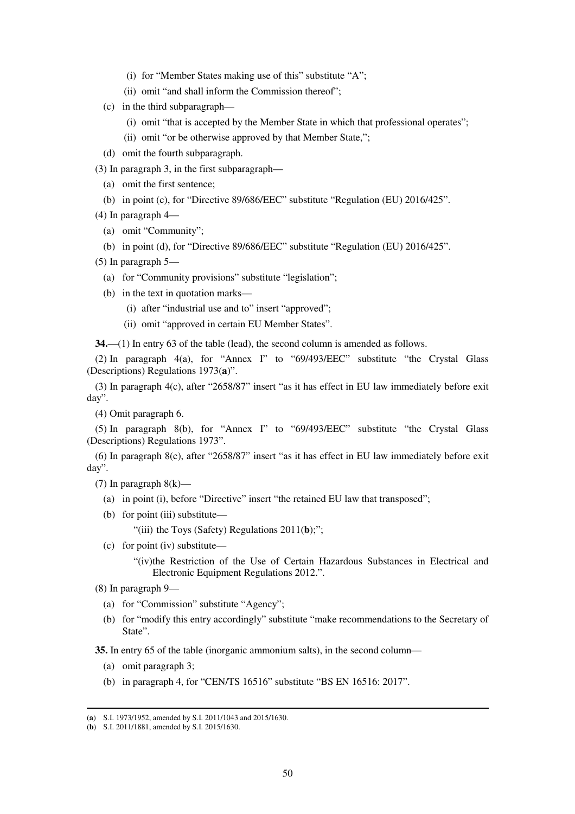- (i) for "Member States making use of this" substitute "A";
- (ii) omit "and shall inform the Commission thereof";
- (c) in the third subparagraph—
	- (i) omit "that is accepted by the Member State in which that professional operates";
	- (ii) omit "or be otherwise approved by that Member State,";
- (d) omit the fourth subparagraph.
- (3) In paragraph 3, in the first subparagraph—
	- (a) omit the first sentence;
	- (b) in point (c), for "Directive 89/686/EEC" substitute "Regulation (EU) 2016/425".
- (4) In paragraph 4—
	- (a) omit "Community";
	- (b) in point (d), for "Directive 89/686/EEC" substitute "Regulation (EU) 2016/425".
- (5) In paragraph 5—
	- (a) for "Community provisions" substitute "legislation";
	- (b) in the text in quotation marks—
		- (i) after "industrial use and to" insert "approved";
		- (ii) omit "approved in certain EU Member States".

**34.**—(1) In entry 63 of the table (lead), the second column is amended as follows.

(2) In paragraph 4(a), for "Annex I" to "69/493/EEC" substitute "the Crystal Glass (Descriptions) Regulations 1973(**a**)".

(3) In paragraph 4(c), after "2658/87" insert "as it has effect in EU law immediately before exit day".

(4) Omit paragraph 6.

(5) In paragraph 8(b), for "Annex I" to "69/493/EEC" substitute "the Crystal Glass (Descriptions) Regulations 1973".

(6) In paragraph 8(c), after "2658/87" insert "as it has effect in EU law immediately before exit day".

- (7) In paragraph  $8(k)$ 
	- (a) in point (i), before "Directive" insert "the retained EU law that transposed";
	- (b) for point (iii) substitute—

"(iii) the Toys (Safety) Regulations 2011(**b**);";

(c) for point (iv) substitute—

 "(iv)the Restriction of the Use of Certain Hazardous Substances in Electrical and Electronic Equipment Regulations 2012.".

- (8) In paragraph 9—
	- (a) for "Commission" substitute "Agency";
	- (b) for "modify this entry accordingly" substitute "make recommendations to the Secretary of State".

**35.** In entry 65 of the table (inorganic ammonium salts), in the second column—

(a) omit paragraph 3;

-

(b) in paragraph 4, for "CEN/TS 16516" substitute "BS EN 16516: 2017".

<sup>(</sup>**a**) S.I. 1973/1952, amended by S.I. 2011/1043 and 2015/1630.

<sup>(</sup>**b**) S.I. 2011/1881, amended by S.I. 2015/1630.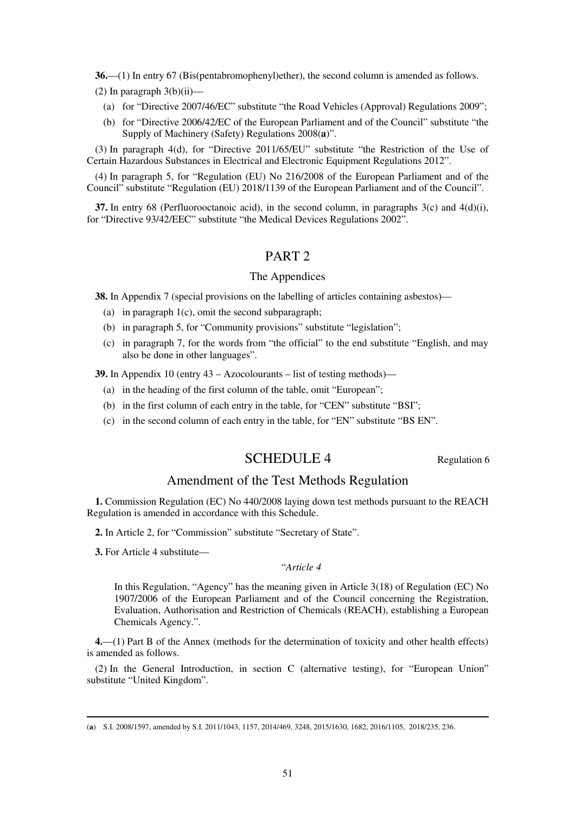**36.**—(1) In entry 67 (Bis(pentabromophenyl)ether), the second column is amended as follows.

(2) In paragraph  $3(b)(ii)$ —

- (a) for "Directive 2007/46/EC" substitute "the Road Vehicles (Approval) Regulations 2009";
- (b) for "Directive 2006/42/EC of the European Parliament and of the Council" substitute "the Supply of Machinery (Safety) Regulations 2008(**a**)".

(3) In paragraph 4(d), for "Directive 2011/65/EU" substitute "the Restriction of the Use of Certain Hazardous Substances in Electrical and Electronic Equipment Regulations 2012".

(4) In paragraph 5, for "Regulation (EU) No 216/2008 of the European Parliament and of the Council" substitute "Regulation (EU) 2018/1139 of the European Parliament and of the Council".

**37.** In entry 68 (Perfluorooctanoic acid), in the second column, in paragraphs 3(c) and 4(d)(i), for "Directive 93/42/EEC" substitute "the Medical Devices Regulations 2002".

### PART 2

### The Appendices

**38.** In Appendix 7 (special provisions on the labelling of articles containing asbestos)—

- (a) in paragraph 1(c), omit the second subparagraph;
- (b) in paragraph 5, for "Community provisions" substitute "legislation";
- (c) in paragraph 7, for the words from "the official" to the end substitute "English, and may also be done in other languages".

**39.** In Appendix 10 (entry 43 – Azocolourants – list of testing methods)—

- (a) in the heading of the first column of the table, omit "European";
- (b) in the first column of each entry in the table, for "CEN" substitute "BSI";
- (c) in the second column of each entry in the table, for "EN" substitute "BS EN".

## SCHEDULE 4 Regulation 6

## Amendment of the Test Methods Regulation

**1.** Commission Regulation (EC) No 440/2008 laying down test methods pursuant to the REACH Regulation is amended in accordance with this Schedule.

**2.** In Article 2, for "Commission" substitute "Secretary of State".

**3.** For Article 4 substitute—

### "*Article 4*

In this Regulation, "Agency" has the meaning given in Article 3(18) of Regulation (EC) No 1907/2006 of the European Parliament and of the Council concerning the Registration, Evaluation, Authorisation and Restriction of Chemicals (REACH), establishing a European Chemicals Agency.".

**4.**—(1) Part B of the Annex (methods for the determination of toxicity and other health effects) is amended as follows.

(2) In the General Introduction, in section C (alternative testing), for "European Union" substitute "United Kingdom".

<sup>-</sup>(**a**) S.I. 2008/1597, amended by S.I. 2011/1043, 1157, 2014/469, 3248, 2015/1630, 1682, 2016/1105, 2018/235, 236.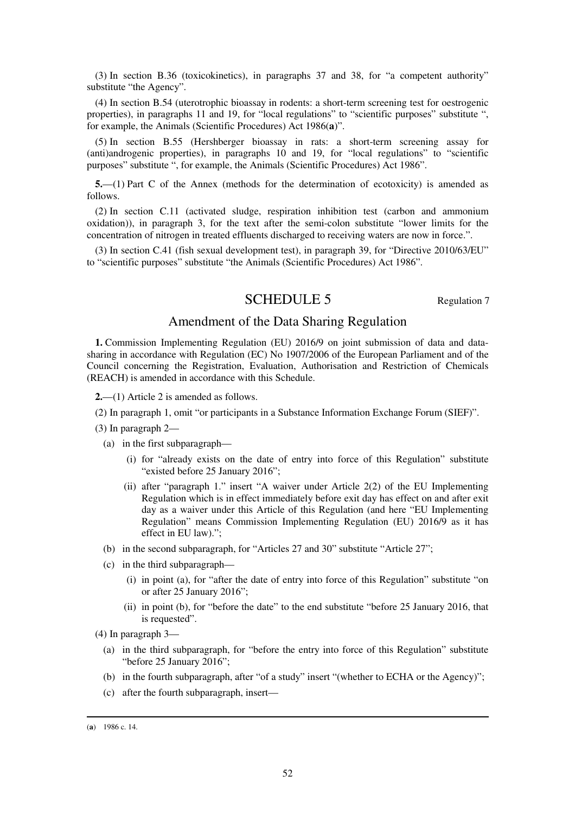(3) In section B.36 (toxicokinetics), in paragraphs 37 and 38, for "a competent authority" substitute "the Agency".

(4) In section B.54 (uterotrophic bioassay in rodents: a short-term screening test for oestrogenic properties), in paragraphs 11 and 19, for "local regulations" to "scientific purposes" substitute ", for example, the Animals (Scientific Procedures) Act 1986(**a**)".

(5) In section B.55 (Hershberger bioassay in rats: a short-term screening assay for (anti)androgenic properties), in paragraphs 10 and 19, for "local regulations" to "scientific purposes" substitute ", for example, the Animals (Scientific Procedures) Act 1986".

**5.**—(1) Part C of the Annex (methods for the determination of ecotoxicity) is amended as follows.

(2) In section C.11 (activated sludge, respiration inhibition test (carbon and ammonium oxidation)), in paragraph 3, for the text after the semi-colon substitute "lower limits for the concentration of nitrogen in treated effluents discharged to receiving waters are now in force.".

(3) In section C.41 (fish sexual development test), in paragraph 39, for "Directive 2010/63/EU" to "scientific purposes" substitute "the Animals (Scientific Procedures) Act 1986".

### SCHEDULE 5 Regulation 7

### Amendment of the Data Sharing Regulation

**1.** Commission Implementing Regulation (EU) 2016/9 on joint submission of data and datasharing in accordance with Regulation (EC) No 1907/2006 of the European Parliament and of the Council concerning the Registration, Evaluation, Authorisation and Restriction of Chemicals (REACH) is amended in accordance with this Schedule.

**2.**—(1) Article 2 is amended as follows.

(2) In paragraph 1, omit "or participants in a Substance Information Exchange Forum (SIEF)".

- (3) In paragraph 2—
	- (a) in the first subparagraph—
		- (i) for "already exists on the date of entry into force of this Regulation" substitute "existed before 25 January 2016";
		- (ii) after "paragraph 1." insert "A waiver under Article 2(2) of the EU Implementing Regulation which is in effect immediately before exit day has effect on and after exit day as a waiver under this Article of this Regulation (and here "EU Implementing Regulation" means Commission Implementing Regulation (EU) 2016/9 as it has effect in EU law).";
	- (b) in the second subparagraph, for "Articles 27 and 30" substitute "Article 27";
	- (c) in the third subparagraph—
		- (i) in point (a), for "after the date of entry into force of this Regulation" substitute "on or after 25 January 2016";
		- (ii) in point (b), for "before the date" to the end substitute "before 25 January 2016, that is requested".
- (4) In paragraph 3—
	- (a) in the third subparagraph, for "before the entry into force of this Regulation" substitute "before 25 January 2016";
	- (b) in the fourth subparagraph, after "of a study" insert "(whether to ECHA or the Agency)";
	- (c) after the fourth subparagraph, insert—

<sup>(</sup>**a**) 1986 c. 14.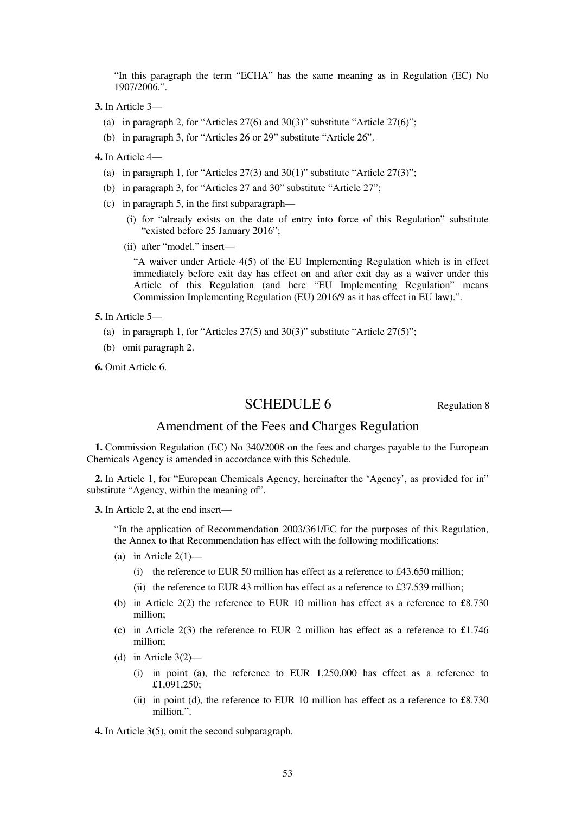"In this paragraph the term "ECHA" has the same meaning as in Regulation (EC) No 1907/2006.".

- **3.** In Article 3—
	- (a) in paragraph 2, for "Articles  $27(6)$  and  $30(3)$ " substitute "Article  $27(6)$ ";
	- (b) in paragraph 3, for "Articles 26 or 29" substitute "Article 26".
- **4.** In Article 4—
	- (a) in paragraph 1, for "Articles  $27(3)$  and  $30(1)$ " substitute "Article  $27(3)$ ";
	- (b) in paragraph 3, for "Articles 27 and 30" substitute "Article 27";
	- (c) in paragraph 5, in the first subparagraph—
		- (i) for "already exists on the date of entry into force of this Regulation" substitute "existed before 25 January 2016";
		- (ii) after "model." insert—

"A waiver under Article 4(5) of the EU Implementing Regulation which is in effect immediately before exit day has effect on and after exit day as a waiver under this Article of this Regulation (and here "EU Implementing Regulation" means Commission Implementing Regulation (EU) 2016/9 as it has effect in EU law).".

### **5.** In Article 5—

- (a) in paragraph 1, for "Articles  $27(5)$  and  $30(3)$ " substitute "Article  $27(5)$ ";
- (b) omit paragraph 2.
- **6.** Omit Article 6.

### SCHEDULE 6 Regulation 8

### Amendment of the Fees and Charges Regulation

**1.** Commission Regulation (EC) No 340/2008 on the fees and charges payable to the European Chemicals Agency is amended in accordance with this Schedule.

**2.** In Article 1, for "European Chemicals Agency, hereinafter the 'Agency', as provided for in" substitute "Agency, within the meaning of".

**3.** In Article 2, at the end insert—

"In the application of Recommendation 2003/361/EC for the purposes of this Regulation, the Annex to that Recommendation has effect with the following modifications:

- (a) in Article  $2(1)$ 
	- (i) the reference to EUR 50 million has effect as a reference to £43.650 million;
	- (ii) the reference to EUR 43 million has effect as a reference to £37.539 million;
- (b) in Article 2(2) the reference to EUR 10 million has effect as a reference to £8.730 million;
- (c) in Article 2(3) the reference to EUR 2 million has effect as a reference to £1.746 million;
- (d) in Article  $3(2)$ 
	- (i) in point (a), the reference to EUR 1,250,000 has effect as a reference to £1,091,250;
	- (ii) in point (d), the reference to EUR 10 million has effect as a reference to £8.730 million.".

**4.** In Article 3(5), omit the second subparagraph.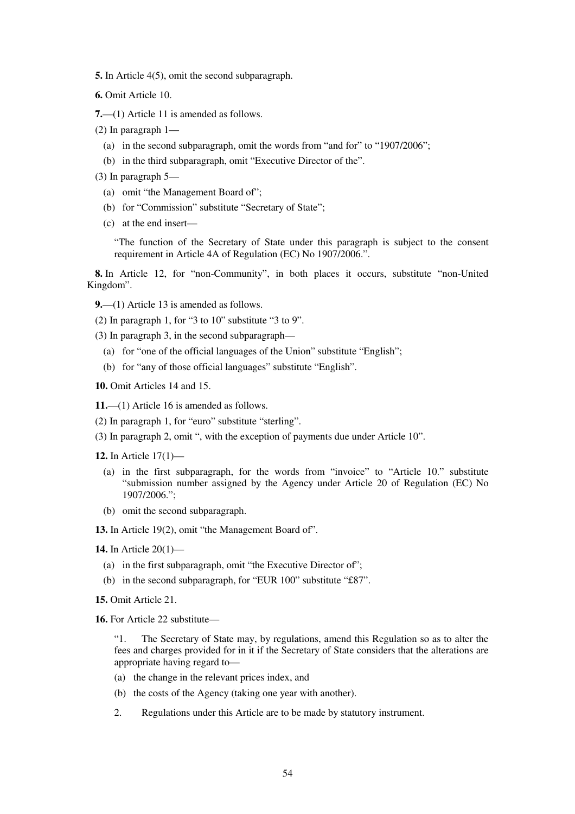**5.** In Article 4(5), omit the second subparagraph.

**6.** Omit Article 10.

**7.**—(1) Article 11 is amended as follows.

- (2) In paragraph 1—
	- (a) in the second subparagraph, omit the words from "and for" to "1907/2006";
	- (b) in the third subparagraph, omit "Executive Director of the".
- (3) In paragraph 5—
	- (a) omit "the Management Board of";
	- (b) for "Commission" substitute "Secretary of State";
	- (c) at the end insert—

"The function of the Secretary of State under this paragraph is subject to the consent requirement in Article 4A of Regulation (EC) No 1907/2006.".

**8.** In Article 12, for "non-Community", in both places it occurs, substitute "non-United Kingdom".

**9.**—(1) Article 13 is amended as follows.

(2) In paragraph 1, for "3 to 10" substitute "3 to 9".

- (3) In paragraph 3, in the second subparagraph—
	- (a) for "one of the official languages of the Union" substitute "English";
	- (b) for "any of those official languages" substitute "English".

**10.** Omit Articles 14 and 15.

**11.**—(1) Article 16 is amended as follows.

- (2) In paragraph 1, for "euro" substitute "sterling".
- (3) In paragraph 2, omit ", with the exception of payments due under Article 10".

**12.** In Article 17(1)—

- (a) in the first subparagraph, for the words from "invoice" to "Article 10." substitute "submission number assigned by the Agency under Article 20 of Regulation (EC) No 1907/2006.";
- (b) omit the second subparagraph.

**13.** In Article 19(2), omit "the Management Board of".

**14.** In Article 20(1)—

- (a) in the first subparagraph, omit "the Executive Director of";
- (b) in the second subparagraph, for "EUR 100" substitute "£87".
- **15.** Omit Article 21.

**16.** For Article 22 substitute—

"1. The Secretary of State may, by regulations, amend this Regulation so as to alter the fees and charges provided for in it if the Secretary of State considers that the alterations are appropriate having regard to—

- (a) the change in the relevant prices index, and
- (b) the costs of the Agency (taking one year with another).
- 2. Regulations under this Article are to be made by statutory instrument.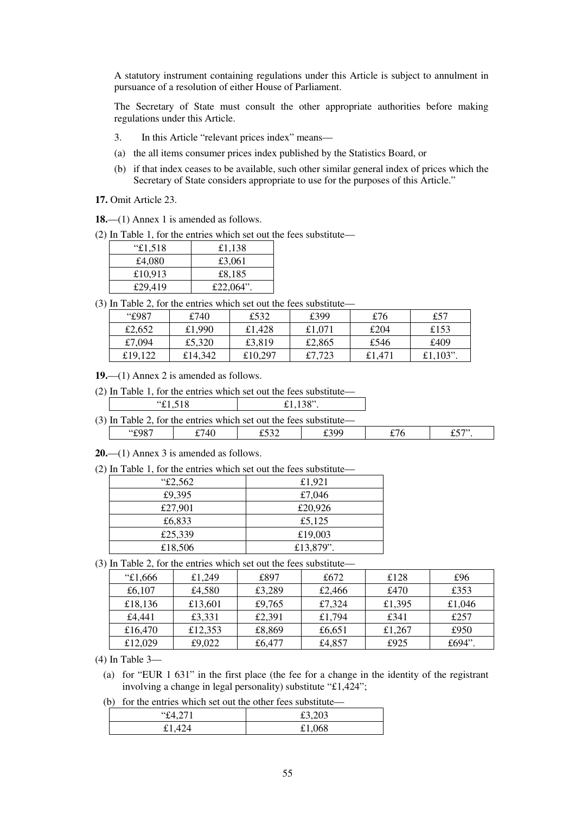A statutory instrument containing regulations under this Article is subject to annulment in pursuance of a resolution of either House of Parliament.

The Secretary of State must consult the other appropriate authorities before making regulations under this Article.

- 3. In this Article "relevant prices index" means—
- (a) the all items consumer prices index published by the Statistics Board, or
- (b) if that index ceases to be available, such other similar general index of prices which the Secretary of State considers appropriate to use for the purposes of this Article."

**17.** Omit Article 23.

**18.**—(1) Annex 1 is amended as follows.

(2) In Table 1, for the entries which set out the fees substitute—

| " $£1,518$ | £1,138    |
|------------|-----------|
| £4,080     | £3,061    |
| £10,913    | £8,185    |
| £29.419    | £22,064". |

(3) In Table 2, for the entries which set out the fees substitute—

| "£987   | £740    | £532    | £399   | £76    | £57     |
|---------|---------|---------|--------|--------|---------|
| £2,652  | £1.990  | £1.428  | £1,071 | £204   | £153    |
| £7,094  | £5,320  | £3.819  | £2,865 | £546   | £409    |
| £19,122 | £14.342 | £10,297 | £7,723 | £1.471 | £1.103" |

**19.**—(1) Annex 2 is amended as follows.

(2) In Table 1, for the entries which set out the fees substitute—

|--|

|       | (3) In Table 2, for the entries which set out the fees substitute— |      |      |             |               |
|-------|--------------------------------------------------------------------|------|------|-------------|---------------|
| "£987 | F740                                                               | rraa | 999° | r.<br>t / b | C 57)<br>ر په |

**20.**—(1) Annex 3 is amended as follows.

(2) In Table 1, for the entries which set out the fees substitute—

| £18,506  | £13,879". |
|----------|-----------|
| £25,339  | £19,003   |
| £6,833   | £5,125    |
| £27,901  | £20,926   |
| £9,395   | £7,046    |
| "£2,562" | £1,921    |

(3) In Table 2, for the entries which set out the fees substitute—

| "£1,666" | £1.249  | £897   | £672   | £128   | £96    |
|----------|---------|--------|--------|--------|--------|
| £6,107   | £4,580  | £3,289 | £2,466 | £470   | £353   |
| £18,136  | £13,601 | £9,765 | £7,324 | £1,395 | £1,046 |
| £4.441   | £3,331  | £2.391 | £1,794 | £341   | £257   |
| £16,470  | £12,353 | £8,869 | £6,651 | £1,267 | £950   |
| £12,029  | £9,022  | £6,477 | £4,857 | £925   | £694". |

(4) In Table 3—

(a) for "EUR 1 631" in the first place (the fee for a change in the identity of the registrant involving a change in legal personality) substitute "£1,424";

(b) for the entries which set out the other fees substitute—

| $\sim$ $-1$<br>$``f\Delta$<br>ىد | ናገ ኃበገ<br>ر ں کہ رہے |
|----------------------------------|----------------------|
| $\sim$ 1                         | ገ6ዩ<br>$+1,000$      |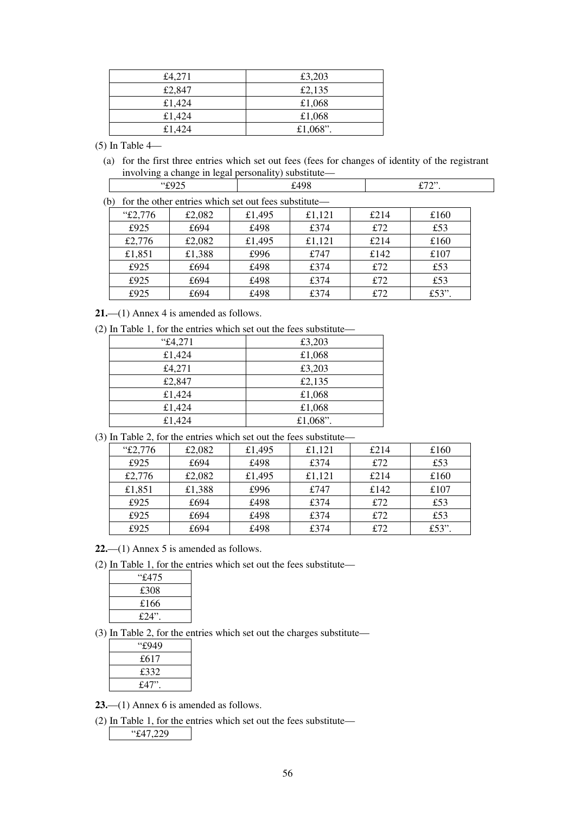| £4.271 | £3,203   |
|--------|----------|
| £2,847 | £2,135   |
| £1.424 | £1,068   |
| £1.424 | £1,068   |
| £1,424 | £1,068". |

(5) In Table 4—

(a) for the first three entries which set out fees (fees for changes of identity of the registrant involving a change in legal personality) substitute—

| "£925   |                                                      |        | £498   |      | £72". |  |
|---------|------------------------------------------------------|--------|--------|------|-------|--|
| (b)     | for the other entries which set out fees substitute— |        |        |      |       |  |
| "£2,776 | £2,082                                               | £1,495 | £1,121 | £214 | £160  |  |
| £925    | £694                                                 | £498   | £374   | £72  | £53   |  |
| £2,776  | £2,082                                               | £1,495 | £1,121 | £214 | £160  |  |
| £1,851  | £1,388                                               | £996   | £747   | £142 | £107  |  |
| £925    | £694                                                 | £498   | £374   | £72  | £53   |  |
| £925    | £694                                                 | £498   | £374   | £72  | £53   |  |
| £925    | £694                                                 | £498   | £374   | £72  | £53". |  |

**21.**—(1) Annex 4 is amended as follows.

(2) In Table 1, for the entries which set out the fees substitute—

| "£4,271 | £3,203   |
|---------|----------|
| £1,424  | £1,068   |
| £4,271  | £3,203   |
| £2,847  | £2,135   |
| £1,424  | £1,068   |
| £1,424  | £1,068   |
| £1,424  | £1,068". |

(3) In Table 2, for the entries which set out the fees substitute—

| " $£2,776$ | £2,082 | £1,495 | £1,121 | £214 | £160             |
|------------|--------|--------|--------|------|------------------|
| £925       | £694   | £498   | £374   | £72  | £53              |
| £2,776     | £2,082 | £1,495 | £1,121 | £214 | £160             |
| £1,851     | £1,388 | £996   | £747   | £142 | £107             |
| £925       | £694   | £498   | £374   | £72  | £53              |
| £925       | £694   | £498   | £374   | £72  | £53              |
| £925       | £694   | £498   | £374   | £72  | £53 $^{\circ}$ . |

**22.**—(1) Annex 5 is amended as follows.

(2) In Table 1, for the entries which set out the fees substitute—

| "£475 |
|-------|
| £308  |
| £166  |
| £24". |
|       |

(3) In Table 2, for the entries which set out the charges substitute—

| "£949         |
|---------------|
| £617          |
| £332          |
| $\pounds$ 47" |

**23.**—(1) Annex 6 is amended as follows.

(2) In Table 1, for the entries which set out the fees substitute—

"£47,229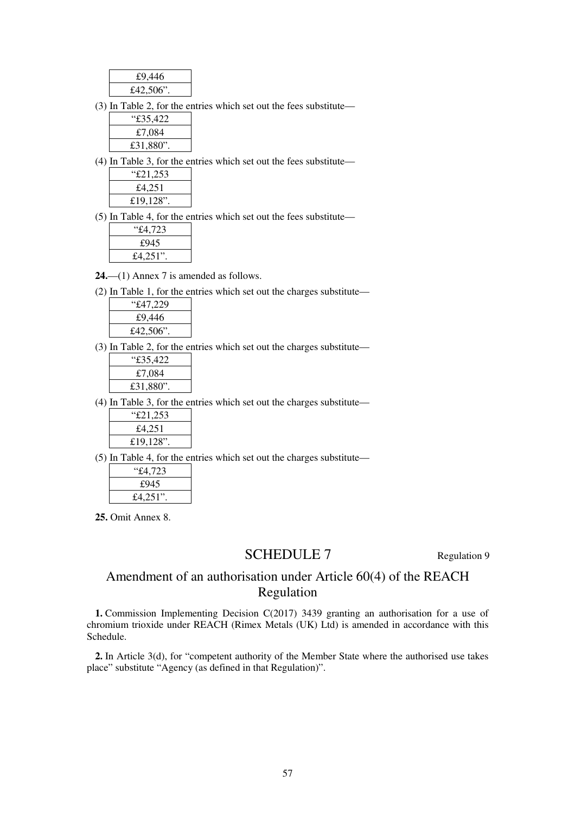| £9,446               |  |
|----------------------|--|
| £42,506 $^{\circ}$ . |  |

(3) In Table 2, for the entries which set out the fees substitute—

| "£35,422  |  |
|-----------|--|
| £7,084    |  |
| £31,880". |  |

(4) In Table 3, for the entries which set out the fees substitute—

| "£21,253  |  |
|-----------|--|
| £4,251    |  |
| £19,128". |  |

(5) In Table 4, for the entries which set out the fees substitute—

| "£4,723  |
|----------|
| £945     |
| £4,251". |

**24.**—(1) Annex 7 is amended as follows.

(2) In Table 1, for the entries which set out the charges substitute—

| "£47,229  |  |
|-----------|--|
| £9,446    |  |
| £42,506". |  |
|           |  |

(3) In Table 2, for the entries which set out the charges substitute—

| "£35,422  |  |
|-----------|--|
| £7,084    |  |
| £31,880". |  |
|           |  |

(4) In Table 3, for the entries which set out the charges substitute—

| "£21,253  |  |
|-----------|--|
| £4,251    |  |
| £19,128". |  |

(5) In Table 4, for the entries which set out the charges substitute—

| "£4,723  |  |
|----------|--|
| £945     |  |
| £4,251". |  |

**25.** Omit Annex 8.

### SCHEDULE 7 Regulation 9

# Amendment of an authorisation under Article 60(4) of the REACH Regulation

**1.** Commission Implementing Decision C(2017) 3439 granting an authorisation for a use of chromium trioxide under REACH (Rimex Metals (UK) Ltd) is amended in accordance with this Schedule.

**2.** In Article 3(d), for "competent authority of the Member State where the authorised use takes place" substitute "Agency (as defined in that Regulation)".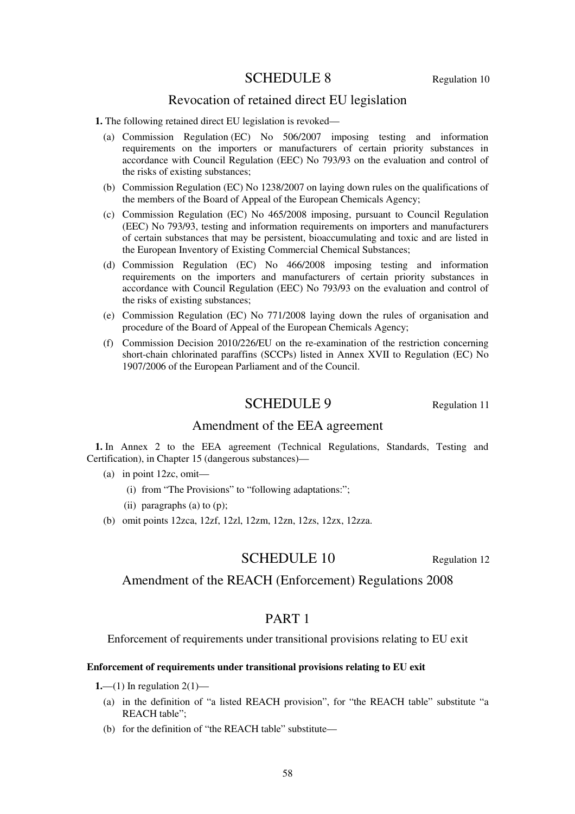### Revocation of retained direct EU legislation

**1.** The following retained direct EU legislation is revoked—

- (a) Commission Regulation (EC) No 506/2007 imposing testing and information requirements on the importers or manufacturers of certain priority substances in accordance with Council Regulation (EEC) No 793/93 on the evaluation and control of the risks of existing substances;
- (b) Commission Regulation (EC) No 1238/2007 on laying down rules on the qualifications of the members of the Board of Appeal of the European Chemicals Agency;
- (c) Commission Regulation (EC) No 465/2008 imposing, pursuant to Council Regulation (EEC) No 793/93, testing and information requirements on importers and manufacturers of certain substances that may be persistent, bioaccumulating and toxic and are listed in the European Inventory of Existing Commercial Chemical Substances;
- (d) Commission Regulation (EC) No 466/2008 imposing testing and information requirements on the importers and manufacturers of certain priority substances in accordance with Council Regulation (EEC) No 793/93 on the evaluation and control of the risks of existing substances;
- (e) Commission Regulation (EC) No 771/2008 laying down the rules of organisation and procedure of the Board of Appeal of the European Chemicals Agency;
- (f) Commission Decision 2010/226/EU on the re-examination of the restriction concerning short-chain chlorinated paraffins (SCCPs) listed in Annex XVII to Regulation (EC) No 1907/2006 of the European Parliament and of the Council.

### SCHEDULE 9 Regulation 11

### Amendment of the EEA agreement

**1.** In Annex 2 to the EEA agreement (Technical Regulations, Standards, Testing and Certification), in Chapter 15 (dangerous substances)—

- (a) in point 12zc, omit—
	- (i) from "The Provisions" to "following adaptations:";
	- (ii) paragraphs (a) to (p);
- (b) omit points 12zca, 12zf, 12zl, 12zm, 12zn, 12zs, 12zx, 12zza.

### SCHEDULE 10 Regulation 12

Amendment of the REACH (Enforcement) Regulations 2008

### PART 1

Enforcement of requirements under transitional provisions relating to EU exit

### **Enforcement of requirements under transitional provisions relating to EU exit**

**1.—(1)** In regulation  $2(1)$ —

- (a) in the definition of "a listed REACH provision", for "the REACH table" substitute "a REACH table";
- (b) for the definition of "the REACH table" substitute—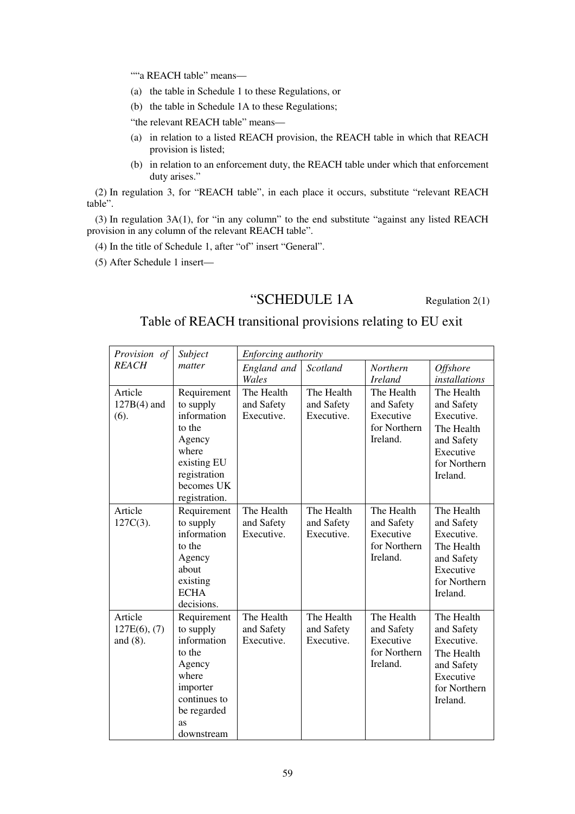""a REACH table" means—

- (a) the table in Schedule 1 to these Regulations, or
- (b) the table in Schedule 1A to these Regulations;

"the relevant REACH table" means—

- (a) in relation to a listed REACH provision, the REACH table in which that REACH provision is listed;
- (b) in relation to an enforcement duty, the REACH table under which that enforcement duty arises."

(2) In regulation 3, for "REACH table", in each place it occurs, substitute "relevant REACH table".

(3) In regulation 3A(1), for "in any column" to the end substitute "against any listed REACH provision in any column of the relevant REACH table".

(4) In the title of Schedule 1, after "of" insert "General".

(5) After Schedule 1 insert—

### "SCHEDULE 1A Regulation 2(1)

### Table of REACH transitional provisions relating to EU exit

| Provision of<br><b>REACH</b>           | Subject<br>matter                                                                                                                   | Enforcing authority                    |                                        |                                                                   |                                                                                                             |
|----------------------------------------|-------------------------------------------------------------------------------------------------------------------------------------|----------------------------------------|----------------------------------------|-------------------------------------------------------------------|-------------------------------------------------------------------------------------------------------------|
|                                        |                                                                                                                                     | England and<br>Wales                   | Scotland                               | <b>Northern</b><br><b>Ireland</b>                                 | <b>Offshore</b><br><i>installations</i>                                                                     |
| Article<br>$127B(4)$ and<br>(6).       | Requirement<br>to supply<br>information<br>to the<br>Agency<br>where<br>existing EU<br>registration<br>becomes UK<br>registration.  | The Health<br>and Safety<br>Executive. | The Health<br>and Safety<br>Executive. | The Health<br>and Safety<br>Executive<br>for Northern<br>Ireland. | The Health<br>and Safety<br>Executive.<br>The Health<br>and Safety<br>Executive<br>for Northern<br>Ireland. |
| Article<br>$127C(3)$ .                 | Requirement<br>to supply<br>information<br>to the<br>Agency<br>about<br>existing<br><b>ECHA</b><br>decisions.                       | The Health<br>and Safety<br>Executive. | The Health<br>and Safety<br>Executive. | The Health<br>and Safety<br>Executive<br>for Northern<br>Ireland. | The Health<br>and Safety<br>Executive.<br>The Health<br>and Safety<br>Executive<br>for Northern<br>Ireland. |
| Article<br>127E(6), (7)<br>and $(8)$ . | Requirement<br>to supply<br>information<br>to the<br>Agency<br>where<br>importer<br>continues to<br>be regarded<br>as<br>downstream | The Health<br>and Safety<br>Executive. | The Health<br>and Safety<br>Executive. | The Health<br>and Safety<br>Executive<br>for Northern<br>Ireland. | The Health<br>and Safety<br>Executive.<br>The Health<br>and Safety<br>Executive<br>for Northern<br>Ireland. |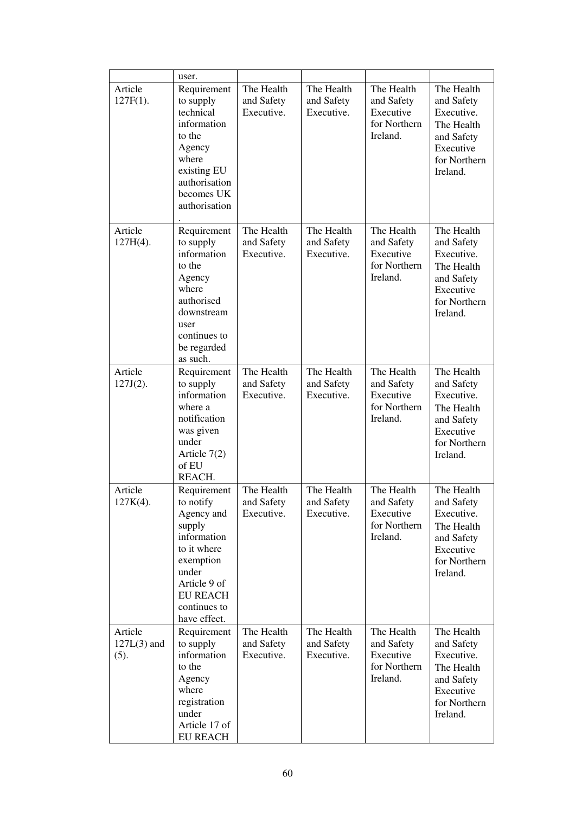|                                  | user.                                                                                                                                                                   |                                        |                                        |                                                                   |                                                                                                             |
|----------------------------------|-------------------------------------------------------------------------------------------------------------------------------------------------------------------------|----------------------------------------|----------------------------------------|-------------------------------------------------------------------|-------------------------------------------------------------------------------------------------------------|
| Article<br>$127F(1)$ .           | Requirement<br>to supply<br>technical<br>information<br>to the<br>Agency<br>where<br>existing EU<br>authorisation<br>becomes UK<br>authorisation                        | The Health<br>and Safety<br>Executive. | The Health<br>and Safety<br>Executive. | The Health<br>and Safety<br>Executive<br>for Northern<br>Ireland. | The Health<br>and Safety<br>Executive.<br>The Health<br>and Safety<br>Executive<br>for Northern<br>Ireland. |
| Article<br>$127H(4)$ .           | Requirement<br>to supply<br>information<br>to the<br>Agency<br>where<br>authorised<br>downstream<br>user<br>continues to<br>be regarded<br>as such.                     | The Health<br>and Safety<br>Executive. | The Health<br>and Safety<br>Executive. | The Health<br>and Safety<br>Executive<br>for Northern<br>Ireland. | The Health<br>and Safety<br>Executive.<br>The Health<br>and Safety<br>Executive<br>for Northern<br>Ireland. |
| Article<br>$127J(2)$ .           | Requirement<br>to supply<br>information<br>where a<br>notification<br>was given<br>under<br>Article $7(2)$<br>of EU<br>REACH.                                           | The Health<br>and Safety<br>Executive. | The Health<br>and Safety<br>Executive. | The Health<br>and Safety<br>Executive<br>for Northern<br>Ireland. | The Health<br>and Safety<br>Executive.<br>The Health<br>and Safety<br>Executive<br>for Northern<br>Ireland. |
| Article<br>127K(4).              | Requirement<br>to notify<br>Agency and<br>supply<br>information<br>to it where<br>exemption<br>under<br>Article 9 of<br><b>EU REACH</b><br>continues to<br>have effect. | The Health<br>and Safety<br>Executive. | The Health<br>and Safety<br>Executive. | The Health<br>and Safety<br>Executive<br>for Northern<br>Ireland. | The Health<br>and Safety<br>Executive.<br>The Health<br>and Safety<br>Executive<br>for Northern<br>Ireland. |
| Article<br>$127L(3)$ and<br>(5). | Requirement<br>to supply<br>information<br>to the<br>Agency<br>where<br>registration<br>under<br>Article 17 of<br><b>EU REACH</b>                                       | The Health<br>and Safety<br>Executive. | The Health<br>and Safety<br>Executive. | The Health<br>and Safety<br>Executive<br>for Northern<br>Ireland. | The Health<br>and Safety<br>Executive.<br>The Health<br>and Safety<br>Executive<br>for Northern<br>Ireland. |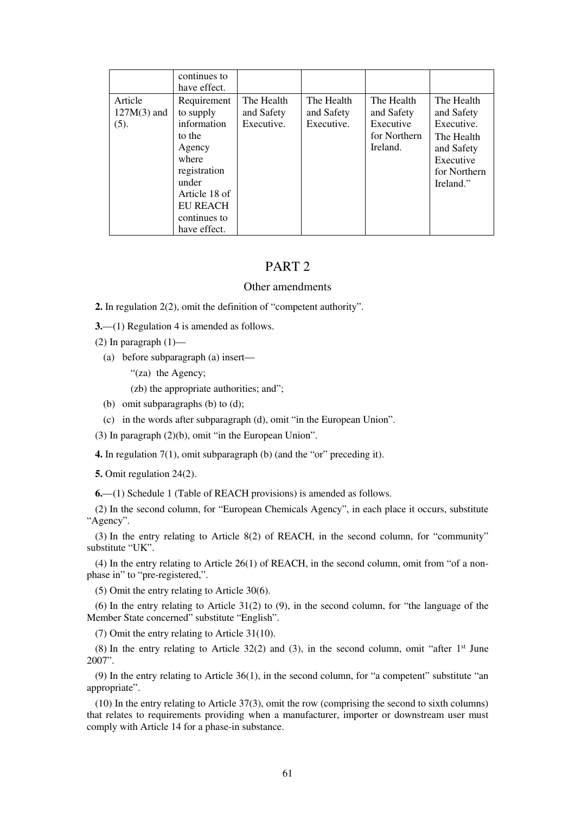|                                  | continues to<br>have effect.                                                                                                                                      |                                        |                                        |                                                                   |                                                                                                              |
|----------------------------------|-------------------------------------------------------------------------------------------------------------------------------------------------------------------|----------------------------------------|----------------------------------------|-------------------------------------------------------------------|--------------------------------------------------------------------------------------------------------------|
| Article<br>$127M(3)$ and<br>(5). | Requirement<br>to supply<br>information<br>to the<br>Agency<br>where<br>registration<br>under<br>Article 18 of<br><b>EU REACH</b><br>continues to<br>have effect. | The Health<br>and Safety<br>Executive. | The Health<br>and Safety<br>Executive. | The Health<br>and Safety<br>Executive<br>for Northern<br>Ireland. | The Health<br>and Safety<br>Executive.<br>The Health<br>and Safety<br>Executive<br>for Northern<br>Ireland." |

### PART 2

### Other amendments

**2.** In regulation 2(2), omit the definition of "competent authority".

- **3.**—(1) Regulation 4 is amended as follows.
- (2) In paragraph  $(1)$ 
	- (a) before subparagraph (a) insert—
		- "(za) the Agency;

(zb) the appropriate authorities; and";

- (b) omit subparagraphs (b) to (d);
- (c) in the words after subparagraph (d), omit "in the European Union".

(3) In paragraph (2)(b), omit "in the European Union".

**4.** In regulation 7(1), omit subparagraph (b) (and the "or" preceding it).

**5.** Omit regulation 24(2).

**6.**—(1) Schedule 1 (Table of REACH provisions) is amended as follows.

(2) In the second column, for "European Chemicals Agency", in each place it occurs, substitute "Agency".

(3) In the entry relating to Article 8(2) of REACH, in the second column, for "community" substitute "UK".

(4) In the entry relating to Article 26(1) of REACH, in the second column, omit from "of a nonphase in" to "pre-registered,".

(5) Omit the entry relating to Article 30(6).

(6) In the entry relating to Article 31(2) to (9), in the second column, for "the language of the Member State concerned" substitute "English".

(7) Omit the entry relating to Article 31(10).

(8) In the entry relating to Article 32(2) and (3), in the second column, omit "after  $1<sup>st</sup>$  June 2007".

(9) In the entry relating to Article 36(1), in the second column, for "a competent" substitute "an appropriate".

(10) In the entry relating to Article 37(3), omit the row (comprising the second to sixth columns) that relates to requirements providing when a manufacturer, importer or downstream user must comply with Article 14 for a phase-in substance.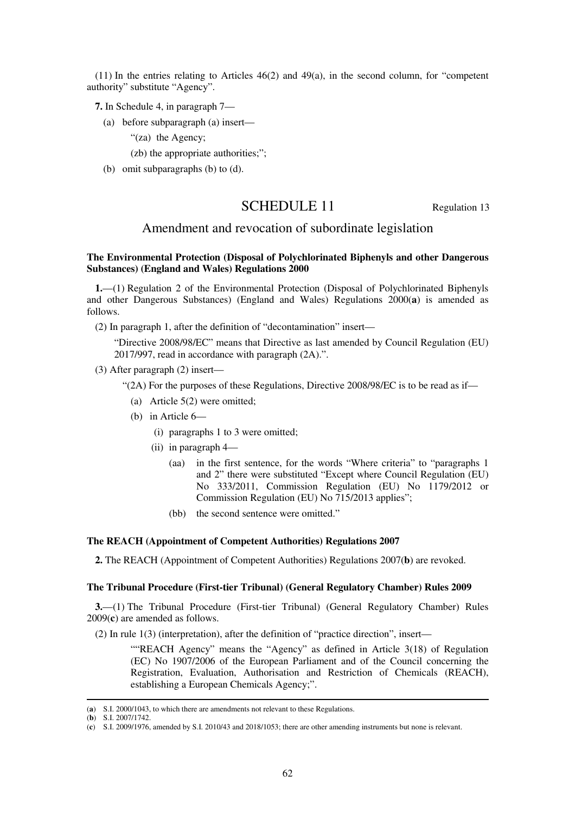(11) In the entries relating to Articles 46(2) and 49(a), in the second column, for "competent authority" substitute "Agency".

**7.** In Schedule 4, in paragraph 7—

- (a) before subparagraph (a) insert—
	- "(za) the Agency;

(zb) the appropriate authorities;";

(b) omit subparagraphs (b) to (d).

### SCHEDULE 11 Regulation 13

### Amendment and revocation of subordinate legislation

### **The Environmental Protection (Disposal of Polychlorinated Biphenyls and other Dangerous Substances) (England and Wales) Regulations 2000**

**1.**—(1) Regulation 2 of the Environmental Protection (Disposal of Polychlorinated Biphenyls and other Dangerous Substances) (England and Wales) Regulations 2000(**a**) is amended as follows.

(2) In paragraph 1, after the definition of "decontamination" insert—

"Directive 2008/98/EC" means that Directive as last amended by Council Regulation (EU) 2017/997, read in accordance with paragraph (2A).".

(3) After paragraph (2) insert—

" $(2A)$  For the purposes of these Regulations, Directive 2008/98/EC is to be read as if—

- (a) Article 5(2) were omitted;
- (b) in Article 6—
	- (i) paragraphs 1 to 3 were omitted;
	- (ii) in paragraph 4—
		- (aa) in the first sentence, for the words "Where criteria" to "paragraphs 1 and 2" there were substituted "Except where Council Regulation (EU) No 333/2011, Commission Regulation (EU) No 1179/2012 or Commission Regulation (EU) No 715/2013 applies";
		- (bb) the second sentence were omitted."

### **The REACH (Appointment of Competent Authorities) Regulations 2007**

**2.** The REACH (Appointment of Competent Authorities) Regulations 2007(**b**) are revoked.

#### **The Tribunal Procedure (First-tier Tribunal) (General Regulatory Chamber) Rules 2009**

**3.**—(1) The Tribunal Procedure (First-tier Tribunal) (General Regulatory Chamber) Rules 2009(**c**) are amended as follows.

(2) In rule 1(3) (interpretation), after the definition of "practice direction", insert—

""REACH Agency" means the "Agency" as defined in Article 3(18) of Regulation (EC) No 1907/2006 of the European Parliament and of the Council concerning the Registration, Evaluation, Authorisation and Restriction of Chemicals (REACH), establishing a European Chemicals Agency;".

<sup>(</sup>**a**) S.I. 2000/1043, to which there are amendments not relevant to these Regulations.

<sup>(</sup>**b**) S.I. 2007/1742.

<sup>(</sup>**c**) S.I. 2009/1976, amended by S.I. 2010/43 and 2018/1053; there are other amending instruments but none is relevant.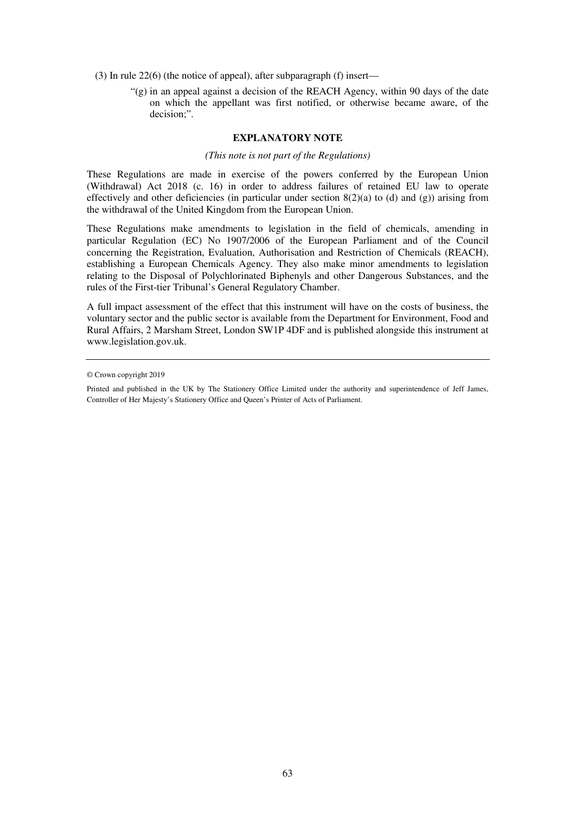(3) In rule 22(6) (the notice of appeal), after subparagraph (f) insert—

"(g) in an appeal against a decision of the REACH Agency, within 90 days of the date on which the appellant was first notified, or otherwise became aware, of the decision;".

### **EXPLANATORY NOTE**

### *(This note is not part of the Regulations)*

These Regulations are made in exercise of the powers conferred by the European Union (Withdrawal) Act 2018 (c. 16) in order to address failures of retained EU law to operate effectively and other deficiencies (in particular under section  $8(2)(a)$  to (d) and (g)) arising from the withdrawal of the United Kingdom from the European Union.

These Regulations make amendments to legislation in the field of chemicals, amending in particular Regulation (EC) No 1907/2006 of the European Parliament and of the Council concerning the Registration, Evaluation, Authorisation and Restriction of Chemicals (REACH), establishing a European Chemicals Agency. They also make minor amendments to legislation relating to the Disposal of Polychlorinated Biphenyls and other Dangerous Substances, and the rules of the First-tier Tribunal's General Regulatory Chamber.

A full impact assessment of the effect that this instrument will have on the costs of business, the voluntary sector and the public sector is available from the Department for Environment, Food and Rural Affairs, 2 Marsham Street, London SW1P 4DF and is published alongside this instrument at www.legislation.gov.uk.

<sup>©</sup> Crown copyright 2019

Printed and published in the UK by The Stationery Office Limited under the authority and superintendence of Jeff James, Controller of Her Majesty's Stationery Office and Queen's Printer of Acts of Parliament.